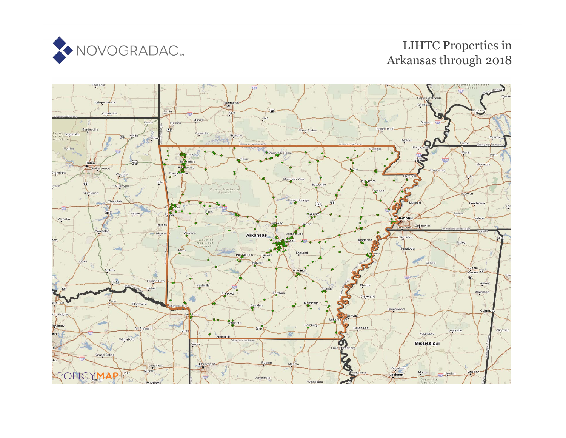

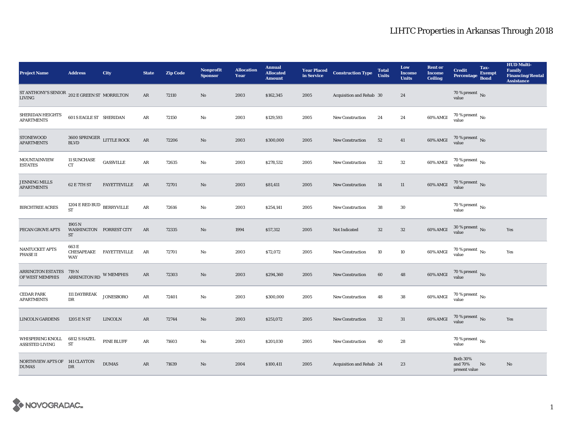| <b>Project Name</b>                                                               | <b>Address</b>                                            | City                    | <b>State</b>           | <b>Zip Code</b> | <b>Nonprofit</b><br><b>Sponsor</b> | <b>Allocation</b><br>Year | <b>Annual</b><br><b>Allocated</b><br><b>Amount</b> | <b>Year Placed<br/>in Service</b> | <b>Construction Type</b> | <b>Total</b><br><b>Units</b> | Low<br><b>Income</b><br><b>Units</b> | <b>Rent or</b><br><b>Income</b><br><b>Ceiling</b> | <b>Credit</b><br>Percentage                 | Tax-<br><b>Exempt</b><br><b>Bond</b> | <b>HUD Multi-</b><br><b>Family</b><br><b>Financing/Rental</b><br><b>Assistance</b> |
|-----------------------------------------------------------------------------------|-----------------------------------------------------------|-------------------------|------------------------|-----------------|------------------------------------|---------------------------|----------------------------------------------------|-----------------------------------|--------------------------|------------------------------|--------------------------------------|---------------------------------------------------|---------------------------------------------|--------------------------------------|------------------------------------------------------------------------------------|
| ST ANTHONY'S SENIOR $_{\,202\,\text{E}}$ GREEN ST $\,$ MORRILTON<br><b>LIVING</b> |                                                           |                         | AR                     | 72110           | No                                 | 2003                      | \$162,345                                          | 2005                              | Acquisition and Rehab 30 |                              | 24                                   |                                                   | 70 % present $\,$ No $\,$<br>value          |                                      |                                                                                    |
| SHERIDAN HEIGHTS<br><b>APARTMENTS</b>                                             | <b>601 S EAGLE ST SHERIDAN</b>                            |                         | $\rm{AR}$              | 72150           | $\mathbf{No}$                      | 2003                      | \$129,593                                          | 2005                              | <b>New Construction</b>  | 24                           | 24                                   | $60\%$ AMGI                                       | $70\,\%$ present $\,$ No value              |                                      |                                                                                    |
| <b>STONEWOOD</b><br><b>APARTMENTS</b>                                             | $3600$ SPRINGER $\;$ LITTLE ROCK<br>$\operatorname{BLVD}$ |                         | $\rm{AR}$              | 72206           | $\mathbf{N}\mathbf{o}$             | 2003                      | \$300,000                                          | 2005                              | <b>New Construction</b>  | 52                           | 41                                   | 60% AMGI                                          | $70$ % present $\,$ No value                |                                      |                                                                                    |
| <b>MOUNTAINVIEW</b><br><b>ESTATES</b>                                             | <b>11 SUNCHASE</b><br><b>CT</b>                           | GASSVILLE               | AR                     | 72635           | No                                 | 2003                      | \$278,532                                          | 2005                              | <b>New Construction</b>  | $32\,$                       | $32\,$                               | 60% AMGI                                          | 70 % present $\,$ No $\,$<br>value          |                                      |                                                                                    |
| <b>JENNING MILLS</b><br><b>APARTMENTS</b>                                         | <b>62 E 7TH ST</b>                                        | <b>FAYETTEVILLE</b>     | AR                     | 72701           | $\rm No$                           | 2003                      | \$81,411                                           | 2005                              | New Construction         | 14                           | 11                                   | 60% AMGI                                          | $70$ % present $\,$ No $\,$ value $\,$      |                                      |                                                                                    |
| <b>BIRCHTREE ACRES</b>                                                            | $1204$ E RED BUD $\,$ BERRYVILLE<br><b>ST</b>             |                         | $\mathbf{AR}$          | 72616           | No                                 | 2003                      | \$254,141                                          | 2005                              | <b>New Construction</b>  | 38                           | $30\,$                               |                                                   | $70$ % present $\,$ No $\,$<br>value        |                                      |                                                                                    |
| PECAN GROVE APTS                                                                  | 1905 N<br>WASHINGTON FORREST CITY<br>${\rm ST}$           |                         | AR                     | 72335           | $\mathbf{N}\mathbf{o}$             | 1994                      | \$57,312                                           | 2005                              | Not Indicated            | 32                           | $32\phantom{.0}$                     | 60% AMGI                                          | $30\%$ present No<br>value                  |                                      | Yes                                                                                |
| <b>NANTUCKET APTS</b><br>PHASE II                                                 | 663E<br><b>WAY</b>                                        | CHESAPEAKE FAYETTEVILLE | AR                     | 72701           | $\mathbf{N}\mathbf{o}$             | 2003                      | \$72,072                                           | 2005                              | <b>New Construction</b>  | 10                           | 10                                   | 60% AMGI                                          | $70\,\%$ present $_{\, \rm No}$<br>value    |                                      | Yes                                                                                |
| <b>ARRINGTON ESTATES</b><br>OF WEST MEMPHIS                                       | 719 N<br>ARRINGTON RD W MEMPHIS                           |                         | AR                     | 72303           | $\mathbf{N}\mathbf{o}$             | 2003                      | \$294,360                                          | 2005                              | New Construction         | 60                           | 48                                   | 60% AMGI                                          | $70\,\%$ present $\,$ No value              |                                      |                                                                                    |
| <b>CEDAR PARK</b><br><b>APARTMENTS</b>                                            | 111 DAYBREAK<br>DR                                        | <b>JONESBORO</b>        | $\mathbf{A}\mathbf{R}$ | 72401           | No                                 | 2003                      | \$300,000                                          | 2005                              | <b>New Construction</b>  | 48                           | 38                                   | 60% AMGI                                          | $70\,\%$ present $\,$ No value              |                                      |                                                                                    |
| <b>LINCOLN GARDENS</b>                                                            | 1205 E N ST                                               | <b>LINCOLN</b>          | AR                     | 72744           | $\mathbf{N}\mathbf{o}$             | 2003                      | \$251,072                                          | 2005                              | <b>New Construction</b>  | $32\,$                       | 31                                   | 60% AMGI                                          | $70\,\%$ present $\,$ No value              |                                      | Yes                                                                                |
| WHISPERING KNOLL<br><b>ASSISTED LIVING</b>                                        | 6812 S HAZEL<br>$\operatorname{ST}$                       | <b>PINE BLUFF</b>       | AR                     | 71603           | No                                 | 2003                      | \$201,030                                          | 2005                              | <b>New Construction</b>  | 40                           | 28                                   |                                                   | 70 % present $\,$ No $\,$<br>value          |                                      |                                                                                    |
| NORTHVIEW APTS OF 141 CLAYTON<br><b>DUMAS</b>                                     | DR                                                        | <b>DUMAS</b>            | $\mathbf{AR}$          | 71639           | No                                 | 2004                      | \$100,411                                          | 2005                              | Acquisition and Rehab 24 |                              | 23                                   |                                                   | <b>Both 30%</b><br>and 70%<br>present value | No                                   | No                                                                                 |

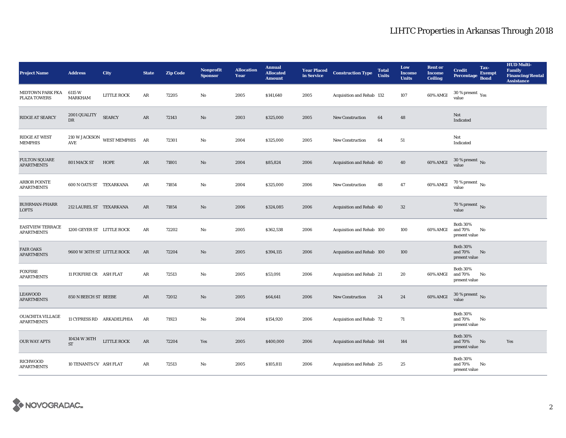| <b>Project Name</b>                            | <b>Address</b>             | City                | <b>State</b>  | <b>Zip Code</b> | <b>Nonprofit</b><br><b>Sponsor</b> | <b>Allocation</b><br>Year | <b>Annual</b><br><b>Allocated</b><br><b>Amount</b> | <b>Year Placed<br/>in Service</b> | <b>Construction Type</b>  | <b>Total</b><br><b>Units</b> | Low<br><b>Income</b><br><b>Units</b> | <b>Rent or</b><br><b>Income</b><br><b>Ceiling</b> | <b>Credit</b><br>Percentage                 | Tax-<br><b>Exempt</b><br><b>Bond</b> | <b>HUD Multi-</b><br>Family<br><b>Financing/Rental</b><br><b>Assistance</b> |
|------------------------------------------------|----------------------------|---------------------|---------------|-----------------|------------------------------------|---------------------------|----------------------------------------------------|-----------------------------------|---------------------------|------------------------------|--------------------------------------|---------------------------------------------------|---------------------------------------------|--------------------------------------|-----------------------------------------------------------------------------|
| <b>MIDTOWN PARK FKA</b><br><b>PLAZA TOWERS</b> | 6115 W<br><b>MARKHAM</b>   | <b>LITTLE ROCK</b>  | AR            | 72205           | No                                 | 2005                      | \$141,640                                          | 2005                              | Acquisition and Rehab 132 |                              | 107                                  | 60% AMGI                                          | $30$ % present $\,$ $\rm Yes$<br>value      |                                      |                                                                             |
| RIDGE AT SEARCY                                | 2001 QUALITY<br>DR         | <b>SEARCY</b>       | ${\bf AR}$    | 72143           | No                                 | 2003                      | \$325,000                                          | 2005                              | <b>New Construction</b>   | 64                           | 48                                   |                                                   | Not<br>Indicated                            |                                      |                                                                             |
| <b>RIDGE AT WEST</b><br><b>MEMPHIS</b>         | 210 W JACKSON<br>AVE       | <b>WEST MEMPHIS</b> | AR            | 72301           | No                                 | 2004                      | \$325,000                                          | 2005                              | <b>New Construction</b>   | 64                           | $51\,$                               |                                                   | Not<br>Indicated                            |                                      |                                                                             |
| <b>FULTON SQUARE</b><br><b>APARTMENTS</b>      | 801 MACK ST                | HOPE                | $\rm{AR}$     | 71801           | No                                 | 2004                      | \$85,824                                           | 2006                              | Acquisition and Rehab 40  |                              | 40                                   | 60% AMGI                                          | $30$ % present $\,$ No $\,$<br>value        |                                      |                                                                             |
| <b>ARBOR POINTE</b><br><b>APARTMENTS</b>       | 600 N OATS ST TEXARKANA    |                     | AR            | 71854           | No                                 | 2004                      | \$325,000                                          | 2006                              | <b>New Construction</b>   | 48                           | $\bf 47$                             | 60% AMGI                                          | $70$ % present $\,$ No $\,$<br>value        |                                      |                                                                             |
| <b>BUHRMAN-PHARR</b><br><b>LOFTS</b>           | 212 LAUREL ST TEXARKANA    |                     | AR            | 71854           | No                                 | 2006                      | \$324,085                                          | 2006                              | Acquisition and Rehab 40  |                              | $32\phantom{.0}$                     |                                                   | 70 % present $\hbox{~No}$<br>value          |                                      |                                                                             |
| <b>EASTVIEW TERRACE</b><br><b>APARTMENTS</b>   | 1200 GEYER ST LITTLE ROCK  |                     | AR            | 72202           | No                                 | 2005                      | \$362,538                                          | 2006                              | Acquisition and Rehab 100 |                              | 100                                  | 60% AMGI                                          | <b>Both 30%</b><br>and 70%<br>present value | No                                   |                                                                             |
| <b>FAIR OAKS</b><br><b>APARTMENTS</b>          | 9600 W 36TH ST LITTLE ROCK |                     | AR            | 72204           | No                                 | 2005                      | \$394,115                                          | 2006                              | Acquisition and Rehab 100 |                              | 100                                  |                                                   | <b>Both 30%</b><br>and 70%<br>present value | No                                   |                                                                             |
| <b>FOXFIRE</b><br><b>APARTMENTS</b>            | 11 FOXFIRE CR ASH FLAT     |                     | AR            | 72513           | No                                 | 2005                      | \$53,091                                           | 2006                              | Acquisition and Rehab 21  |                              | 20                                   | 60% AMGI                                          | <b>Both 30%</b><br>and 70%<br>present value | No                                   |                                                                             |
| LEAWOOD<br><b>APARTMENTS</b>                   | 850 N BEECH ST BEEBE       |                     | $\mathbf{AR}$ | 72012           | No                                 | 2005                      | \$64,641                                           | 2006                              | <b>New Construction</b>   | 24                           | 24                                   | 60% AMGI                                          | $30$ % present $\,$ No $\,$<br>value        |                                      |                                                                             |
| <b>OUACHITA VILLAGE</b><br><b>APARTMENTS</b>   | 11 CYPRESS RD ARKADELPHIA  |                     | AR            | 71923           | No                                 | 2004                      | \$154,920                                          | 2006                              | Acquisition and Rehab 72  |                              | 71                                   |                                                   | <b>Both 30%</b><br>and 70%<br>present value | No                                   |                                                                             |
| <b>OUR WAY APTS</b>                            | 10434 W 36TH<br><b>ST</b>  | LITTLE ROCK         | AR            | 72204           | Yes                                | 2005                      | \$400,000                                          | 2006                              | Acquisition and Rehab 144 |                              | 144                                  |                                                   | <b>Both 30%</b><br>and 70%<br>present value | No                                   | Yes                                                                         |
| RICHWOOD<br><b>APARTMENTS</b>                  | 10 TENANTS CV ASH FLAT     |                     | AR            | 72513           | No                                 | 2005                      | \$105,811                                          | 2006                              | Acquisition and Rehab 25  |                              | 25                                   |                                                   | <b>Both 30%</b><br>and 70%<br>present value | No                                   |                                                                             |

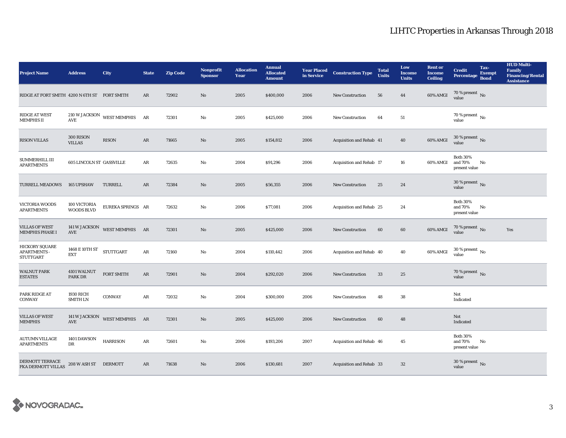| <b>Project Name</b>                                              | <b>Address</b>                         | City                          | <b>State</b> | <b>Zip Code</b> | Nonprofit<br><b>Sponsor</b> | <b>Allocation</b><br>Year | <b>Annual</b><br><b>Allocated</b><br><b>Amount</b> | <b>Year Placed<br/>in Service</b> | <b>Construction Type</b> | <b>Total</b><br><b>Units</b> | Low<br><b>Income</b><br><b>Units</b> | <b>Rent or</b><br><b>Income</b><br>Ceiling | <b>Credit</b><br><b>Percentage</b>          | Tax-<br><b>Exempt</b><br><b>Bond</b> | <b>HUD Multi-</b><br><b>Family</b><br><b>Financing/Rental</b><br><b>Assistance</b> |
|------------------------------------------------------------------|----------------------------------------|-------------------------------|--------------|-----------------|-----------------------------|---------------------------|----------------------------------------------------|-----------------------------------|--------------------------|------------------------------|--------------------------------------|--------------------------------------------|---------------------------------------------|--------------------------------------|------------------------------------------------------------------------------------|
| RIDGE AT FORT SMITH 4200 N 6TH ST FORT SMITH                     |                                        |                               | $\rm{AR}$    | 72902           | $\mathbf{N}\mathbf{o}$      | 2005                      | \$400,000                                          | 2006                              | New Construction         | 56                           | 44                                   | 60% AMGI                                   | 70 % present $\,$ No $\,$<br>value          |                                      |                                                                                    |
| <b>RIDGE AT WEST</b><br><b>MEMPHIS II</b>                        | $\operatorname{\mathsf{AVE}}$          | 210 W JACKSON WEST MEMPHIS AR |              | 72301           | $\mathbf{No}$               | 2005                      | \$425,000                                          | 2006                              | <b>New Construction</b>  | 64                           | 51                                   |                                            | $70$ % present $\,$ No $\,$<br>value        |                                      |                                                                                    |
| <b>RISON VILLAS</b>                                              | 300 RISON<br><b>VILLAS</b>             | <b>RISON</b>                  | AR           | 71665           | $\rm No$                    | 2005                      | \$154,812                                          | 2006                              | Acquisition and Rehab 41 |                              | 40                                   | 60% AMGI                                   | $30$ % present $\,$ No value                |                                      |                                                                                    |
| SUMMERHILL III<br><b>APARTMENTS</b>                              | <b>605 LINCOLN ST GASSVILLE</b>        |                               | AR           | 72635           | No                          | 2004                      | \$91,296                                           | 2006                              | Acquisition and Rehab 17 |                              | 16                                   | 60% AMGI                                   | <b>Both 30%</b><br>and 70%<br>present value | No                                   |                                                                                    |
| <b>TURRELL MEADOWS</b>                                           | <b>165 UPSHAW</b>                      | TURRELL                       | $\rm{AR}$    | 72384           | $\mathbf{N}\mathbf{o}$      | 2005                      | \$56,355                                           | 2006                              | <b>New Construction</b>  | 25                           | 24                                   |                                            | 30 % present $\,$ No $\,$<br>value          |                                      |                                                                                    |
| <b>VICTORIA WOODS</b><br><b>APARTMENTS</b>                       | 100 VICTORIA<br><b>WOODS BLVD</b>      | EUREKA SPRINGS AR             |              | 72632           | No                          | 2006                      | \$77,081                                           | 2006                              | Acquisition and Rehab 25 |                              | 24                                   |                                            | <b>Both 30%</b><br>and 70%<br>present value | No                                   |                                                                                    |
| <b>VILLAS OF WEST</b><br><b>MEMPHIS PHASE I</b>                  | <b>141 W JACKSON</b><br>AVE            | WEST MEMPHIS AR               |              | 72301           | $\mathbf{N}\mathbf{o}$      | 2005                      | \$425,000                                          | 2006                              | <b>New Construction</b>  | 60                           | $\bf{60}$                            | 60% AMGI                                   | $70$ % present $\,$ No value                |                                      | Yes                                                                                |
| <b>HICKORY SQUARE</b><br><b>APARTMENTS -</b><br><b>STUTTGART</b> | 1468 E 10TH ST STUTTGART<br><b>EXT</b> |                               | AR           | 72160           | No                          | 2004                      | \$110,442                                          | 2006                              | Acquisition and Rehab 40 |                              | 40                                   | 60% AMGI                                   | $30\,\%$ present $\,$ No $\,$<br>value      |                                      |                                                                                    |
| <b>WALNUT PARK</b><br><b>ESTATES</b>                             | 4101 WALNUT<br><b>PARK DR</b>          | <b>FORT SMITH</b>             | AR           | 72901           | $\mathbf{N}\mathbf{o}$      | 2004                      | \$292,020                                          | 2006                              | <b>New Construction</b>  | 33                           | 25                                   |                                            | 70 % present $\,$ No $\,$<br>value          |                                      |                                                                                    |
| PARK RIDGE AT<br><b>CONWAY</b>                                   | <b>1930 RICH</b><br><b>SMITH LN</b>    | <b>CONWAY</b>                 | $\rm{AR}$    | 72032           | No                          | 2004                      | \$300,000                                          | 2006                              | <b>New Construction</b>  | 48                           | 38                                   |                                            | Not<br>Indicated                            |                                      |                                                                                    |
| <b>VILLAS OF WEST</b><br><b>MEMPHIS</b>                          | $\operatorname{AVE}$                   | 141 W JACKSON WEST MEMPHIS AR |              | 72301           | $\rm No$                    | 2005                      | \$425,000                                          | 2006                              | New Construction         | 60                           | 48                                   |                                            | Not<br>Indicated                            |                                      |                                                                                    |
| <b>AUTUMN VILLAGE</b><br><b>APARTMENTS</b>                       | 1401 DAWSON<br>$_{\rm DR}$             | <b>HARRISON</b>               | AR           | 72601           | No                          | 2006                      | \$193,206                                          | 2007                              | Acquisition and Rehab 46 |                              | 45                                   |                                            | <b>Both 30%</b><br>and 70%<br>present value | No                                   |                                                                                    |
| DERMOTT TERRACE<br><b>FKA DERMOTT VILLAS</b>                     | 208 W ASH ST DERMOTT                   |                               | $\rm{AR}$    | 71638           | No                          | 2006                      | \$130,681                                          | 2007                              | Acquisition and Rehab 33 |                              | $32\phantom{.0}$                     |                                            | $30\,\%$ present $\,$ No value              |                                      |                                                                                    |

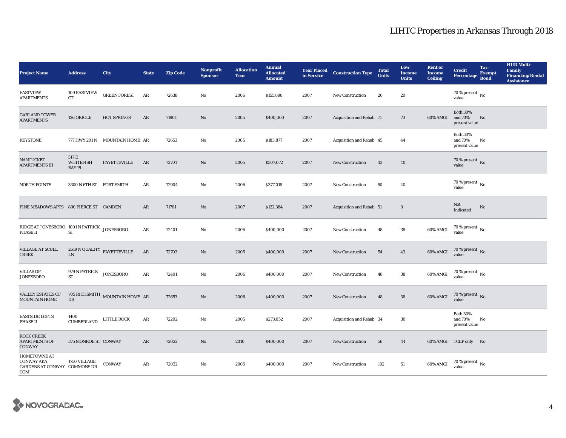| <b>Project Name</b>                                                             | <b>Address</b>                            | City                                       | <b>State</b> | <b>Zip Code</b> | <b>Nonprofit</b><br><b>Sponsor</b> | <b>Allocation</b><br>Year | <b>Annual</b><br><b>Allocated</b><br><b>Amount</b> | <b>Year Placed</b><br>in Service | <b>Construction Type</b> | <b>Total</b><br><b>Units</b> | Low<br><b>Income</b><br><b>Units</b> | <b>Rent or</b><br><b>Income</b><br><b>Ceiling</b> | <b>Credit</b><br><b>Percentage</b>          | Tax-<br><b>Exempt</b><br><b>Bond</b> | <b>HUD Multi-</b><br><b>Family</b><br><b>Financing/Rental</b><br><b>Assistance</b> |
|---------------------------------------------------------------------------------|-------------------------------------------|--------------------------------------------|--------------|-----------------|------------------------------------|---------------------------|----------------------------------------------------|----------------------------------|--------------------------|------------------------------|--------------------------------------|---------------------------------------------------|---------------------------------------------|--------------------------------------|------------------------------------------------------------------------------------|
| <b>EASTVIEW</b><br><b>APARTMENTS</b>                                            | 109 EASTVIEW<br>${\rm CT}$                | <b>GREEN FOREST</b>                        | AR           | 72638           | No                                 | 2006                      | \$155,898                                          | 2007                             | <b>New Construction</b>  | 26                           | 20                                   |                                                   | 70 % present $\,$ No $\,$<br>value          |                                      |                                                                                    |
| <b>GARLAND TOWER</b><br><b>APARTMENTS</b>                                       | 126 ORIOLE                                | <b>HOT SPRINGS</b>                         | $\rm{AR}$    | 71901           | No                                 | 2005                      | \$400,000                                          | 2007                             | Acquisition and Rehab 71 |                              | 70                                   | 60% AMGI                                          | <b>Both 30%</b><br>and 70%<br>present value | No                                   |                                                                                    |
| <b>KEYSTONE</b>                                                                 |                                           | 777 HWY 201 N MOUNTAIN HOME AR             |              | 72653           | No                                 | 2005                      | \$183,877                                          | 2007                             | Acquisition and Rehab 45 |                              | 44                                   |                                                   | <b>Both 30%</b><br>and 70%<br>present value | No                                   |                                                                                    |
| <b>NANTUCKET</b><br><b>APARTMENTS III</b>                                       | 517 E<br><b>WHITEFISH</b><br><b>BAYPL</b> | <b>FAYETTEVILLE</b>                        | AR           | 72701           | No                                 | 2005                      | \$307,072                                          | 2007                             | <b>New Construction</b>  | 42                           | 40                                   |                                                   | 70 % present $\,$ No $\,$<br>value          |                                      |                                                                                    |
| <b>NORTH POINTE</b>                                                             | 3300 N 6TH ST FORT SMITH                  |                                            | AR           | 72904           | No                                 | 2006                      | \$377,018                                          | 2007                             | <b>New Construction</b>  | 50                           | 40                                   |                                                   | $70$ % present $\,$ No $\,$<br>value        |                                      |                                                                                    |
| PINE MEADOWS APTS 890 PIERCE ST CAMDEN                                          |                                           |                                            | $\rm{AR}$    | 71701           | No                                 | 2007                      | \$122,384                                          | 2007                             | Acquisition and Rehab 51 |                              | $\bf{0}$                             |                                                   | Not<br>Indicated                            | No                                   |                                                                                    |
| RIDGE AT JONESBORO 1001 N PATRICK JONESBORO<br><b>PHASE II</b>                  | <b>ST</b>                                 |                                            | $\rm{AR}$    | 72401           | No                                 | 2006                      | \$400,000                                          | 2007                             | <b>New Construction</b>  | 48                           | ${\bf 38}$                           | 60% AMGI                                          | $70\,\%$ present $\,$ No value              |                                      |                                                                                    |
| VILLAGE AT SCULL<br><b>CREEK</b>                                                | ${\rm LN}$                                | $2619$ N QUALITY $\,$ FAYETTEVILLE         | AR           | 72703           | No                                 | 2005                      | \$400,000                                          | 2007                             | <b>New Construction</b>  | 54                           | 43                                   | 60% AMGI                                          | $70$ % present $\,$ No value                |                                      |                                                                                    |
| <b>VILLAS OF</b><br><b>JONESBORO</b>                                            | 979 N PATRICK<br>ST                       | <b>JONESBORO</b>                           | $\rm{AR}$    | 72401           | No                                 | 2006                      | \$400,000                                          | 2007                             | <b>New Construction</b>  | 48                           | 38                                   | 60% AMGI                                          | $70$ % present $\,$ No $\,$<br>value        |                                      |                                                                                    |
| <b>VALLEY ESTATES OF</b><br><b>MOUNTAIN HOME</b>                                | $_{\rm DR}$                               | $705$ RICHSMITH $\,$ MOUNTAIN HOME $\,$ AR |              | 72653           | $\mathbf{N}\mathbf{o}$             | 2006                      | \$400,000                                          | 2007                             | <b>New Construction</b>  | 48                           | ${\bf 38}$                           | 60% AMGI                                          | $70\,\%$ present $\,$ No value              |                                      |                                                                                    |
| <b>EASTSIDE LOFTS</b><br><b>PHASE II</b>                                        | 1400<br><b>CUMBERLAND</b>                 | LITTLE ROCK                                | $\rm{AR}$    | 72202           | No                                 | 2005                      | \$273,052                                          | 2007                             | Acquisition and Rehab 34 |                              | 30                                   |                                                   | <b>Both 30%</b><br>and 70%<br>present value | No                                   |                                                                                    |
| <b>ROCK CREEK</b><br><b>APARTMENTS OF</b><br>CONWAY                             | 375 MONROE ST CONWAY                      |                                            | $\rm{AR}$    | 72032           | No                                 | 2010                      | \$400,000                                          | 2007                             | <b>New Construction</b>  | 56                           | 44                                   |                                                   | 60% AMGI TCEP only No                       |                                      |                                                                                    |
| <b>HOMETOWNE AT</b><br><b>CONWAY AKA</b><br>GARDENS AT CONWAY COMMONS DR<br>COM | 1750 VILLAGE                              | <b>CONWAY</b>                              | AR           | 72032           | No                                 | 2005                      | \$400,000                                          | 2007                             | <b>New Construction</b>  | 102                          | 51                                   | 60% AMGI                                          | $70\,\%$ present $\,$ No value              |                                      |                                                                                    |

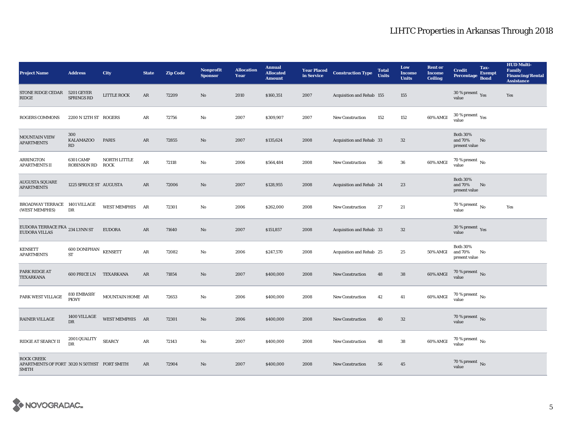| <b>Project Name</b>                                                              | <b>Address</b>                         | City                        | <b>State</b> | <b>Zip Code</b> | <b>Nonprofit</b><br><b>Sponsor</b> | <b>Allocation</b><br>Year | <b>Annual</b><br><b>Allocated</b><br><b>Amount</b> | <b>Year Placed<br/>in Service</b> | <b>Construction Type</b>  | <b>Total</b><br><b>Units</b> | Low<br><b>Income</b><br><b>Units</b> | <b>Rent or</b><br><b>Income</b><br><b>Ceiling</b> | <b>Credit</b><br><b>Percentage</b>          | Tax-<br><b>Exempt</b><br><b>Bond</b> | <b>HUD Multi-</b><br>Family<br><b>Financing/Rental</b><br><b>Assistance</b> |
|----------------------------------------------------------------------------------|----------------------------------------|-----------------------------|--------------|-----------------|------------------------------------|---------------------------|----------------------------------------------------|-----------------------------------|---------------------------|------------------------------|--------------------------------------|---------------------------------------------------|---------------------------------------------|--------------------------------------|-----------------------------------------------------------------------------|
| STONE RIDGE CEDAR 5201 GEYER<br><b>RIDGE</b>                                     | <b>SPRINGS RD</b>                      | LITTLE ROCK                 | AR           | 72209           | No                                 | 2010                      | \$160,351                                          | 2007                              | Acquisition and Rehab 155 |                              | 155                                  |                                                   | 30 % present $\gamma_{\rm{es}}$<br>value    |                                      | Yes                                                                         |
| <b>ROGERS COMMONS</b>                                                            | 2200 N 12TH ST ROGERS                  |                             | AR           | 72756           | No                                 | 2007                      | \$309,907                                          | 2007                              | <b>New Construction</b>   | 152                          | 152                                  | 60% AMGI                                          | $30\,\%$ present $\,$ Yes value             |                                      |                                                                             |
| <b>MOUNTAIN VIEW</b><br><b>APARTMENTS</b>                                        | 300<br><b>KALAMAZOO</b><br>RD          | PARIS                       | AR           | 72855           | No                                 | 2007                      | \$135,624                                          | 2008                              | Acquisition and Rehab 33  |                              | 32                                   |                                                   | <b>Both 30%</b><br>and 70%<br>present value | No                                   |                                                                             |
| ARRINGTON<br><b>APARTMENTS II</b>                                                | <b>6301 CAMP</b><br><b>ROBINSON RD</b> | NORTH LITTLE<br><b>ROCK</b> | AR           | 72118           | No                                 | 2006                      | \$564,484                                          | 2008                              | <b>New Construction</b>   | 36                           | 36                                   | 60% AMGI                                          | 70 % present $\hbox{~No}$<br>value          |                                      |                                                                             |
| <b>AUGUSTA SQUARE</b><br><b>APARTMENTS</b>                                       | 1225 SPRUCE ST AUGUSTA                 |                             | AR           | 72006           | No                                 | 2007                      | \$128,955                                          | 2008                              | Acquisition and Rehab 24  |                              | 23                                   |                                                   | <b>Both 30%</b><br>and 70%<br>present value | No                                   |                                                                             |
| BROADWAY TERRACE 1401 VILLAGE<br>(WEST MEMPHIS)                                  | DR                                     | WEST MEMPHIS AR             |              | 72301           | No                                 | 2006                      | \$262,000                                          | 2008                              | <b>New Construction</b>   | 27                           | 21                                   |                                                   | 70 % present $\,$ No $\,$<br>value          |                                      | Yes                                                                         |
| EUDORA TERRACE FKA $_{\rm 234~LYNN~ST}$<br><b>EUDORA VILLAS</b>                  |                                        | <b>EUDORA</b>               | AR           | 71640           | $\mathbf{N}\mathbf{o}$             | 2007                      | \$151,857                                          | 2008                              | Acquisition and Rehab 33  |                              | $32\phantom{.0}$                     |                                                   | 30 % present $\gamma_{\rm{es}}$<br>value    |                                      |                                                                             |
| <b>KENSETT</b><br><b>APARTMENTS</b>                                              | 600 DONIPHAN KENSETT<br><b>ST</b>      |                             | ${\bf AR}$   | 72082           | No                                 | 2006                      | \$247,570                                          | 2008                              | Acquisition and Rehab 25  |                              | 25                                   | 50% AMGI                                          | <b>Both 30%</b><br>and 70%<br>present value | No                                   |                                                                             |
| PARK RIDGE AT<br>TEXARKANA                                                       | <b>600 PRICE LN TEXARKANA</b>          |                             | AR           | 71854           | $\mathbf{N}\mathbf{o}$             | 2007                      | \$400,000                                          | 2008                              | <b>New Construction</b>   | 48                           | 38                                   | 60% AMGI                                          | 70 % present $\,$ No $\,$<br>value          |                                      |                                                                             |
| PARK WEST VILLAGE                                                                | 810 EMBASSY<br><b>PKWY</b>             | MOUNTAIN HOME AR            |              | 72653           | No                                 | 2006                      | \$400,000                                          | 2008                              | <b>New Construction</b>   | 42                           | 41                                   | 60% AMGI                                          | 70 % present $\,$ No $\,$<br>value          |                                      |                                                                             |
| <b>RAINER VILLAGE</b>                                                            | 1400 VILLAGE<br>DR                     | WEST MEMPHIS AR             |              | 72301           | No                                 | 2006                      | \$400,000                                          | 2008                              | <b>New Construction</b>   | 40                           | $32\phantom{.0}$                     |                                                   | 70 % present $\overline{N_0}$<br>value      |                                      |                                                                             |
| <b>RIDGE AT SEARCY II</b>                                                        | 2001 QUALITY<br>DR                     | <b>SEARCY</b>               | AR           | 72143           | No                                 | 2007                      | \$400,000                                          | 2008                              | <b>New Construction</b>   | 48                           | 38                                   | 60% AMGI                                          | $70$ % present $\,$ No $\,$<br>value        |                                      |                                                                             |
| <b>ROCK CREEK</b><br>APARTMENTS OF FORT 3020 N 50THST FORT SMITH<br><b>SMITH</b> |                                        |                             | AR           | 72904           | No                                 | 2007                      | \$400,000                                          | 2008                              | <b>New Construction</b>   | 56                           | 45                                   |                                                   | 70 % present $\overline{N_0}$<br>value      |                                      |                                                                             |

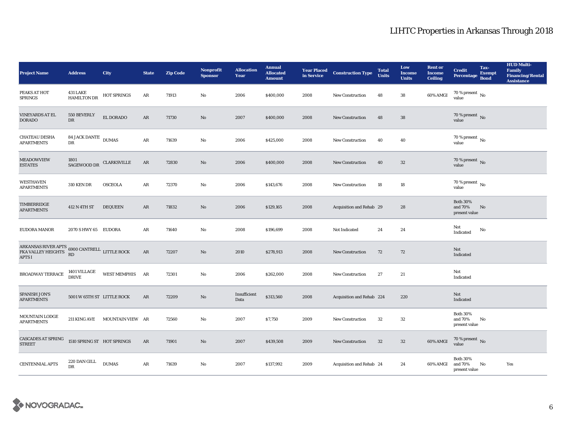| <b>Project Name</b>                                                                                    | <b>Address</b>                        | City                          | <b>State</b> | <b>Zip Code</b> | <b>Nonprofit</b><br><b>Sponsor</b> | <b>Allocation</b><br>Year | <b>Annual</b><br><b>Allocated</b><br><b>Amount</b> | <b>Year Placed<br/>in Service</b> | <b>Construction Type</b>  | <b>Total</b><br><b>Units</b> | Low<br><b>Income</b><br><b>Units</b> | <b>Rent or</b><br><b>Income</b><br><b>Ceiling</b> | <b>Credit</b><br><b>Percentage</b>          | Tax-<br><b>Exempt</b><br><b>Bond</b> | <b>HUD Multi-</b><br><b>Family</b><br><b>Financing/Rental</b><br><b>Assistance</b> |
|--------------------------------------------------------------------------------------------------------|---------------------------------------|-------------------------------|--------------|-----------------|------------------------------------|---------------------------|----------------------------------------------------|-----------------------------------|---------------------------|------------------------------|--------------------------------------|---------------------------------------------------|---------------------------------------------|--------------------------------------|------------------------------------------------------------------------------------|
| PEAKS AT HOT<br><b>SPRINGS</b>                                                                         | <b>431 LAKE</b><br><b>HAMILTON DR</b> | <b>HOT SPRINGS</b>            | AR           | 71913           | No                                 | 2006                      | \$400,000                                          | 2008                              | <b>New Construction</b>   | 48                           | 38                                   | 60% AMGI                                          | 70 % present $\,$ No $\,$<br>value          |                                      |                                                                                    |
| <b>VINEYARDS AT EL</b><br><b>DORADO</b>                                                                | 550 BEVERLY<br>DR                     | EL DORADO                     | AR           | 71730           | $\mathbf{N}\mathbf{o}$             | 2007                      | \$400,000                                          | 2008                              | <b>New Construction</b>   | 48                           | 38                                   |                                                   | 70 % present $\overline{N_0}$<br>value      |                                      |                                                                                    |
| <b>CHATEAU DESHA</b><br><b>APARTMENTS</b>                                                              | 84 JACK DANTE DUMAS<br>DR             |                               | ${\bf AR}$   | 71639           | No                                 | 2006                      | \$425,000                                          | 2008                              | <b>New Construction</b>   | 40                           | 40                                   |                                                   | 70 % present $\,$ No $\,$<br>value          |                                      |                                                                                    |
| <b>MEADOWVIEW</b><br><b>ESTATES</b>                                                                    | 1801<br>SAGEWOOD DR                   | <b>CLARKSVILLE</b>            | AR           | 72830           | $\mathbf{N}\mathbf{o}$             | 2006                      | \$400,000                                          | 2008                              | <b>New Construction</b>   | 40                           | $32\phantom{.0}$                     |                                                   | 70 % present $\,$ No $\,$<br>value          |                                      |                                                                                    |
| <b>WESTHAVEN</b><br><b>APARTMENTS</b>                                                                  | <b>310 KEN DR</b>                     | <b>OSCEOLA</b>                | $\rm{AR}$    | 72370           | $\mathbf{No}$                      | 2006                      | \$143,676                                          | 2008                              | <b>New Construction</b>   | 18                           | 18                                   |                                                   | $70$ % present $\,$ No $\,$<br>value        |                                      |                                                                                    |
| TIMBERRIDGE<br><b>APARTMENTS</b>                                                                       | 412 N 4TH ST                          | <b>DEQUEEN</b>                | AR           | 71832           | No                                 | 2006                      | \$129,165                                          | 2008                              | Acquisition and Rehab 29  |                              | 28                                   |                                                   | <b>Both 30%</b><br>and 70%<br>present value | No                                   |                                                                                    |
| EUDORA MANOR                                                                                           | 2070 SHWY 65 EUDORA                   |                               | AR           | 71640           | No                                 | 2008                      | \$196,699                                          | 2008                              | Not Indicated             | 24                           | 24                                   |                                                   | Not<br>Indicated                            | No                                   |                                                                                    |
| ARKANSAS RIVER APTS 6900 CANTRELL LITTLE ROCK FKA VALLEY HEIGHTS $_{\rm PD}^{\rm PD}$<br><b>APTS I</b> | RD                                    |                               | $\rm{AR}$    | 72207           | No                                 | 2010                      | \$278,913                                          | 2008                              | <b>New Construction</b>   | 72                           | 72                                   |                                                   | Not<br>Indicated                            |                                      |                                                                                    |
| BROADWAY TERRACE                                                                                       | 1401 VILLAGE<br>DRIVE                 | WEST MEMPHIS AR               |              | 72301           | No                                 | 2006                      | \$262,000                                          | 2008                              | <b>New Construction</b>   | 27                           | 21                                   |                                                   | Not<br>Indicated                            |                                      |                                                                                    |
| <b>SPANISH JON'S</b><br><b>APARTMENTS</b>                                                              | 5001 W 65TH ST LITTLE ROCK            |                               | AR           | 72209           | $\mathbf{N}\mathbf{o}$             | Insufficient<br>Data      | \$313,560                                          | 2008                              | Acquisition and Rehab 224 |                              | 220                                  |                                                   | Not<br>Indicated                            |                                      |                                                                                    |
| MOUNTAIN LODGE<br><b>APARTMENTS</b>                                                                    |                                       | 211 KING AVE MOUNTAIN VIEW AR |              | 72560           | $\mathbf{No}$                      | 2007                      | \$7,750                                            | 2009                              | <b>New Construction</b>   | $32\,$                       | $32\,$                               |                                                   | <b>Both 30%</b><br>and 70%<br>present value | No                                   |                                                                                    |
| <b>CASCADES AT SPRING</b><br><b>STREET</b>                                                             | 1510 SPRING ST HOT SPRINGS            |                               | AR           | 71901           | $\mathbf{N}\mathbf{o}$             | 2007                      | \$439,508                                          | 2009                              | <b>New Construction</b>   | 32                           | 32                                   | 60% AMGI                                          | $70$ % present $\,$ No value                |                                      |                                                                                    |
| <b>CENTENNIAL APTS</b>                                                                                 | 220 DAN GILL<br><b>DR</b>             | <b>DUMAS</b>                  | AR           | 71639           | No                                 | 2007                      | \$137,992                                          | 2009                              | Acquisition and Rehab 24  |                              | 24                                   | 60% AMGI                                          | <b>Both 30%</b><br>and 70%<br>present value | No                                   | Yes                                                                                |

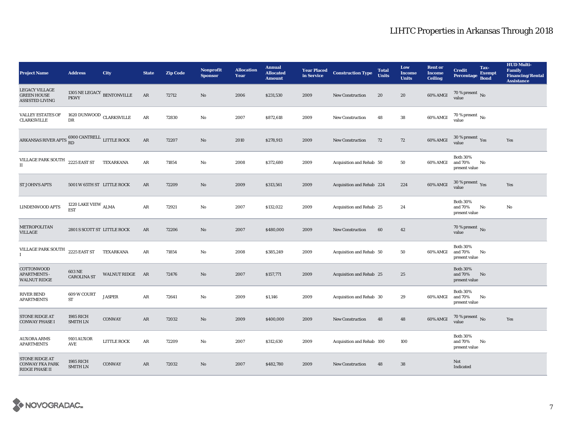| <b>Project Name</b>                                                   | <b>Address</b>                                 | City               | <b>State</b> | <b>Zip Code</b> | <b>Nonprofit</b><br><b>Sponsor</b> | <b>Allocation</b><br>Year | <b>Annual</b><br><b>Allocated</b><br><b>Amount</b> | <b>Year Placed</b><br>in Service | <b>Construction Type</b>  | <b>Total</b><br><b>Units</b> | Low<br>Income<br><b>Units</b> | <b>Rent or</b><br><b>Income</b><br><b>Ceiling</b> | <b>Credit</b><br><b>Percentage</b>          | Tax-<br><b>Exempt</b><br><b>Bond</b> | <b>HUD Multi-</b><br><b>Family</b><br><b>Financing/Rental</b><br><b>Assistance</b> |
|-----------------------------------------------------------------------|------------------------------------------------|--------------------|--------------|-----------------|------------------------------------|---------------------------|----------------------------------------------------|----------------------------------|---------------------------|------------------------------|-------------------------------|---------------------------------------------------|---------------------------------------------|--------------------------------------|------------------------------------------------------------------------------------|
| <b>LEGACY VILLAGE</b><br><b>GREEN HOUSE</b><br><b>ASSISTED LIVING</b> | 1305 NE LEGACY BENTONVILLE<br><b>PKWY</b>      |                    | AR           | 72712           | No                                 | 2006                      | \$231,530                                          | 2009                             | <b>New Construction</b>   | 20                           | 20                            | 60% AMGI                                          | 70 % present $\hbox{~No}$<br>value          |                                      |                                                                                    |
| <b>VALLEY ESTATES OF</b><br><b>CLARKSVILLE</b>                        | 1620 DUNWOOD $\rm ~CLARKSVILLE$<br>$_{\rm DR}$ |                    | ${\bf AR}$   | 72830           | $\mathbf{No}$                      | 2007                      | \$872,618                                          | 2009                             | <b>New Construction</b>   | 48                           | 38                            | 60% AMGI                                          | $70$ % present $\,$ No value                |                                      |                                                                                    |
| ARKANSAS RIVER APTS $_{\rm RD}^{6900\rm~CANTRELL}$ LITTLE ROCK        |                                                |                    | $\rm{AR}$    | 72207           | No                                 | 2010                      | \$278,913                                          | 2009                             | <b>New Construction</b>   | 72                           | 72                            | 60% AMGI                                          | $30\,\%$ present $\,\mathrm{Yes}$ value     |                                      | Yes                                                                                |
| VILLAGE PARK SOUTH 2225 EAST ST<br>$\mathbf{I}$                       |                                                | TEXARKANA          | ${\bf AR}$   | 71854           | No                                 | 2008                      | \$372,680                                          | 2009                             | Acquisition and Rehab 50  |                              | 50                            | 60% AMGI                                          | <b>Both 30%</b><br>and 70%<br>present value | No                                   |                                                                                    |
| <b>ST JOHN'S APTS</b>                                                 | 5001 W 65TH ST LITTLE ROCK                     |                    | AR           | 72209           | $\mathbf{N}\mathbf{o}$             | 2009                      | \$313,561                                          | 2009                             | Acquisition and Rehab 224 |                              | 224                           | 60% AMGI                                          | $30\,\%$ present $\,$ Yes value             |                                      | Yes                                                                                |
| <b>LINDENWOOD APTS</b>                                                | 1220 LAKE VIEW $_{\rm ALMA}$<br><b>EST</b>     |                    | ${\bf AR}$   | 72921           | No                                 | 2007                      | \$132,022                                          | 2009                             | Acquisition and Rehab 25  |                              | 24                            |                                                   | <b>Both 30%</b><br>and 70%<br>present value | No                                   | No                                                                                 |
| METROPOLITAN<br><b>VILLAGE</b>                                        | 2801 S SCOTT ST LITTLE ROCK                    |                    | AR           | 72206           | $\mathbf{N}\mathbf{o}$             | 2007                      | \$480,000                                          | 2009                             | New Construction          | 60                           | 42                            |                                                   | 70 % present $\,$ No $\,$<br>value          |                                      |                                                                                    |
| VILLAGE PARK SOUTH<br>$\bf{I}$                                        | 2225 EAST ST                                   | TEXARKANA          | ${\bf AR}$   | 71854           | $\mathbf{No}$                      | 2008                      | \$385,249                                          | 2009                             | Acquisition and Rehab 50  |                              | 50                            | 60% AMGI                                          | <b>Both 30%</b><br>and 70%<br>present value | No                                   |                                                                                    |
| COTTONWOOD<br><b>APARTMENTS -</b><br><b>WALNUT RIDGE</b>              | <b>603 NE</b><br><b>CAROLINA ST</b>            | WALNUT RIDGE AR    |              | 72476           | $\mathbf{N}\mathbf{o}$             | 2007                      | \$157,771                                          | 2009                             | Acquisition and Rehab 25  |                              | 25                            |                                                   | <b>Both 30%</b><br>and 70%<br>present value | No                                   |                                                                                    |
| <b>RIVER BEND</b><br><b>APARTMENTS</b>                                | 609 W COURT<br><b>ST</b>                       | <b>JASPER</b>      | ${\bf AR}$   | 72641           | No                                 | 2009                      | \$1,146                                            | 2009                             | Acquisition and Rehab 30  |                              | 29                            | 60% AMGI                                          | <b>Both 30%</b><br>and 70%<br>present value | No                                   |                                                                                    |
| <b>STONE RIDGE AT</b><br><b>CONWAY PHASE I</b>                        | 1985 RICH<br><b>SMITH LN</b>                   | CONWAY             | AR           | 72032           | No                                 | 2009                      | \$400,000                                          | 2009                             | New Construction          | 48                           | 48                            | 60% AMGI                                          | $70\,\%$ present $\,$ No value              |                                      | Yes                                                                                |
| <b>AUXORA ARMS</b><br><b>APARTMENTS</b>                               | <b>9101 AUXOR</b><br>AVE                       | <b>LITTLE ROCK</b> | AR           | 72209           | No                                 | 2007                      | \$312,630                                          | 2009                             | Acquisition and Rehab 100 |                              | 100                           |                                                   | <b>Both 30%</b><br>and 70%<br>present value | No                                   |                                                                                    |
| STONE RIDGE AT<br><b>CONWAY FKA PARK</b><br>RIDGE PHASE II            | 1985 RICH<br><b>SMITH LN</b>                   | <b>CONWAY</b>      | AR           | 72032           | No                                 | 2007                      | \$482,780                                          | 2009                             | <b>New Construction</b>   | 48                           | 38                            |                                                   | Not<br>Indicated                            |                                      |                                                                                    |

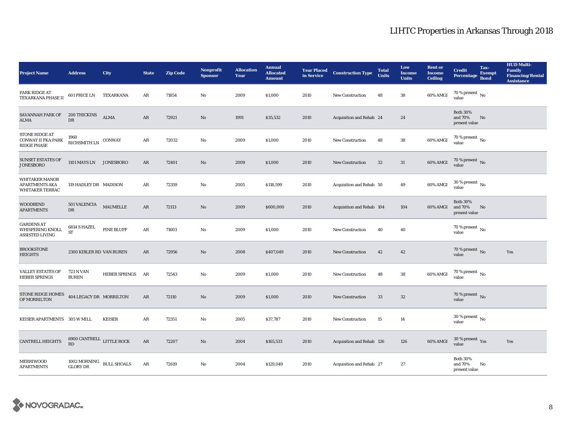| <b>Project Name</b>                                                      | <b>Address</b>                         | City                 | <b>State</b> | <b>Zip Code</b> | <b>Nonprofit</b><br><b>Sponsor</b> | <b>Allocation</b><br>Year | <b>Annual</b><br><b>Allocated</b><br><b>Amount</b> | in Service | <b>Year Placed Construction Type</b> | <b>Total</b><br><b>Units</b> | Low<br><b>Income</b><br><b>Units</b> | <b>Rent or</b><br>Income<br><b>Ceiling</b> | <b>Credit</b><br>Percentage                 | Tax-<br><b>Exempt</b><br><b>Bond</b> | <b>HUD Multi-</b><br><b>Family</b><br><b>Financing/Rental</b><br><b>Assistance</b> |
|--------------------------------------------------------------------------|----------------------------------------|----------------------|--------------|-----------------|------------------------------------|---------------------------|----------------------------------------------------|------------|--------------------------------------|------------------------------|--------------------------------------|--------------------------------------------|---------------------------------------------|--------------------------------------|------------------------------------------------------------------------------------|
| PARK RIDGE AT<br>TEXARKANA PHASE II                                      | 601 PRICE LN                           | TEXARKANA            | AR           | 71854           | No                                 | 2009                      | \$1,000                                            | 2010       | New Construction                     | 48                           | 38                                   | 60% AMGI                                   | 70 % present $\,$ No $\,$<br>value          |                                      |                                                                                    |
| SAVANNAH PARK OF<br>ALMA                                                 | 200 THICKINS<br>DR                     | <b>ALMA</b>          | ${\bf AR}$   | 72921           | $\mathbf{N}\mathbf{o}$             | 1991                      | \$35,532                                           | 2010       | Acquisition and Rehab 24             |                              | 24                                   |                                            | <b>Both 30%</b><br>and 70%<br>present value | No                                   |                                                                                    |
| <b>STONE RIDGE AT</b><br>CONWAY II FKA PARK<br><b>RIDGE PHASE</b>        | 1960<br>RICHSMITH LN $\,$ CONWAY       |                      | $\rm{AR}$    | 72032           | $\rm No$                           | 2009                      | \$1,000                                            | 2010       | <b>New Construction</b>              | 48                           | 38                                   | 60% AMGI                                   | $70$ % present $\,$ No value                |                                      |                                                                                    |
| <b>SUNSET ESTATES OF</b><br><b>JONESBORO</b>                             | 1101 MAYS LN JONESBORO                 |                      | AR           | 72401           | $\rm No$                           | 2009                      | \$1,000                                            | 2010       | New Construction                     | $32\,$                       | 31                                   | <b>60% AMGI</b>                            | $70$ % present $\,$ No value                |                                      |                                                                                    |
| <b>WHITAKER MANOR</b><br><b>APARTMENTS AKA</b><br><b>WHITAKER TERRAC</b> | 119 HADLEY DR MADISON                  |                      | AR           | 72359           | $\mathbf{N}\mathbf{o}$             | 2005                      | \$118,599                                          | 2010       | Acquisition and Rehab 50             |                              | 49                                   | 60% AMGI                                   | $30\,\%$ present $\,$ No value              |                                      |                                                                                    |
| <b>WOODBEND</b><br><b>APARTMENTS</b>                                     | <b>501 VALENCIA</b><br>DR              | <b>MAUMELLE</b>      | AR           | 72113           | $\mathbf{N}\mathbf{o}$             | 2009                      | \$600,000                                          | 2010       | Acquisition and Rehab 104            |                              | 104                                  | 60% AMGI                                   | <b>Both 30%</b><br>and 70%<br>present value | No                                   |                                                                                    |
| <b>GARDENS AT</b><br>WHISPERING KNOLL<br>ASSISTED LIVING                 | 6814 S HAZEL<br><b>ST</b>              | <b>PINE BLUFF</b>    | AR           | 71603           | No                                 | 2009                      | \$1,000                                            | 2010       | <b>New Construction</b>              | 40                           | 40                                   |                                            | 70 % present $\hbox{~No}$<br>value          |                                      |                                                                                    |
| <b>BROOKSTONE</b><br><b>HEIGHTS</b>                                      | 2300 KIBLER RD VAN BUREN               |                      | AR           | 72956           | $\mathbf{N}\mathbf{o}$             | 2008                      | \$407,049                                          | 2010       | <b>New Construction</b>              | 42                           | 42                                   |                                            | 70 % present $\,$ No $\,$<br>value          |                                      | Yes                                                                                |
| <b>VALLEY ESTATES OF</b><br><b>HEBER SPRINGS</b>                         | <b>723 N VAN</b><br><b>BUREN</b>       | <b>HEBER SPRINGS</b> | AR           | 72543           | No                                 | 2009                      | \$1,000                                            | 2010       | New Construction                     | 48                           | 38                                   | 60% AMGI                                   | $70$ % present $\,$ No value                |                                      |                                                                                    |
| <b>STONE RIDGE HOMES</b><br>OF MORRILTON                                 | 404 LEGACY DR MORRILTON                |                      | ${\bf AR}$   | 72110           | $\rm No$                           | 2009                      | \$1,000                                            | 2010       | <b>New Construction</b>              | $33\,$                       | $32\,$                               |                                            | 70 % present $\,$ No $\,$<br>value          |                                      |                                                                                    |
| KEISER APARTMENTS 305 W MILL                                             |                                        | <b>KEISER</b>        | $\rm{AR}$    | 72351           | No                                 | 2005                      | \$37,787                                           | 2010       | New Construction                     | 15                           | 14                                   |                                            | $30\,\%$ present $\,$ No $\,$<br>value      |                                      |                                                                                    |
| <b>CANTRELL HEIGHTS</b>                                                  | 6900 CANTRELL LITTLE ROCK<br><b>RD</b> |                      | AR           | 72207           | $\rm No$                           | 2004                      | \$165,533                                          | 2010       | Acquisition and Rehab 126            |                              | 126                                  | 60% AMGI                                   | $30\,\%$ present $\,$ Yes value             |                                      | Yes                                                                                |
| <b>MERRIWOOD</b><br><b>APARTMENTS</b>                                    | 1002 MORNING<br><b>GLORY DR</b>        | <b>BULL SHOALS</b>   | ${\sf AR}$   | 72619           | $\mathbf{No}$                      | 2004                      | \$129,049                                          | 2010       | Acquisition and Rehab 27             |                              | 27                                   |                                            | <b>Both 30%</b><br>and 70%<br>present value | No                                   |                                                                                    |

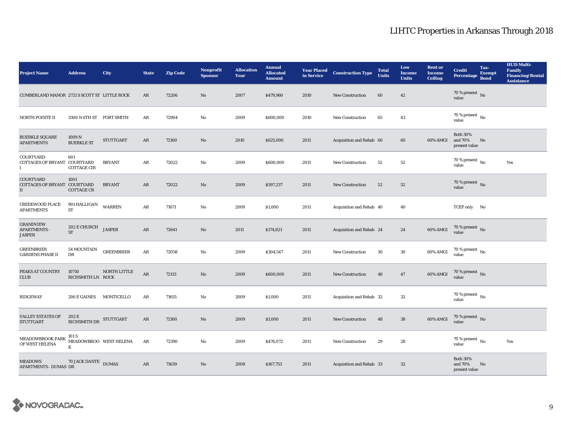| <b>Project Name</b>                                              | <b>Address</b>                            | City              | <b>State</b> | <b>Zip Code</b> | <b>Nonprofit</b><br><b>Sponsor</b> | <b>Allocation</b><br>Year | <b>Annual</b><br><b>Allocated</b><br><b>Amount</b> | <b>Year Placed<br/>in Service</b> | <b>Construction Type</b>        | <b>Total</b><br><b>Units</b> | Low<br><b>Income</b><br><b>Units</b> | <b>Rent or</b><br><b>Income</b><br><b>Ceiling</b> | <b>Credit</b><br><b>Percentage</b>          | Tax-<br><b>Exempt</b><br><b>Bond</b> | <b>HUD Multi-</b><br><b>Family</b><br><b>Financing/Rental</b><br><b>Assistance</b> |
|------------------------------------------------------------------|-------------------------------------------|-------------------|--------------|-----------------|------------------------------------|---------------------------|----------------------------------------------------|-----------------------------------|---------------------------------|------------------------------|--------------------------------------|---------------------------------------------------|---------------------------------------------|--------------------------------------|------------------------------------------------------------------------------------|
| CUMBERLAND MANOR 2721 S SCOTT ST LITTLE ROCK                     |                                           |                   | AR           | 72206           | No                                 | 2007                      | \$479,960                                          | 2010                              | <b>New Construction</b>         | 60                           | 42                                   |                                                   | 70 % present $\,$ No $\,$<br>value          |                                      |                                                                                    |
| NORTH POINTE II                                                  | 3300 N 6TH ST FORT SMITH                  |                   | AR           | 72904           | No                                 | 2009                      | \$600,000                                          | 2010                              | New Construction                | 65                           | 43                                   |                                                   | 70 % present $\,$ No $\,$<br>value          |                                      |                                                                                    |
| <b>BUERKLE SQUARE</b><br><b>APARTMENTS</b>                       | 1009 <sub>N</sub><br><b>BUERKLE ST</b>    | <b>STUTTGART</b>  | AR           | 72160           | No                                 | 2010                      | \$625,000                                          | 2011                              | Acquisition and Rehab 60        |                              | 60                                   | 60% AMGI                                          | <b>Both 30%</b><br>and 70%<br>present value | No                                   |                                                                                    |
| COURTYARD<br>COTTAGES OF BRYANT COURTYARD<br>Ι.                  | 601<br><b>COTTAGE CIR</b>                 | <b>BRYANT</b>     | AR           | 72022           | No                                 | 2009                      | \$600,000                                          | 2011                              | New Construction                | 52                           | 52                                   |                                                   | 70 % present $\,$ No $\,$<br>value          |                                      | Yes                                                                                |
| <b>COURTYARD</b><br>COTTAGES OF BRYANT COURTYARD<br>$\mathbf{I}$ | 1001<br><b>COTTAGE CR</b>                 | <b>BRYANT</b>     | $\rm{AR}$    | 72022           | No                                 | 2009                      | \$597,237                                          | 2011                              | <b>New Construction</b>         | 52                           | 52                                   |                                                   | $70$ % present $\,$ No value                |                                      |                                                                                    |
| <b>CREEKWOOD PLACE</b><br><b>APARTMENTS</b>                      | 901 HALLIGAN<br>ST                        | <b>WARREN</b>     | AR           | 71671           | No                                 | 2009                      | \$1,000                                            | 2011                              | Acquisition and Rehab 40        |                              | 40                                   |                                                   | TCEP only No                                |                                      |                                                                                    |
| <b>GRANDVIEW</b><br><b>APARTMENTS -</b><br><b>JASPER</b>         | $202$ E CHURCH JASPER<br><b>ST</b>        |                   | $\rm{AR}$    | 72641           | No                                 | 2011                      | \$174,821                                          | 2011                              | Acquisition and Rehab 24        |                              | 24                                   | 60% AMGI                                          | $70$ % present $\,$ No value                |                                      |                                                                                    |
| <b>GREENBRIER</b><br><b>GARDENS PHASE II</b>                     | 54 MOUNTAIN<br>DR                         | <b>GREENBRIER</b> | ${\bf AR}$   | 72058           | No                                 | 2009                      | \$304,547                                          | 2011                              | <b>New Construction</b>         | 30                           | $30\,$                               | 60% AMGI                                          | 70 % present $\,$ No $\,$<br>value          |                                      |                                                                                    |
| PEAKS AT COUNTRY<br><b>CLUB</b>                                  | 10710<br>RICHSMITH LN ROCK                | NORTH LITTLE      | $\rm{AR}$    | 72113           | No                                 | 2009                      | \$600,000                                          | 2011                              | <b>New Construction</b>         | 48                           | 47                                   | $60\%$ AMGI                                       | $70$ % present $\,$ No value                |                                      |                                                                                    |
| <b>RIDGEWAY</b>                                                  | 206 E GAINES                              | MONTICELLO        | AR           | 71655           | No                                 | 2009                      | \$1,000                                            | 2011                              | Acquisition and Rehab 32        |                              | 32                                   |                                                   | $70$ % present $\,$ No $\,$<br>value        |                                      |                                                                                    |
| <b>VALLEY ESTATES OF</b><br><b>STUTTGART</b>                     | 202 E<br>RICHSMITH DR STUTTGART           |                   | AR           | 72160           | No                                 | 2009                      | \$1,000                                            | 2011                              | New Construction                | 48                           | 38                                   | $60\%$ AMGI                                       | $70$ % present $\,$ No value                |                                      |                                                                                    |
| MEADOWBROOK PARK<br>OF WEST HELENA                               | 101 S<br>MEADOWBROO WEST HELENA<br>$\,$ K |                   | AR           | 72390           | No                                 | 2009                      | \$476,072                                          | 2011                              | <b>New Construction</b>         | 29                           | 28                                   |                                                   | $70$ % present $\,$ No $\,$<br>value        |                                      | Yes                                                                                |
| <b>MEADOWS</b><br><b>APARTMENTS - DUMAS DR</b>                   | 70 JACK DANTE DUMAS                       |                   | ${\sf AR}$   | 71639           | No                                 | 2008                      | \$167,753                                          | 2011                              | <b>Acquisition and Rehab 33</b> |                              | 32                                   |                                                   | <b>Both 30%</b><br>and 70%<br>present value | No                                   |                                                                                    |

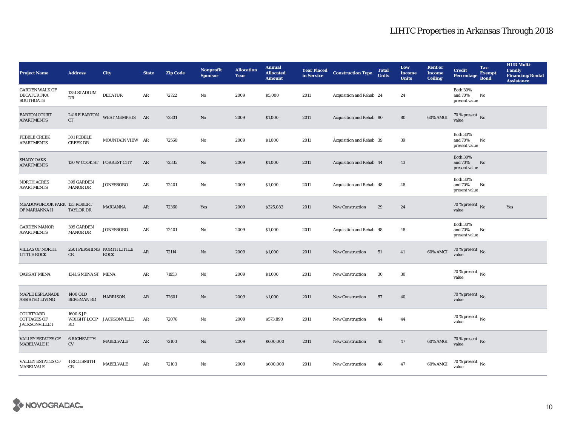| <b>Project Name</b>                                             | <b>Address</b>                         | City                     | <b>State</b> | <b>Zip Code</b> | <b>Nonprofit</b><br><b>Sponsor</b> | <b>Allocation</b><br>Year | <b>Annual</b><br><b>Allocated</b><br><b>Amount</b> | <b>Year Placed</b><br>in Service | <b>Construction Type</b> | <b>Total</b><br><b>Units</b> | Low<br><b>Income</b><br><b>Units</b> | <b>Rent or</b><br>Income<br><b>Ceiling</b> | <b>Credit</b><br><b>Percentage</b>          | Tax-<br><b>Exempt</b><br><b>Bond</b> | <b>HUD Multi-</b><br><b>Family</b><br><b>Financing/Rental</b><br><b>Assistance</b> |
|-----------------------------------------------------------------|----------------------------------------|--------------------------|--------------|-----------------|------------------------------------|---------------------------|----------------------------------------------------|----------------------------------|--------------------------|------------------------------|--------------------------------------|--------------------------------------------|---------------------------------------------|--------------------------------------|------------------------------------------------------------------------------------|
| <b>GARDEN WALK OF</b><br><b>DECATUR FKA</b><br><b>SOUTHGATE</b> | 1251 STADIUM<br>DR                     | <b>DECATUR</b>           | AR           | 72722           | No                                 | 2009                      | \$5,000                                            | 2011                             | Acquisition and Rehab 24 |                              | 24                                   |                                            | <b>Both 30%</b><br>and 70%<br>present value | No                                   |                                                                                    |
| <b>BARTON COURT</b><br><b>APARTMENTS</b>                        | 2416 E BARTON<br>CT                    | WEST MEMPHIS AR          |              | 72301           | $\rm No$                           | 2009                      | \$1,000                                            | 2011                             | Acquisition and Rehab 80 |                              | 80                                   | 60% AMGI                                   | $70$ % present $\,$ No value                |                                      |                                                                                    |
| PEBBLE CREEK<br><b>APARTMENTS</b>                               | 301 PEBBLE<br><b>CREEK DR</b>          | MOUNTAIN VIEW AR         |              | 72560           | $\rm No$                           | 2009                      | \$1,000                                            | 2011                             | Acquisition and Rehab 39 |                              | $39\,$                               |                                            | <b>Both 30%</b><br>and 70%<br>present value | No                                   |                                                                                    |
| <b>SHADY OAKS</b><br><b>APARTMENTS</b>                          | 130 W COOK ST FORREST CITY             |                          | AR           | 72335           | $\rm No$                           | 2009                      | \$1,000                                            | 2011                             | Acquisition and Rehab 44 |                              | 43                                   |                                            | <b>Both 30%</b><br>and 70%<br>present value | No                                   |                                                                                    |
| <b>NORTH ACRES</b><br><b>APARTMENTS</b>                         | 399 GARDEN<br><b>MANOR DR</b>          | <b>JONESBORO</b>         | $\rm{AR}$    | 72401           | $\mathbf{N}\mathbf{o}$             | 2009                      | \$1,000                                            | 2011                             | Acquisition and Rehab 48 |                              | 48                                   |                                            | <b>Both 30%</b><br>and 70%<br>present value | No                                   |                                                                                    |
| MEADOWBROOK PARK 133 ROBERT<br>OF MARIANNA II                   | <b>TAYLOR DR</b>                       | MARIANNA                 | AR           | 72360           | Yes                                | 2009                      | \$325,083                                          | 2011                             | <b>New Construction</b>  | 29                           | 24                                   |                                            | 70 % present $\,$ No $\,$<br>value          |                                      | Yes                                                                                |
| <b>GARDEN MANOR</b><br><b>APARTMENTS</b>                        | 399 GARDEN<br><b>MANOR DR</b>          | <b>JONESBORO</b>         | AR           | 72401           | No                                 | 2009                      | \$1,000                                            | 2011                             | Acquisition and Rehab 48 |                              | 48                                   |                                            | <b>Both 30%</b><br>and 70%<br>present value | No                                   |                                                                                    |
| <b>VILLAS OF NORTH</b><br><b>LITTLE ROCK</b>                    | 2601 PERSHING NORTH LITTLE<br>$\rm CR$ | <b>ROCK</b>              | $\rm{AR}$    | 72114           | $\mathbf{N}\mathbf{o}$             | 2009                      | \$1,000                                            | 2011                             | <b>New Construction</b>  | 51                           | 41                                   | 60% AMGI                                   | 70 % present $\,$ No $\,$<br>value          |                                      |                                                                                    |
| OAKS AT MENA                                                    | 1341 S MENA ST MENA                    |                          | AR           | 71953           | No                                 | 2009                      | \$1,000                                            | 2011                             | New Construction         | $30\,$                       | $30\,$                               |                                            | $70$ % present $\,$ No $\,$<br>value        |                                      |                                                                                    |
| MAPLE ESPLANADE<br>ASSISTED LIVING                              | 1400 OLD<br><b>BERGMAN RD</b>          | <b>HARRISON</b>          | ${\bf AR}$   | 72601           | $\rm No$                           | 2009                      | \$1,000                                            | 2011                             | <b>New Construction</b>  | 57                           | 40                                   |                                            | 70 % present $\,$ No $\,$<br>value          |                                      |                                                                                    |
| <b>COURTYARD</b><br><b>COTTAGES OF</b><br><b>JACKSONVILLE I</b> | 1600 S JP<br>RD                        | WRIGHT LOOP JACKSONVILLE | AR           | 72076           | No                                 | 2009                      | \$573,890                                          | 2011                             | New Construction         | 44                           | 44                                   |                                            | $70$ % present $\,$ No $\,$<br>value        |                                      |                                                                                    |
| <b>VALLEY ESTATES OF</b><br><b>MABELVALE II</b>                 | <b>6 RICHSMITH</b><br>CV               | <b>MABELVALE</b>         | AR           | 72103           | $\rm No$                           | 2009                      | \$600,000                                          | 2011                             | <b>New Construction</b>  | 48                           | 47                                   | 60% AMGI                                   | $70\,\%$ present $\,$ No value              |                                      |                                                                                    |
| <b>VALLEY ESTATES OF</b><br>MABELVALE                           | 1 RICHSMITH<br>CR                      | MABELVALE                | AR           | 72103           | $\mathbf{No}$                      | 2009                      | \$600,000                                          | 2011                             | <b>New Construction</b>  | 48                           | 47                                   | 60% AMGI                                   | 70 % present $\,$ No $\,$<br>value          |                                      |                                                                                    |

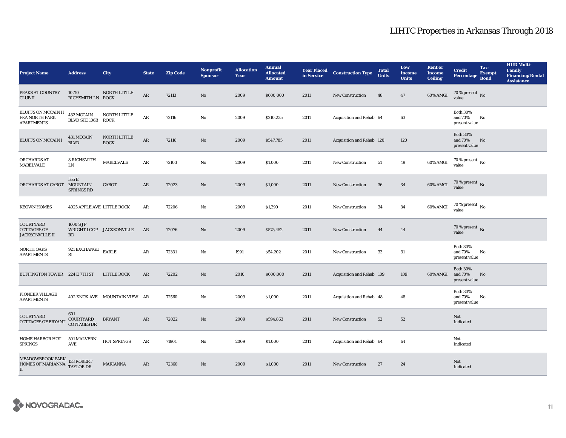| <b>Project Name</b>                                             | <b>Address</b>                         | City                          | <b>State</b> | <b>Zip Code</b> | <b>Nonprofit</b><br><b>Sponsor</b> | <b>Allocation</b><br>Year | <b>Annual</b><br><b>Allocated</b><br><b>Amount</b> | <b>Year Placed</b><br>in Service | <b>Construction Type</b>  | <b>Total</b><br><b>Units</b> | Low<br><b>Income</b><br><b>Units</b> | <b>Rent or</b><br><b>Income</b><br><b>Ceiling</b> | <b>Credit</b><br><b>Percentage</b>          | Tax-<br><b>Exempt</b><br><b>Bond</b> | <b>HUD Multi-</b><br><b>Family</b><br><b>Financing/Rental</b><br><b>Assistance</b> |
|-----------------------------------------------------------------|----------------------------------------|-------------------------------|--------------|-----------------|------------------------------------|---------------------------|----------------------------------------------------|----------------------------------|---------------------------|------------------------------|--------------------------------------|---------------------------------------------------|---------------------------------------------|--------------------------------------|------------------------------------------------------------------------------------|
| PEAKS AT COUNTRY<br><b>CLUBII</b>                               | 10710<br>RICHSMITH LN ROCK             | NORTH LITTLE                  | AR           | 72113           | No                                 | 2009                      | \$600,000                                          | 2011                             | <b>New Construction</b>   | 48                           | 47                                   | 60% AMGI                                          | 70 % present $\hbox{~No}$<br>value          |                                      |                                                                                    |
| BLUFFS ON MCCAIN II<br>FKA NORTH PARK<br><b>APARTMENTS</b>      | 432 MCCAIN<br>BLVD STE 106B ROCK       | NORTH LITTLE                  | $\rm{AR}$    | 72116           | No                                 | 2009                      | \$210,235                                          | 2011                             | Acquisition and Rehab 64  |                              | 63                                   |                                                   | <b>Both 30%</b><br>and 70%<br>present value | No                                   |                                                                                    |
| <b>BLUFFS ON MCCAIN I</b>                                       | <b>431 MCCAIN</b><br><b>BLVD</b>       | NORTH LITTLE<br><b>ROCK</b>   | ${\sf AR}$   | 72116           | No                                 | 2009                      | \$547,785                                          | 2011                             | Acquisition and Rehab 120 |                              | 120                                  |                                                   | <b>Both 30%</b><br>and 70%<br>present value | No                                   |                                                                                    |
| ORCHARDS AT<br><b>MABELVALE</b>                                 | <b>8 RICHSMITH</b><br>${\rm LN}$       | <b>MABELVALE</b>              | ${\bf AR}$   | 72103           | No                                 | 2009                      | \$1,000                                            | 2011                             | <b>New Construction</b>   | 51                           | 49                                   | 60% AMGI                                          | 70 % present $\hbox{~No}$<br>value          |                                      |                                                                                    |
| ORCHARDS AT CABOT MOUNTAIN                                      | 555 E<br><b>SPRINGS RD</b>             | CABOT                         | AR           | 72023           | $\mathbf{N}\mathbf{o}$             | 2009                      | \$1,000                                            | 2011                             | New Construction          | ${\bf 36}$                   | 34                                   | 60% AMGI                                          | 70 % present $\,$ No $\,$<br>value          |                                      |                                                                                    |
| <b>KEOWN HOMES</b>                                              | <b>4025 APPLE AVE LITTLE ROCK</b>      |                               | AR           | 72206           | No                                 | 2009                      | \$1,390                                            | 2011                             | <b>New Construction</b>   | 34                           | 34                                   | 60% AMGI                                          | $70$ % present $\,$ No $\,$<br>value        |                                      |                                                                                    |
| COURTYARD<br><b>COTTAGES OF</b><br>JACKSONVILLE II              | 1600 S JP<br>RD                        | WRIGHT LOOP JACKSONVILLE      | AR           | 72076           | No                                 | 2009                      | \$575,452                                          | 2011                             | <b>New Construction</b>   | 44                           | 44                                   |                                                   | 70 % present $\,$ No $\,$<br>value          |                                      |                                                                                    |
| <b>NORTH OAKS</b><br><b>APARTMENTS</b>                          | $921\,$ EXCHANGE<br>${\cal ST}$        | <b>EARLE</b>                  | ${\bf AR}$   | 72331           | No                                 | 1991                      | \$54,202                                           | 2011                             | New Construction          | 33                           | 31                                   |                                                   | <b>Both 30%</b><br>and 70%<br>present value | No                                   |                                                                                    |
| BUFFINGTON TOWER 224 E 7TH ST                                   |                                        | LITTLE ROCK                   | AR           | 72202           | $\mathbf{No}$                      | 2010                      | \$600,000                                          | 2011                             | Acquisition and Rehab 109 |                              | 109                                  | 60% AMGI                                          | <b>Both 30%</b><br>and 70%<br>present value | No                                   |                                                                                    |
| PIONEER VILLAGE<br><b>APARTMENTS</b>                            |                                        | 402 KNOX AVE MOUNTAIN VIEW AR |              | 72560           | No                                 | 2009                      | \$1,000                                            | 2011                             | Acquisition and Rehab 48  |                              | 48                                   |                                                   | <b>Both 30%</b><br>and 70%<br>present value | No                                   |                                                                                    |
| <b>COURTYARD</b><br><b>COTTAGES OF BRYANT</b>                   | 601<br>COURTYARD<br><b>COTTAGES DR</b> | <b>BRYANT</b>                 | AR           | 72022           | $\mathbf{No}$                      | 2009                      | \$594,863                                          | 2011                             | <b>New Construction</b>   | 52                           | 52                                   |                                                   | Not<br>Indicated                            |                                      |                                                                                    |
| <b>HOME HARBOR HOT</b><br><b>SPRINGS</b>                        | 501 MALVERN<br>AVE                     | HOT SPRINGS                   | AR           | 71901           | No                                 | 2009                      | \$1,000                                            | 2011                             | Acquisition and Rehab 64  |                              | 64                                   |                                                   | Not<br>Indicated                            |                                      |                                                                                    |
| MEADOWBROOK PARK<br>HOMES OF MARIANNA TAYLOR DR<br>$\mathbf{I}$ |                                        | <b>MARIANNA</b>               | AR           | 72360           | No                                 | 2009                      | \$1,000                                            | 2011                             | <b>New Construction</b>   | 27                           | 24                                   |                                                   | Not<br>Indicated                            |                                      |                                                                                    |

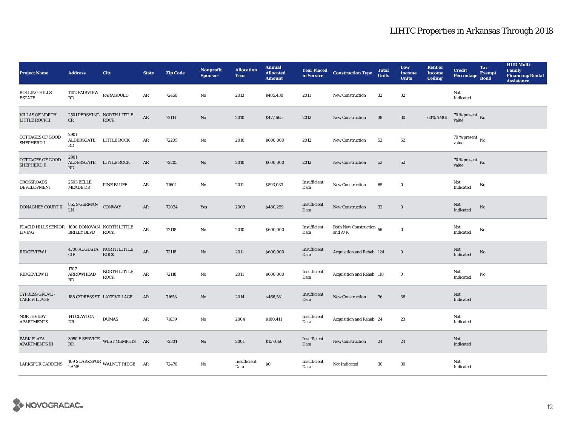| <b>Project Name</b>                                     | <b>Address</b>                       | City                                      | <b>State</b> | <b>Zip Code</b> | <b>Nonprofit</b><br><b>Sponsor</b> | <b>Allocation</b><br>Year | <b>Annual</b><br><b>Allocated</b><br><b>Amount</b> | <b>Year Placed<br/>in Service</b> | <b>Construction Type</b>                        | <b>Total</b><br><b>Units</b> | Low<br>Income<br><b>Units</b> | <b>Rent or</b><br><b>Income</b><br><b>Ceiling</b> | <b>Credit</b><br><b>Percentage</b> | Tax-<br><b>Exempt</b><br><b>Bond</b> | <b>HUD Multi-</b><br><b>Family</b><br><b>Financing/Rental</b><br><b>Assistance</b> |
|---------------------------------------------------------|--------------------------------------|-------------------------------------------|--------------|-----------------|------------------------------------|---------------------------|----------------------------------------------------|-----------------------------------|-------------------------------------------------|------------------------------|-------------------------------|---------------------------------------------------|------------------------------------|--------------------------------------|------------------------------------------------------------------------------------|
| ROLLING HILLS<br><b>ESTATE</b>                          | 1102 FAIRVIEW<br>RD                  | PARAGOULD                                 | ${\bf AR}$   | 72450           | No                                 | 2013                      | \$485,430                                          | 2011                              | New Construction                                | $32\,$                       | $32\,$                        |                                                   | Not<br>Indicated                   |                                      |                                                                                    |
| <b>VILLAS OF NORTH</b><br>LITTLE ROCK II                | CR                                   | 2501 PERSHING NORTH LITTLE<br><b>ROCK</b> | $\rm{AR}$    | 72114           | $\mathbf{N}\mathbf{o}$             | 2010                      | \$477,665                                          | 2012                              | <b>New Construction</b>                         | ${\bf 38}$                   | $30\,$                        | 60% AMGI                                          | $70$ % present $\,$ No value       |                                      |                                                                                    |
| <b>COTTAGES OF GOOD</b><br>SHEPHERD I                   | 2901<br>ALDERSGATE LITTLE ROCK<br>RD |                                           | AR           | 72205           | No                                 | 2010                      | \$600,000                                          | 2012                              | <b>New Construction</b>                         | 52                           | $52\,$                        |                                                   | $70$ % present $\,$ No value       |                                      |                                                                                    |
| <b>COTTAGES OF GOOD</b><br>SHEPHERD II                  | 2901<br>ALDERSGATE LITTLE ROCK<br>RD |                                           | AR           | 72205           | No                                 | 2010                      | \$600,000                                          | 2012                              | <b>New Construction</b>                         | 52                           | 52                            |                                                   | 70 % present $\,$ No $\,$<br>value |                                      |                                                                                    |
| <b>CROSSROADS</b><br><b>DEVELOPMENT</b>                 | <b>2503 BELLE</b><br><b>MEADE DR</b> | <b>PINE BLUFF</b>                         | AR           | 71601           | No                                 | 2011                      | \$593,033                                          | Insufficient<br>Data              | New Construction                                | 65                           | $\bf{0}$                      |                                                   | Not<br>Indicated                   | No                                   |                                                                                    |
| DONAGHEY COURT II                                       | 855 S GERMAN CONWAY<br>I.N           |                                           | $\rm{AR}$    | 72034           | Yes                                | 2009                      | \$480,299                                          | Insufficient<br>Data              | New Construction                                | $32\,$                       | $\bf{0}$                      |                                                   | Not<br>Indicated                   | No                                   |                                                                                    |
| PLACID HILLS SENIOR 1000 DONOVAN NORTH LITTLE<br>LIVING | <b>BRILEY BLVD</b>                   | <b>ROCK</b>                               | $\rm{AR}$    | 72118           | No                                 | 2010                      | \$600,000                                          | Insufficient<br>Data              | Both New Construction $\,$ 56 $\,$<br>and $A/R$ |                              | $\mathbf 0$                   |                                                   | Not<br>Indicated                   | No                                   |                                                                                    |
| <b>RIDGEVIEW I</b>                                      | <b>CIR</b>                           | 4700 AUGUSTA NORTH LITTLE<br><b>ROCK</b>  | ${\sf AR}$   | 72118           | No                                 | 2011                      | \$600,000                                          | Insufficient<br>Data              | Acquisition and Rehab 124                       |                              | $\bf{0}$                      |                                                   | Not<br>Indicated                   | No                                   |                                                                                    |
| <b>RIDGEVIEW II</b>                                     | 1707<br><b>ARROWHEAD</b><br>RD       | NORTH LITTLE<br><b>ROCK</b>               | $\rm{AR}$    | 72118           | No                                 | 2011                      | \$600,000                                          | Insufficient<br>Data              | Acquisition and Rehab 118                       |                              | $\bf{0}$                      |                                                   | Not<br>Indicated                   | No                                   |                                                                                    |
| <b>CYPRESS GROVE -</b><br><b>LAKE VILLAGE</b>           | 188 CYPRESS ST LAKE VILLAGE          |                                           | AR           | 71653           | $\mathbf{No}$                      | 2014                      | \$466,581                                          | Insufficient<br>Data              | New Construction                                | 36                           | 36                            |                                                   | Not<br>Indicated                   |                                      |                                                                                    |
| <b>NORTHVIEW</b><br><b>APARTMENTS</b>                   | 141 CLAYTON<br>DR                    | <b>DUMAS</b>                              | ${\bf AR}$   | 71639           | No                                 | 2004                      | \$100,411                                          | Insufficient<br>Data              | Acquisition and Rehab 24                        |                              | 23                            |                                                   | Not<br>Indicated                   |                                      |                                                                                    |
| PARK PLAZA<br><b>APARTMENTS III</b>                     | RD                                   | 3950 E SERVICE WEST MEMPHIS AR            |              | 72301           | $\mathbf{N}\mathbf{o}$             | 2001                      | \$157,066                                          | Insufficient<br>Data              | New Construction                                | 24                           | 24                            |                                                   | Not<br>Indicated                   |                                      |                                                                                    |
| <b>LARKSPUR GARDENS</b>                                 | <b>LANE</b>                          | 109 S LARKSPUR WALNUT RIDGE AR            |              | 72476           | No                                 | Insufficient<br>Data      | \$0                                                | Insufficient<br>Data              | Not Indicated                                   | 30                           | $30\,$                        |                                                   | Not<br>Indicated                   |                                      |                                                                                    |

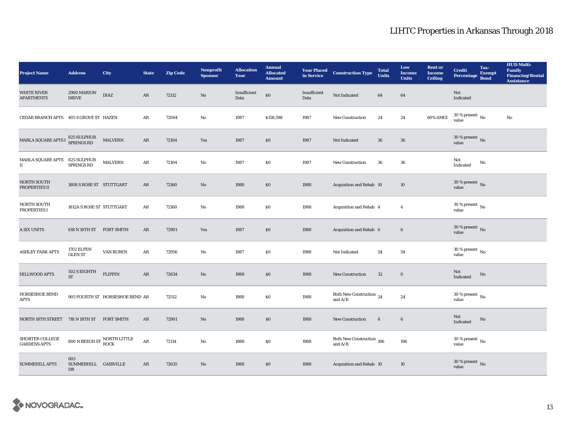| <b>Project Name</b>                           | <b>Address</b>                      | City                                                       | <b>State</b> | <b>Zip Code</b> | Nonprofit<br><b>Sponsor</b> | <b>Allocation</b><br>Year | <b>Annual</b><br><b>Allocated</b><br><b>Amount</b> | <b>Year Placed<br/>in Service</b> | <b>Construction Type</b>                        | <b>Total</b><br><b>Units</b> | Low<br><b>Income</b><br><b>Units</b> | <b>Rent or</b><br><b>Income</b><br><b>Ceiling</b> | <b>Credit</b><br>Percentage            | Tax-<br><b>Exempt</b><br><b>Bond</b> | <b>HUD Multi-</b><br>Family<br><b>Financing/Rental</b><br><b>Assistance</b> |
|-----------------------------------------------|-------------------------------------|------------------------------------------------------------|--------------|-----------------|-----------------------------|---------------------------|----------------------------------------------------|-----------------------------------|-------------------------------------------------|------------------------------|--------------------------------------|---------------------------------------------------|----------------------------------------|--------------------------------------|-----------------------------------------------------------------------------|
| <b>WHITE RIVER</b><br><b>APARTMENTS</b>       | 2900 MARION<br><b>DRIVE</b>         | <b>DIAZ</b>                                                | AR           | 72112           | No                          | Insufficient<br>Data      | $\$0$                                              | Insufficient<br>Data              | Not Indicated                                   | 64                           | 64                                   |                                                   | Not<br>Indicated                       |                                      |                                                                             |
| CEDAR BRANCH APTS 405 S GROVE ST HAZEN        |                                     |                                                            | AR           | 72064           | $\mathbf{No}$               | 1987                      | \$158,598                                          | 1987                              | New Construction                                | 24                           | 24                                   | 60% AMGI                                          | 30 % present $\,$ No $\,$<br>value     |                                      | No                                                                          |
| MARLA SQUARE APTS I 825 SULPHUR<br>SPRINGS RD |                                     | <b>MALVERN</b>                                             | AR           | 72104           | Yes                         | 1987                      | $\$0$                                              | 1987                              | Not Indicated                                   | 36                           | ${\bf 36}$                           |                                                   | 30 % present $\overline{N_0}$<br>value |                                      |                                                                             |
| $\rm MARLA~SQUARE~APTS~~825~SULPHUR$<br>П     | <b>SPRINGS RD</b>                   | <b>MALVERN</b>                                             | AR           | 72104           | No                          | 1987                      | $\$0$                                              | 1987                              | New Construction                                | 36                           | 36                                   |                                                   | Not<br>Indicated                       | No                                   |                                                                             |
| NORTH SOUTH<br>PROPERTIES II                  | 1808 S ROSE ST STUTTGART            |                                                            | AR           | 72160           | No                          | 1988                      | \$0                                                | 1988                              | Acquisition and Rehab 10                        |                              | 10                                   |                                                   | $30\,\%$ present $\,$ No value         |                                      |                                                                             |
| <b>NORTH SOUTH</b><br>PROPERTIES I            | 1812A S ROSE ST STUTTGART           |                                                            | ${\bf AR}$   | 72160           | No                          | 1988                      | $\$0$                                              | 1988                              | Acquisition and Rehab 4                         |                              | $\overline{4}$                       |                                                   | 30 % present $\,$ No $\,$<br>value     |                                      |                                                                             |
| A SIX UNITS                                   | 618 N 18TH ST                       | <b>FORT SMITH</b>                                          | AR           | 72901           | Yes                         | 1987                      | $\$0$                                              | 1988                              | Acquisition and Rehab 6                         |                              | $\bf 6$                              |                                                   | $30$ % present $\,$ No $\,$<br>value   |                                      |                                                                             |
| <b>ASHLEY PARK APTS</b>                       | <b>1702 ELFEN</b><br><b>GLEN ST</b> | VAN BUREN                                                  | ${\bf AR}$   | 72956           | No                          | 1987                      | \$0                                                | 1988                              | Not Indicated                                   | 54                           | 54                                   |                                                   | 30 % present $\,$ No $\,$<br>value     |                                      |                                                                             |
| <b>HILLWOOD APTS</b>                          | 502 S EIGHTH<br><b>ST</b>           | <b>FLIPPIN</b>                                             | $\rm{AR}$    | 72634           | No                          | 1988                      | $\$0$                                              | 1988                              | <b>New Construction</b>                         | 32                           | $\bf{0}$                             |                                                   | Not<br>Indicated                       | $\rm No$                             |                                                                             |
| <b>HORSESHOE BEND</b><br><b>APTS</b>          |                                     | 905 FOURTH ST HORSESHOE BEND AR                            |              | 72512           | $\mathbf{No}$               | 1988                      | $\$0$                                              | 1988                              | Both New Construction $\,$ 24 $\,$<br>and $A/R$ |                              | 24                                   |                                                   | $30$ % present $\,$ No $\,$<br>value   |                                      |                                                                             |
| NORTH 18TH STREET 718 N 18TH ST FORT SMITH    |                                     |                                                            | AR           | 72901           | No                          | 1988                      | \$0                                                | 1988                              | New Construction                                | $6\phantom{.0}$              | $\boldsymbol{6}$                     |                                                   | Not<br>Indicated                       | No                                   |                                                                             |
| SHORTER COLLEGE<br><b>GARDENS APTS</b>        |                                     | $800$ N BEECH ST $\frac{\text{NORTH LITILE}}{\text{ROCK}}$ | ${\bf AR}$   | 72114           | No                          | 1988                      | $\$0$                                              | 1988                              | Both New Construction 196<br>and $A/R$          |                              | 196                                  |                                                   | 30 % present $\,$ No $\,$<br>value     |                                      |                                                                             |
| <b>SUMMEHILL APTS</b>                         | 605<br>SUMMERHILL GASSVILLE<br>DR   |                                                            | AR           | 72635           | No                          | 1988                      | \$0                                                | 1988                              | Acquisition and Rehab 10                        |                              | 10                                   |                                                   | $30\,\%$ present $\,$ No $\,$<br>value |                                      |                                                                             |

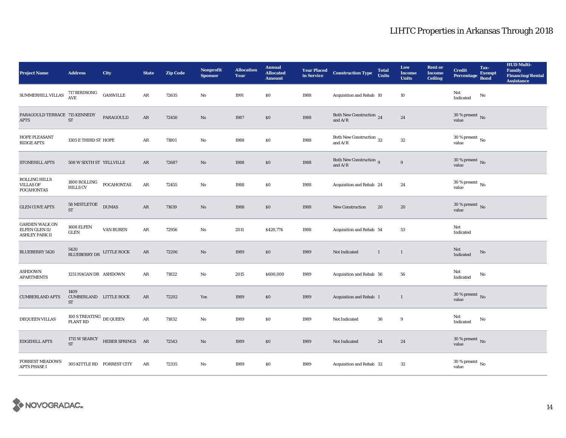| <b>Project Name</b>                                              | <b>Address</b>                                | City                           | <b>State</b> | <b>Zip Code</b> | <b>Nonprofit</b><br><b>Sponsor</b> | <b>Allocation</b><br>Year | <b>Annual</b><br><b>Allocated</b><br><b>Amount</b> | <b>Year Placed<br/>in Service</b> | <b>Construction Type</b>                               | <b>Total</b><br><b>Units</b> | Low<br><b>Income</b><br><b>Units</b> | <b>Rent or</b><br><b>Income</b><br><b>Ceiling</b> | <b>Credit</b><br><b>Percentage</b>   | Tax-<br><b>Exempt</b><br><b>Bond</b> | <b>HUD Multi-</b><br><b>Family</b><br><b>Financing/Rental</b><br><b>Assistance</b> |
|------------------------------------------------------------------|-----------------------------------------------|--------------------------------|--------------|-----------------|------------------------------------|---------------------------|----------------------------------------------------|-----------------------------------|--------------------------------------------------------|------------------------------|--------------------------------------|---------------------------------------------------|--------------------------------------|--------------------------------------|------------------------------------------------------------------------------------|
| SUMMERHILL VILLAS                                                | 717 BIRDSONG<br>AVE                           | <b>GASSVILLE</b>               | ${\bf AR}$   | 72635           | No                                 | 1991                      | $\$0$                                              | 1988                              | Acquisition and Rehab 10                               |                              | 10                                   |                                                   | Not<br>Indicated                     | No                                   |                                                                                    |
| PARAGOULD TERRACE 715 KENNEDY<br><b>APTS</b>                     | ST                                            | PARAGOULD                      | $\rm{AR}$    | 72450           | $\rm No$                           | 1987                      | \$0                                                | 1988                              | Both New Construction 24<br>and $\rm A/R$              |                              | $\bf 24$                             |                                                   | $30$ % present $\,$ No value         |                                      |                                                                                    |
| HOPE PLEASANT<br><b>RIDGE APTS</b>                               | 1305 E THIRD ST HOPE                          |                                | ${\bf AR}$   | 71801           | No                                 | 1988                      | $\$0$                                              | 1988                              | Both New Construction 32<br>and $A/R$                  |                              | $32\,$                               |                                                   | $30$ % present $\,$ No value         |                                      |                                                                                    |
| <b>STONEHILL APTS</b>                                            | 508 W SIXTH ST YELLVILLE                      |                                | AR           | 72687           | No                                 | 1988                      | $\$0$                                              | 1988                              | Both New Construction 9<br>and $\mathrm{A}/\mathrm{R}$ |                              | $\boldsymbol{9}$                     |                                                   | 30 % present $\,$ No $\,$<br>value   |                                      |                                                                                    |
| <b>ROLLING HILLS</b><br><b>VILLAS OF</b><br><b>POCAHONTAS</b>    | 1800 ROLLING<br>HILLS CV                      | POCAHONTAS                     | $\rm{AR}$    | 72455           | No                                 | 1988                      | $\$0$                                              | 1988                              | Acquisition and Rehab 24                               |                              | 24                                   |                                                   | $30$ % present $\,$ No $\,$<br>value |                                      |                                                                                    |
| <b>GLEN COVE APTS</b>                                            | 58 MISTLETOE<br><b>ST</b>                     | <b>DUMAS</b>                   | AR           | 71639           | No                                 | 1988                      | \$0                                                | 1988                              | <b>New Construction</b>                                | 20                           | 20                                   |                                                   | $30\,\%$ present $\,$ No value       |                                      |                                                                                    |
| <b>GARDEN WALK ON</b><br>ELFEN GLEN II/<br><b>ASHLEY PARK II</b> | 1608 ELFEN<br><b>GLEN</b>                     | <b>VAN BUREN</b>               | AR           | 72956           | No                                 | 2011                      | \$420,774                                          | 1988                              | Acquisition and Rehab 54                               |                              | 53                                   |                                                   | Not<br>Indicated                     |                                      |                                                                                    |
| <b>BLUEBERRY 5420</b>                                            | 5420<br>BLUEBERRY DR LITTLE ROCK              |                                | $\rm{AR}$    | 72206           | No                                 | 1989                      | \$0                                                | 1989                              | Not Indicated                                          | $\mathbf{1}$                 | $\mathbf{1}$                         |                                                   | Not<br><b>Indicated</b>              | $\rm No$                             |                                                                                    |
| ASHDOWN<br><b>APARTMENTS</b>                                     | 1251 HAGAN DR ASHDOWN                         |                                | AR           | 71822           | No                                 | 2015                      | \$600,000                                          | 1989                              | Acquisition and Rehab 56                               |                              | 56                                   |                                                   | Not<br>Indicated                     | No                                   |                                                                                    |
| <b>CUMBERLAND APTS</b>                                           | 1409<br>CUMBERLAND LITTLE ROCK<br>ST          |                                | AR           | 72202           | Yes                                | 1989                      | \$0                                                | 1989                              | Acquisition and Rehab 1                                |                              | $\mathbf{1}$                         |                                                   | $30\,\%$ present $\,$ No value       |                                      |                                                                                    |
| DEQUEEN VILLAS                                                   | 100 S TREATING $\,$ DE QUEEN $\,$<br>PLANT RD |                                | $\rm{AR}$    | 71832           | $\mathbf{No}$                      | 1989                      | $\$0$                                              | 1989                              | Not Indicated                                          | ${\bf 36}$                   | 9                                    |                                                   | Not<br>Indicated                     | No                                   |                                                                                    |
| <b>EDGEHILL APTS</b>                                             | <b>ST</b>                                     | 1715 W SEARCY HEBER SPRINGS AR |              | 72543           | No                                 | 1989                      | \$0                                                | 1989                              | Not Indicated                                          | 24                           | 24                                   |                                                   | 30 % present $\,$ No $\,$<br>value   |                                      |                                                                                    |
| <b>FORREST MEADOWS</b><br><b>APTS PHASE I</b>                    | 305 KITTLE RD FORREST CITY                    |                                | AR           | 72335           | No                                 | 1989                      | $\$0$                                              | 1989                              | Acquisition and Rehab 32                               |                              | 32                                   |                                                   | $30\,\%$ present $\,$ No value       |                                      |                                                                                    |

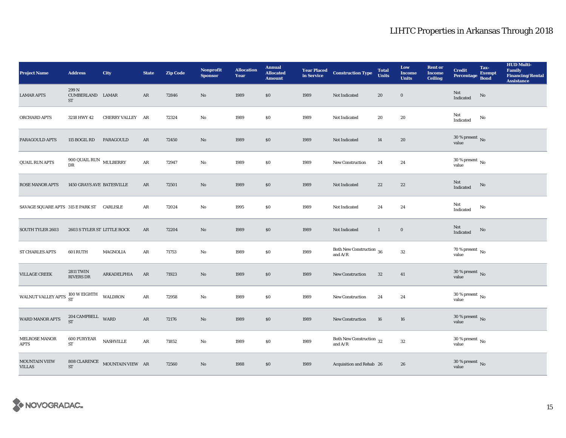| <b>Project Name</b>                              | <b>Address</b>                        | <b>City</b>                                     | <b>State</b>  | <b>Zip Code</b> | Nonprofit<br><b>Sponsor</b> | <b>Allocation</b><br>Year | <b>Annual</b><br><b>Allocated</b><br><b>Amount</b> |      | <b>Year Placed Construction Type</b><br>in Service      | <b>Total</b><br><b>Units</b> | Low<br><b>Income</b><br><b>Units</b> | <b>Rent or</b><br><b>Income</b><br><b>Ceiling</b> | <b>Credit</b><br><b>Percentage</b>     | Tax-<br><b>Exempt</b><br><b>Bond</b> | <b>HUD Multi-</b><br>Family<br><b>Financing/Rental</b><br><b>Assistance</b> |
|--------------------------------------------------|---------------------------------------|-------------------------------------------------|---------------|-----------------|-----------------------------|---------------------------|----------------------------------------------------|------|---------------------------------------------------------|------------------------------|--------------------------------------|---------------------------------------------------|----------------------------------------|--------------------------------------|-----------------------------------------------------------------------------|
| <b>LAMAR APTS</b>                                | 299N<br>CUMBERLAND LAMAR<br><b>ST</b> |                                                 | AR            | 72846           | $\mathbf{N}\mathbf{o}$      | 1989                      | \$0\$                                              | 1989 | Not Indicated                                           | 20                           | $\mathbf 0$                          |                                                   | Not<br>Indicated                       | No                                   |                                                                             |
| ORCHARD APTS                                     | 3218 HWY 42                           | CHERRY VALLEY AR                                |               | 72324           | No                          | 1989                      | $\$0$                                              | 1989 | Not Indicated                                           | $\pmb{20}$                   | 20                                   |                                                   | Not<br>Indicated                       | No                                   |                                                                             |
| <b>PARAGOULD APTS</b>                            | 115 BOGIL RD                          | PARAGOULD                                       | AR            | 72450           | No                          | 1989                      | \$0                                                | 1989 | Not Indicated                                           | 14                           | 20                                   |                                                   | $30$ % present $\,$ No value           |                                      |                                                                             |
| <b>QUAIL RUN APTS</b>                            | 900 QUAIL RUN $\,$ MULBERRY<br>DR     |                                                 | ${\bf AR}$    | 72947           | No                          | 1989                      | \$0\$                                              | 1989 | New Construction                                        | 24                           | 24                                   |                                                   | $30\,\%$ present $\,$ No $\,$<br>value |                                      |                                                                             |
| <b>ROSE MANOR APTS</b>                           | 1450 GRAYS AVE BATESVILLE             |                                                 | AR            | 72501           | No                          | 1989                      | $\$0$                                              | 1989 | Not Indicated                                           | $22\,$                       | 22                                   |                                                   | Not<br>Indicated                       | No                                   |                                                                             |
| SAVAGE SQUARE APTS 315 E PARK ST CARLISLE        |                                       |                                                 | AR            | 72024           | No                          | 1995                      | \$0                                                | 1989 | Not Indicated                                           | 24                           | 24                                   |                                                   | Not<br>Indicated                       | No                                   |                                                                             |
| <b>SOUTH TYLER 2603</b>                          | 2603 S TYLER ST LITTLE ROCK           |                                                 | AR            | 72204           | No                          | 1989                      | \$0                                                | 1989 | Not Indicated                                           | $\mathbf{1}$                 | $\bf{0}$                             |                                                   | Not<br>Indicated                       | No                                   |                                                                             |
| ST CHARLES APTS                                  | 601 RUTH                              | <b>MAGNOLIA</b>                                 | AR            | 71753           | No                          | 1989                      | \$0\$                                              | 1989 | Both New Construction 36<br>and $\mathrm{A}/\mathrm{R}$ |                              | $32\,$                               |                                                   | $70\,\%$ present $\,$ No $\,$<br>value |                                      |                                                                             |
| <b>VILLAGE CREEK</b>                             | <b>2811 TWIN</b><br><b>RIVERS DR</b>  | ARKADELPHIA                                     | AR            | 71923           | No                          | 1989                      | \$0                                                | 1989 | New Construction                                        | 32                           | 41                                   |                                                   | $30\,\%$ present $\,$ No value         |                                      |                                                                             |
| WALNUT VALLEY APTS $^{100}_{ST}$ WEIGHTH WALDRON |                                       |                                                 | AR            | 72958           | No                          | 1989                      | \$0                                                | 1989 | <b>New Construction</b>                                 | 24                           | 24                                   |                                                   | $30\,\%$ present $\,$ No value         |                                      |                                                                             |
| <b>WARD MANOR APTS</b>                           | 204 CAMPBELL WARD<br><b>ST</b>        |                                                 | $\mathbf{AR}$ | 72176           | No                          | 1989                      | $\$0$                                              | 1989 | New Construction                                        | 16                           | 16                                   |                                                   | $30\,\%$ present $\,$ No value         |                                      |                                                                             |
| MELROSE MANOR<br><b>APTS</b>                     | <b>600 PURYEAR</b><br><b>ST</b>       | <b>NASHVILLE</b>                                | AR            | 71852           | No                          | 1989                      | \$0\$                                              | 1989 | Both New Construction $\,$ 32<br>and $A/R$              |                              | $32\,$                               |                                                   | $30\,\%$ present $\,$ No value         |                                      |                                                                             |
| <b>MOUNTAIN VIEW</b><br><b>VILLAS</b>            | <b>ST</b>                             | $808$ CLARENCE $\quad$ MOUNTAIN VIEW $\quad$ AR |               | 72560           | No                          | 1988                      | \$0                                                | 1989 | Acquisition and Rehab 26                                |                              | 26                                   |                                                   | $30\,\%$ present $\,$ No value         |                                      |                                                                             |

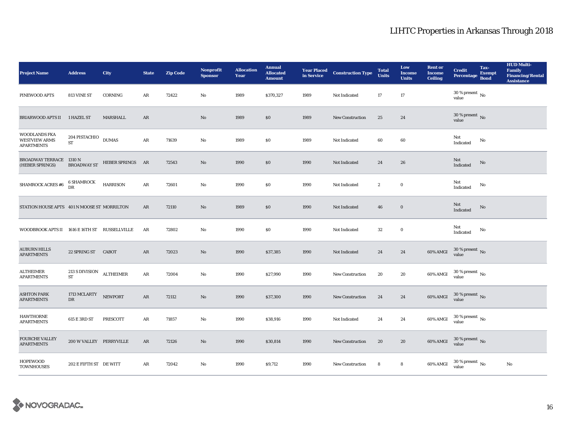| <b>Project Name</b>                                               | <b>Address</b>                         | City             | <b>State</b> | <b>Zip Code</b> | <b>Nonprofit</b><br><b>Sponsor</b> | <b>Allocation</b><br>Year | <b>Annual</b><br><b>Allocated</b><br><b>Amount</b> | <b>Year Placed<br/>in Service</b> | <b>Construction Type</b> | <b>Total</b><br><b>Units</b> | Low<br><b>Income</b><br><b>Units</b> | <b>Rent or</b><br><b>Income</b><br><b>Ceiling</b> | <b>Credit</b><br><b>Percentage</b> | Tax-<br><b>Exempt</b><br><b>Bond</b> | <b>HUD Multi-</b><br>Family<br><b>Financing/Rental</b><br><b>Assistance</b> |
|-------------------------------------------------------------------|----------------------------------------|------------------|--------------|-----------------|------------------------------------|---------------------------|----------------------------------------------------|-----------------------------------|--------------------------|------------------------------|--------------------------------------|---------------------------------------------------|------------------------------------|--------------------------------------|-----------------------------------------------------------------------------|
| PINEWOOD APTS                                                     | 813 VINE ST                            | CORNING          | ${\bf AR}$   | 72422           | No                                 | 1989                      | \$370,327                                          | 1989                              | Not Indicated            | 17                           | 17                                   |                                                   | 30 % present $\,$ No $\,$<br>value |                                      |                                                                             |
| BRIARWOOD APTS II 1 HAZEL ST                                      |                                        | MARSHALL         | AR           |                 | No                                 | 1989                      | $\$0$                                              | 1989                              | New Construction         | 25                           | 24                                   |                                                   | $30$ % present $\,$ No value       |                                      |                                                                             |
| <b>WOODLANDS FKA</b><br><b>WESTVIEW ARMS</b><br><b>APARTMENTS</b> | $204$ PISTACHIO $\,$ DUMAS<br>ST       |                  | $\rm{AR}$    | 71639           | No                                 | 1989                      | \$0\$                                              | 1989                              | Not Indicated            | 60                           | 60                                   |                                                   | Not<br>Indicated                   | No                                   |                                                                             |
| <b>BROADWAY TERRACE 1310 N</b><br>(HEBER SPRINGS)                 | <b>BROADWAY ST</b>                     | HEBER SPRINGS AR |              | 72543           | $\mathbf{No}$                      | 1990                      | \$0                                                | 1990                              | Not Indicated            | 24                           | 26                                   |                                                   | Not<br>Indicated                   | No                                   |                                                                             |
| SHAMROCK ACRES #6                                                 | 6 SHAMROCK<br>DR                       | <b>HARRISON</b>  | ${\bf AR}$   | 72601           | No                                 | 1990                      | \$0\$                                              | 1990                              | Not Indicated            | $\boldsymbol{2}$             | $\bf{0}$                             |                                                   | Not<br>Indicated                   | No                                   |                                                                             |
| STATION HOUSE APTS 401 N MOOSE ST MORRILTON                       |                                        |                  | AR           | 72110           | No                                 | 1989                      | \$0                                                | 1990                              | Not Indicated            | 46                           | $\bf{0}$                             |                                                   | Not<br>Indicated                   | No                                   |                                                                             |
| WOODBROOK APTS II 1616 E 16TH ST RUSSELLVILLE                     |                                        |                  | AR           | 72802           | No                                 | 1990                      | $\$0$                                              | 1990                              | Not Indicated            | 32                           | $\bf{0}$                             |                                                   | Not<br>Indicated                   | No                                   |                                                                             |
| <b>AUBURN HILLS</b><br><b>APARTMENTS</b>                          | 22 SPRING ST                           | <b>CABOT</b>     | $\rm{AR}$    | 72023           | $\mathbf{No}$                      | 1990                      | \$37,385                                           | 1990                              | Not Indicated            | $\bf 24$                     | 24                                   | 60% AMGI                                          | $30\,\%$ present $\,$ No value     |                                      |                                                                             |
| <b>ALTHEIMER</b><br><b>APARTMENTS</b>                             | 213 S DIVISION ALTHEIMER<br>${\rm ST}$ |                  | ${\bf AR}$   | 72004           | No                                 | 1990                      | \$27,990                                           | 1990                              | New Construction         | 20                           | 20                                   | 60% AMGI                                          | $30\,\%$ present $\,$ No value     |                                      |                                                                             |
| <b>ASHTON PARK</b><br><b>APARTMENTS</b>                           | 1713 MCLARTY<br>DR                     | <b>NEWPORT</b>   | AR           | 72112           | No                                 | 1990                      | \$37,300                                           | 1990                              | New Construction         | 24                           | 24                                   | $60\%$ AMGI                                       | $30$ % present $\,$ No value       |                                      |                                                                             |
| <b>HAWTHORNE</b><br><b>APARTMENTS</b>                             | 615 E 3RD ST                           | PRESCOTT         | AR           | 71857           | No                                 | 1990                      | \$38,916                                           | 1990                              | Not Indicated            | 24                           | 24                                   | 60% AMGI                                          | $30$ % present $\,$ No value       |                                      |                                                                             |
| <b>FOURCHE VALLEY</b><br><b>APARTMENTS</b>                        | 200 W VALLEY PERRYVILLE                |                  | AR           | 72126           | No                                 | 1990                      | \$30,814                                           | 1990                              | <b>New Construction</b>  | 20                           | 20                                   | 60% AMGI                                          | $30$ % present $\,$ No value       |                                      |                                                                             |
| <b>HOPEWOOD</b><br><b>TOWNHOUSES</b>                              | 202 E FIFTH ST DE WITT                 |                  | AR           | 72042           | No                                 | 1990                      | \$9,712                                            | 1990                              | <b>New Construction</b>  | 8                            | 8                                    | 60% AMGI                                          | $30$ % present $\,$ No value       |                                      | $\rm No$                                                                    |

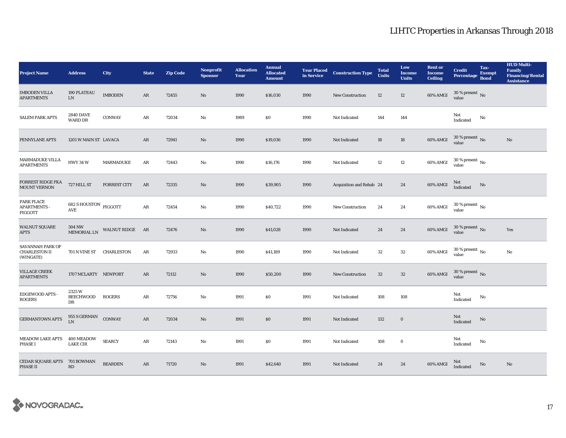| <b>Project Name</b>                                   | <b>Address</b>                      | City                | <b>State</b> | <b>Zip Code</b> | <b>Nonprofit</b><br><b>Sponsor</b> | <b>Allocation</b><br>Year | <b>Annual</b><br><b>Allocated</b><br><b>Amount</b> | <b>Year Placed</b><br>in Service | <b>Construction Type</b> | <b>Total</b><br><b>Units</b> | Low<br><b>Income</b><br><b>Units</b> | <b>Rent or</b><br><b>Income</b><br><b>Ceiling</b> | <b>Credit</b><br><b>Percentage</b>     | Tax-<br><b>Exempt</b><br><b>Bond</b> | <b>HUD Multi-</b><br><b>Family</b><br><b>Financing/Rental</b><br><b>Assistance</b> |
|-------------------------------------------------------|-------------------------------------|---------------------|--------------|-----------------|------------------------------------|---------------------------|----------------------------------------------------|----------------------------------|--------------------------|------------------------------|--------------------------------------|---------------------------------------------------|----------------------------------------|--------------------------------------|------------------------------------------------------------------------------------|
| <b>IMBODEN VILLA</b><br><b>APARTMENTS</b>             | <b>190 PLATEAU</b><br>${\rm LN}$    | <b>IMBODEN</b>      | AR           | 72455           | No                                 | 1990                      | \$16,030                                           | 1990                             | <b>New Construction</b>  | 12                           | 12                                   | 60% AMGI                                          | 30 % present $\,$ No $\,$<br>value     |                                      |                                                                                    |
| <b>SALEM PARK APTS</b>                                | <b>2840 DAVE</b><br><b>WARD DR</b>  | <b>CONWAY</b>       | AR           | 72034           | No                                 | 1989                      | \$0                                                | 1990                             | Not Indicated            | 144                          | 144                                  |                                                   | Not<br>Indicated                       | No                                   |                                                                                    |
| PENNYLANE APTS                                        | 1201 W MAIN ST LAVACA               |                     | AR           | 72941           | No                                 | 1990                      | \$19,036                                           | 1990                             | Not Indicated            | 18                           | 18                                   | 60% AMGI                                          | $30$ % present $\,$ No value           |                                      | No                                                                                 |
| <b>MARMADUKE VILLA</b><br><b>APARTMENTS</b>           | <b>HWY 34 W</b>                     | <b>MARMADUKE</b>    | ${\bf AR}$   | 72443           | No                                 | 1990                      | \$16,176                                           | 1990                             | Not Indicated            | $12\,$                       | 12                                   | 60% AMGI                                          | 30 % present $\,$ No $\,$<br>value     |                                      |                                                                                    |
| FORREST RIDGE FKA<br><b>MOUNT VERNON</b>              | 727 HILL ST                         | <b>FORREST CITY</b> | $\rm{AR}$    | 72335           | No                                 | 1990                      | \$39,905                                           | 1990                             | Acquisition and Rehab 24 |                              | 24                                   | 60% AMGI                                          | Not<br>Indicated                       | No                                   |                                                                                    |
| PARK PLACE<br><b>APARTMENTS -</b><br>PIGGOTT          | $682$ S HOUSTON $\,$ PIGGOTT<br>AVE |                     | ${\bf AR}$   | 72454           | No                                 | 1990                      | \$40,722                                           | 1990                             | <b>New Construction</b>  | 24                           | 24                                   | 60% AMGI                                          | $30\,\%$ present $\,$ No $\,$<br>value |                                      |                                                                                    |
| <b>WALNUT SQUARE</b><br><b>APTS</b>                   | 304 NW<br>MEMORIAL LN               | WALNUT RIDGE AR     |              | 72476           | No                                 | 1990                      | \$41,028                                           | 1990                             | Not Indicated            | 24                           | 24                                   | 60% AMGI                                          | $30\,\%$ present $\,$ No $\,$<br>value |                                      | Yes                                                                                |
| SAVANNAH PARK OF<br><b>CHARLESTON II</b><br>(WINGATE) | 701 N VINE ST CHARLESTON            |                     | AR           | 72933           | No                                 | 1990                      | \$41,189                                           | 1990                             | Not Indicated            | $32\,$                       | 32                                   | 60% AMGI                                          | $30\,\%$ present $\,$ No $\,$<br>value |                                      | No                                                                                 |
| <b>VILLAGE CREEK</b><br><b>APARTMENTS</b>             | 1707 MCLARTY NEWPORT                |                     | AR           | 72112           | No                                 | 1990                      | \$50,200                                           | 1990                             | <b>New Construction</b>  | $32\,$                       | $32\phantom{.0}$                     | 60% AMGI                                          | $30\,\%$ present $\,$ No value         |                                      |                                                                                    |
| EDGEWOOD APTS -<br><b>ROGERS</b>                      | 2325W<br>BEECHWOOD<br>DR            | <b>ROGERS</b>       | AR           | 72756           | No                                 | 1991                      | \$0                                                | 1991                             | Not Indicated            | 108                          | 108                                  |                                                   | Not<br>Indicated                       | No                                   |                                                                                    |
| <b>GERMANTOWN APTS</b>                                | $955$ S GERMAN<br>LN                | <b>CONWAY</b>       | ${\bf AR}$   | 72034           | No                                 | 1991                      | $\$0$                                              | 1991                             | Not Indicated            | 132                          | $\mathbf 0$                          |                                                   | Not<br>Indicated                       | $\mathbf{N}\mathbf{o}$               |                                                                                    |
| <b>MEADOW LAKE APTS</b><br><b>PHASE I</b>             | 400 MEADOW<br><b>LAKE CIR</b>       | <b>SEARCY</b>       | AR           | 72143           | No                                 | 1991                      | $\$0$                                              | 1991                             | Not Indicated            | 108                          | $\bf{0}$                             |                                                   | Not<br>Indicated                       | No                                   |                                                                                    |
| CEDAR SQUARE APTS<br>PHASE II                         | 701 BOWMAN<br>RD                    | <b>BEARDEN</b>      | AR           | 71720           | No                                 | 1991                      | \$42,640                                           | 1991                             | Not Indicated            | 24                           | 24                                   | 60% AMGI                                          | Not<br><b>Indicated</b>                | $\mathbf{N}\mathbf{o}$               | No                                                                                 |

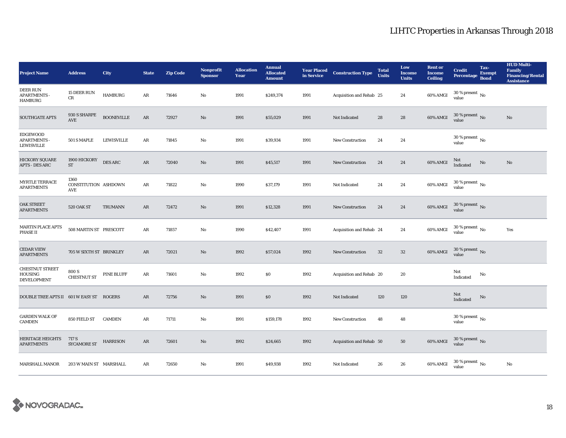| <b>Project Name</b>                                       | <b>Address</b>                      | City              | <b>State</b> | <b>Zip Code</b> | <b>Nonprofit</b><br><b>Sponsor</b> | <b>Allocation</b><br>Year | <b>Annual</b><br><b>Allocated</b><br><b>Amount</b> | <b>Year Placed<br/>in Service</b> | <b>Construction Type</b> | <b>Total</b><br><b>Units</b> | Low<br><b>Income</b><br><b>Units</b> | <b>Rent or</b><br><b>Income</b><br><b>Ceiling</b> | <b>Credit</b><br><b>Percentage</b>     | Tax-<br><b>Exempt</b><br><b>Bond</b> | <b>HUD Multi-</b><br>Family<br><b>Financing/Rental</b><br><b>Assistance</b> |
|-----------------------------------------------------------|-------------------------------------|-------------------|--------------|-----------------|------------------------------------|---------------------------|----------------------------------------------------|-----------------------------------|--------------------------|------------------------------|--------------------------------------|---------------------------------------------------|----------------------------------------|--------------------------------------|-----------------------------------------------------------------------------|
| <b>DEER RUN</b><br><b>APARTMENTS -</b><br><b>HAMBURG</b>  | 15 DEER RUN<br>CR                   | <b>HAMBURG</b>    | AR           | 71646           | No                                 | 1991                      | \$249,374                                          | 1991                              | Acquisition and Rehab 25 |                              | 24                                   | 60% AMGI                                          | 30 % present $\,$ No $\,$<br>value     |                                      |                                                                             |
| <b>SOUTHGATE APTS</b>                                     | 930 S SHARPE<br>AVE                 | <b>BOONEVILLE</b> | ${\bf AR}$   | 72927           | No                                 | 1991                      | \$55,029                                           | 1991                              | Not Indicated            | 28                           | 28                                   | 60% AMGI                                          | $30$ % present $\,$ No $\,$<br>value   |                                      | No                                                                          |
| <b>EDGEWOOD</b><br><b>APARTMENTS</b><br><b>LEWISVILLE</b> | 501 S MAPLE                         | <b>LEWISVILLE</b> | AR           | 71845           | No                                 | 1991                      | \$39,934                                           | 1991                              | <b>New Construction</b>  | 24                           | 24                                   |                                                   | 30 % present $\,$ No $\,$<br>value     |                                      |                                                                             |
| <b>HICKORY SQUARE</b><br><b>APTS - DES ARC</b>            | 1900 HICKORY<br>ST                  | <b>DES ARC</b>    | ${\bf AR}$   | 72040           | $\rm No$                           | 1991                      | \$45,517                                           | 1991                              | <b>New Construction</b>  | 24                           | 24                                   | 60% AMGI                                          | Not<br>Indicated                       | $\rm No$                             | $\mathbf{N}\mathbf{o}$                                                      |
| MYRTLE TERRACE<br><b>APARTMENTS</b>                       | 1360<br>CONSTITUTION ASHDOWN<br>AVE |                   | AR           | 71822           | No                                 | 1990                      | \$37,179                                           | 1991                              | Not Indicated            | 24                           | 24                                   | 60% AMGI                                          | $30\,\%$ present $\,$ No $\,$<br>value |                                      |                                                                             |
| <b>OAK STREET</b><br><b>APARTMENTS</b>                    | <b>520 OAK ST</b>                   | <b>TRUMANN</b>    | ${\bf AR}$   | 72472           | No                                 | 1991                      | \$12,328                                           | 1991                              | <b>New Construction</b>  | 24                           | 24                                   | 60% AMGI                                          | $30\,\%$ present $\,$ No value         |                                      |                                                                             |
| MARTIN PLACE APTS<br>PHASE II                             | 508 MARTIN ST PRESCOTT              |                   | AR           | 71857           | No                                 | 1990                      | \$42,407                                           | 1991                              | Acquisition and Rehab 24 |                              | 24                                   | 60% AMGI                                          | $30$ % present $\,$ No $\,$<br>value   |                                      | Yes                                                                         |
| <b>CEDAR VIEW</b><br><b>APARTMENTS</b>                    | 705 W SIXTH ST BRINKLEY             |                   | $\rm{AR}$    | 72021           | No                                 | 1992                      | \$57,024                                           | 1992                              | <b>New Construction</b>  | 32                           | $32\phantom{.0}$                     | 60% AMGI                                          | $30\,\%$ present $\,$ No value         |                                      |                                                                             |
| <b>CHESTNUT STREET</b><br>HOUSING<br><b>DEVELOPMENT</b>   | 800 S<br><b>CHESTNUT ST</b>         | PINE BLUFF        | AR           | 71601           | No                                 | 1992                      | $\$0$                                              | 1992                              | Acquisition and Rehab 20 |                              | 20                                   |                                                   | Not<br>Indicated                       | No                                   |                                                                             |
| DOUBLE TREE APTS II 601 W EASY ST ROGERS                  |                                     |                   | AR           | 72756           | No                                 | 1991                      | $\$0$                                              | 1992                              | Not Indicated            | 120                          | 120                                  |                                                   | Not<br>Indicated                       | $\mathbf{No}$                        |                                                                             |
| <b>GARDEN WALK OF</b><br>CAMDEN                           | 850 FIELD ST                        | <b>CAMDEN</b>     | AR           | 71711           | No                                 | 1991                      | \$159,178                                          | 1992                              | <b>New Construction</b>  | 48                           | 48                                   |                                                   | 30 % present $\,$ No $\,$<br>value     |                                      |                                                                             |
| <b>HERITAGE HEIGHTS</b><br><b>APARTMENTS</b>              | 717 S<br><b>SYCAMORE ST</b>         | <b>HARRISON</b>   | AR           | 72601           | No                                 | 1992                      | \$24,665                                           | 1992                              | Acquisition and Rehab 50 |                              | ${\bf 50}$                           | 60% AMGI                                          | $30$ % present $\,$ No $\,$<br>value   |                                      |                                                                             |
| <b>MARSHALL MANOR</b>                                     | 203 W MAIN ST MARSHALL              |                   | AR           | 72650           | No                                 | 1991                      | \$49,938                                           | 1992                              | Not Indicated            | 26                           | 26                                   | 60% AMGI                                          | $30$ % present $\,$ No $\,$<br>value   |                                      | No                                                                          |

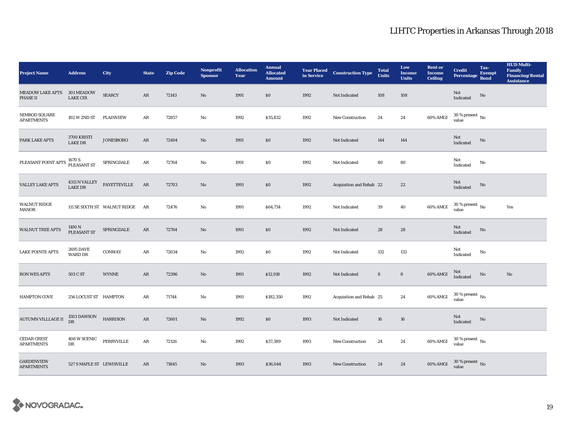| <b>Project Name</b>                        | <b>Address</b>                       | City                         | <b>State</b> | <b>Zip Code</b> | <b>Nonprofit</b><br><b>Sponsor</b> | <b>Allocation</b><br>Year | <b>Annual</b><br><b>Allocated</b><br><b>Amount</b> | <b>Year Placed<br/>in Service</b> | <b>Construction Type</b> | <b>Total</b><br><b>Units</b> | Low<br><b>Income</b><br><b>Units</b> | <b>Rent or</b><br><b>Income</b><br><b>Ceiling</b> | <b>Credit</b><br>Percentage        | Tax-<br><b>Exempt</b><br><b>Bond</b> | <b>HUD Multi-</b><br>Family<br><b>Financing/Rental</b><br><b>Assistance</b> |
|--------------------------------------------|--------------------------------------|------------------------------|--------------|-----------------|------------------------------------|---------------------------|----------------------------------------------------|-----------------------------------|--------------------------|------------------------------|--------------------------------------|---------------------------------------------------|------------------------------------|--------------------------------------|-----------------------------------------------------------------------------|
| <b>MEADOW LAKE APTS</b><br><b>PHASE II</b> | <b>301 MEADOW</b><br><b>LAKE CIR</b> | <b>SEARCY</b>                | AR           | 72143           | No                                 | 1991                      | \$0\$                                              | 1992                              | Not Indicated            | 108                          | 108                                  |                                                   | Not<br>Indicated                   | $\rm No$                             |                                                                             |
| NIMROD SQUARE<br><b>APARTMENTS</b>         | 102 W 2ND ST                         | PLAINVIEW                    | AR           | 72857           | No                                 | 1992                      | \$35,832                                           | 1992                              | New Construction         | 24                           | 24                                   | 60% AMGI                                          | $30$ % present $\,$ No value       |                                      |                                                                             |
| PARK LAKE APTS                             | 3700 KRISTI<br><b>LAKE DR</b>        | <b>JONESBORO</b>             | AR           | 72404           | No                                 | 1991                      | \$0                                                | 1992                              | Not Indicated            | 144                          | 144                                  |                                                   | Not<br>Indicated                   | $\rm No$                             |                                                                             |
| PLEASANT POINT APTS                        | 1670 S<br>PLEASANT ST                | SPRINGDALE                   | $\rm{AR}$    | 72764           | No                                 | 1991                      | \$0                                                | 1992                              | Not Indicated            | 80                           | 80                                   |                                                   | Not<br>Indicated                   | $\mathbf{No}$                        |                                                                             |
| <b>VALLEY LAKE APTS</b>                    | 4311 N VALLEY<br>LAKE DR             | FAYETTEVILLE                 | AR           | 72703           | No                                 | 1991                      | $\$0$                                              | 1992                              | Acquisition and Rehab 22 |                              | $\bf 22$                             |                                                   | Not<br>Indicated                   | $\rm No$                             |                                                                             |
| <b>WALNUT RIDGE</b><br>MANOR               |                                      | 111 SE SIXTH ST WALNUT RIDGE | AR           | 72476           | No                                 | 1991                      | \$64,734                                           | 1992                              | Not Indicated            | 39                           | 40                                   | 60% AMGI                                          | $30\,\%$ present $\,$ No value     |                                      | Yes                                                                         |
| <b>WALNUT TREE APTS</b>                    | 1100 N<br>PLEASANT ST                | SPRINGDALE                   | AR           | 72764           | No                                 | 1991                      | \$0                                                | 1992                              | Not Indicated            | 28                           | 28                                   |                                                   | Not<br>Indicated                   | $\rm No$                             |                                                                             |
| <b>LAKE POINTE APTS</b>                    | <b>2695 DAVE</b><br>WARD DR          | CONWAY                       | AR           | 72034           | No                                 | 1992                      | $\$0$                                              | 1992                              | Not Indicated            | 132                          | 132                                  |                                                   | Not<br>Indicated                   | No                                   |                                                                             |
| <b>RON WES APTS</b>                        | 503 C ST                             | <b>WYNNE</b>                 | AR           | 72396           | No                                 | 1991                      | \$12,918                                           | 1992                              | Not Indicated            | $\bf 8$                      | $\bf 8$                              | 60% AMGI                                          | Not<br>Indicated                   | $\rm No$                             | $\mathbf{No}$                                                               |
| <b>HAMPTON COVE</b>                        | 256 LOCUST ST HAMPTON                |                              | AR           | 71744           | No                                 | 1991                      | \$182,350                                          | 1992                              | Acquisition and Rehab 25 |                              | 24                                   | 60% AMGI                                          | 30 % present $\,$ No $\,$<br>value |                                      |                                                                             |
| <b>AUTUMN VILLLAGE II</b>                  | 1503 DAWSON<br>DR                    | <b>HARRISON</b>              | $\rm{AR}$    | 72601           | No                                 | 1992                      | $\$0$                                              | 1993                              | Not Indicated            | 16                           | ${\bf 16}$                           |                                                   | Not<br>Indicated                   | $\rm No$                             |                                                                             |
| <b>CEDAR CREST</b><br><b>APARTMENTS</b>    | 408 W SCENIC<br>DR                   | PERRYVILLE                   | ${\bf AR}$   | 72126           | No                                 | 1992                      | \$37,389                                           | 1993                              | New Construction         | 24                           | 24                                   | 60% AMGI                                          | $30\,\%$ present $\,$ No value     |                                      |                                                                             |
| <b>GARDENVIEW</b><br><b>APARTMENTS</b>     | 527 S MAPLE ST LEWISVILLE            |                              | AR           | 71845           | No                                 | 1993                      | \$36,044                                           | 1993                              | <b>New Construction</b>  | 24                           | 24                                   | 60% AMGI                                          | $30\,\%$ present $\,$ No value     |                                      |                                                                             |

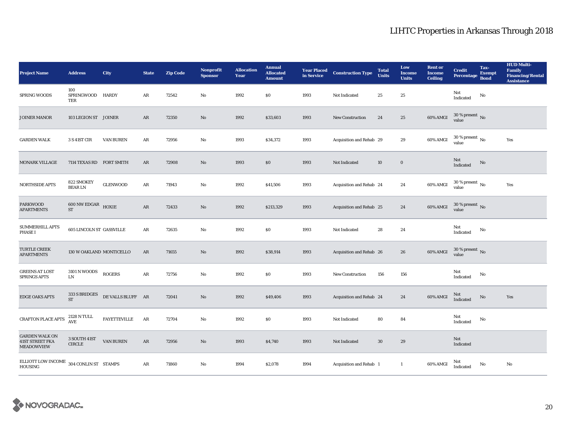| <b>Project Name</b>                                                  | <b>Address</b>                                      | City                | <b>State</b> | <b>Zip Code</b> | <b>Nonprofit</b><br><b>Sponsor</b> | <b>Allocation</b><br>Year | <b>Annual</b><br><b>Allocated</b><br><b>Amount</b> | <b>Year Placed</b><br>in Service | <b>Construction Type</b> | <b>Total</b><br><b>Units</b> | Low<br><b>Income</b><br><b>Units</b> | <b>Rent or</b><br><b>Income</b><br><b>Ceiling</b> | <b>Credit</b><br>Percentage            | Tax-<br><b>Exempt</b><br><b>Bond</b> | <b>HUD Multi-</b><br><b>Family</b><br><b>Financing/Rental</b><br><b>Assistance</b> |
|----------------------------------------------------------------------|-----------------------------------------------------|---------------------|--------------|-----------------|------------------------------------|---------------------------|----------------------------------------------------|----------------------------------|--------------------------|------------------------------|--------------------------------------|---------------------------------------------------|----------------------------------------|--------------------------------------|------------------------------------------------------------------------------------|
| SPRING WOODS                                                         | 100<br>SPRINGWOOD HARDY<br>TER                      |                     | AR           | 72542           | No                                 | 1992                      | \$0                                                | 1993                             | Not Indicated            | 25                           | 25                                   |                                                   | Not<br>Indicated                       | No                                   |                                                                                    |
| JOINER MANOR                                                         | 103 LEGION ST JOINER                                |                     | AR           | 72350           | No                                 | 1992                      | \$33,603                                           | 1993                             | <b>New Construction</b>  | 24                           | 25                                   | 60% AMGI                                          | $30\,\%$ present $\,$ No value         |                                      |                                                                                    |
| <b>GARDEN WALK</b>                                                   | 3 S 41ST CIR                                        | <b>VAN BUREN</b>    | ${\bf AR}$   | 72956           | $\mathbf{No}$                      | 1993                      | \$34,372                                           | 1993                             | Acquisition and Rehab 29 |                              | 29                                   | 60% AMGI                                          | $30$ % present $\,$ No value           |                                      | Yes                                                                                |
| <b>MONARK VILLAGE</b>                                                | 7114 TEXAS RD FORT SMITH                            |                     | AR           | 72908           | No                                 | 1993                      | $\$0$                                              | 1993                             | Not Indicated            | 10                           | $\mathbf 0$                          |                                                   | Not<br>Indicated                       | $\rm No$                             |                                                                                    |
| NORTHSIDE APTS                                                       | 822 SMOKEY<br><b>BEARLN</b>                         | <b>GLENWOOD</b>     | $\rm{AR}$    | 71943           | No                                 | 1992                      | \$41,506                                           | 1993                             | Acquisition and Rehab 24 |                              | 24                                   | 60% AMGI                                          | $30$ % present $\,$ No $\,$<br>value   |                                      | Yes                                                                                |
| <b>PARKWOOD</b><br><b>APARTMENTS</b>                                 | $600$ NW EDGAR $$\rm HOXIE$$<br>$\operatorname{ST}$ |                     | ${\bf AR}$   | 72433           | No                                 | 1992                      | \$213,329                                          | 1993                             | Acquisition and Rehab 25 |                              | 24                                   | 60% AMGI                                          | $30\,\%$ present $\,$ No value         |                                      |                                                                                    |
| SUMMERHILL APTS<br><b>PHASE I</b>                                    | <b>605 LINCOLN ST GASSVILLE</b>                     |                     | AR           | 72635           | No                                 | 1992                      | $\$0$                                              | 1993                             | Not Indicated            | 28                           | 24                                   |                                                   | Not<br>Indicated                       | No                                   |                                                                                    |
| <b>TURTLE CREEK</b><br><b>APARTMENTS</b>                             | 130 W OAKLAND MONTICELLO                            |                     | ${\bf AR}$   | 71655           | No                                 | 1992                      | \$38,914                                           | 1993                             | Acquisition and Rehab 26 |                              | 26                                   | 60% AMGI                                          | $30\,\%$ present $\,$ No $\,$<br>value |                                      |                                                                                    |
| <b>GREENS AT LOST</b><br><b>SPRINGS APTS</b>                         | $3101\,\mathrm{N}\,\mathrm{WOODS}$<br>${\rm LN}$    | <b>ROGERS</b>       | ${\bf AR}$   | 72756           | No                                 | 1992                      | $\$0$                                              | 1993                             | <b>New Construction</b>  | 156                          | 156                                  |                                                   | Not<br>Indicated                       | No                                   |                                                                                    |
| <b>EDGE OAKS APTS</b>                                                | 333 S BRIDGES<br><b>ST</b>                          | DE VALLS BLUFF AR   |              | 72041           | No                                 | 1992                      | \$49,406                                           | 1993                             | Acquisition and Rehab 24 |                              | 24                                   | 60% AMGI                                          | Not<br>Indicated                       | $\mathbf{No}$                        | Yes                                                                                |
| CRAFTON PLACE APTS                                                   | $2128$ N TULL<br>$\operatorname{AVE}$               | <b>FAYETTEVILLE</b> | AR           | 72704           | No                                 | 1992                      | $\$0$                                              | 1993                             | Not Indicated            | 80                           | 84                                   |                                                   | Not<br>Indicated                       | No                                   |                                                                                    |
| <b>GARDEN WALK ON</b><br><b>41ST STREET FKA</b><br><b>MEADOWVIEW</b> | 3 SOUTH 41ST<br><b>CIRCLE</b>                       | <b>VAN BUREN</b>    | AR           | 72956           | No                                 | 1993                      | \$4,740                                            | 1993                             | Not Indicated            | 30                           | 29                                   |                                                   | Not<br>Indicated                       |                                      |                                                                                    |
| ELLIOTT LOW INCOME $\,$ 304 CONLIN ST $\,$ STAMPS<br><b>HOUSING</b>  |                                                     |                     | $\rm{AR}$    | 71860           | No                                 | 1994                      | \$2,078                                            | 1994                             | Acquisition and Rehab 1  |                              | $\mathbf{1}$                         | 60% AMGI                                          | Not<br>Indicated                       | No                                   | No                                                                                 |

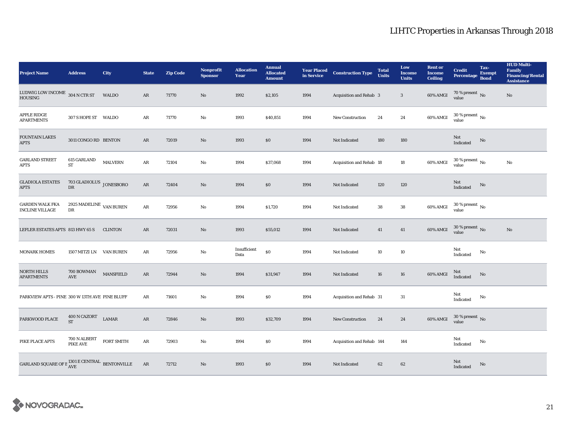| <b>Project Name</b>                                             | <b>Address</b>                            | City             | <b>State</b> | <b>Zip Code</b> | <b>Nonprofit</b><br><b>Sponsor</b> | <b>Allocation</b><br>Year | <b>Annual</b><br><b>Allocated</b><br><b>Amount</b> | <b>Year Placed<br/>in Service</b> | <b>Construction Type</b>  | <b>Total</b><br><b>Units</b> | Low<br><b>Income</b><br><b>Units</b> | <b>Rent or</b><br><b>Income</b><br><b>Ceiling</b> | <b>Credit</b><br>Percentage          | Tax-<br>Exempt<br><b>Bond</b> | <b>HUD Multi-</b><br>Family<br><b>Financing/Rental</b><br><b>Assistance</b> |
|-----------------------------------------------------------------|-------------------------------------------|------------------|--------------|-----------------|------------------------------------|---------------------------|----------------------------------------------------|-----------------------------------|---------------------------|------------------------------|--------------------------------------|---------------------------------------------------|--------------------------------------|-------------------------------|-----------------------------------------------------------------------------|
| LUDWIG LOW INCOME $304$ N CTR ST<br><b>HOUSING</b>              |                                           | <b>WALDO</b>     | AR           | 71770           | No                                 | 1992                      | \$2,105                                            | 1994                              | Acquisition and Rehab 3   |                              | $\mathbf{3}$                         | 60% AMGI                                          | 70 % present $\,$ No $\,$<br>value   |                               | $\mathbf{No}$                                                               |
| <b>APPLE RIDGE</b><br><b>APARTMENTS</b>                         | 307 S HOPE ST WALDO                       |                  | AR           | 71770           | No                                 | 1993                      | \$40,851                                           | 1994                              | <b>New Construction</b>   | 24                           | 24                                   | 60% AMGI                                          | $30$ % present $\,$ No value         |                               |                                                                             |
| <b>FOUNTAIN LAKES</b><br><b>APTS</b>                            | 3011 CONGO RD BENTON                      |                  | AR           | 72019           | $\mathbf{No}$                      | 1993                      | $\$0$                                              | 1994                              | Not Indicated             | 180                          | 180                                  |                                                   | Not<br>Indicated                     | $\rm No$                      |                                                                             |
| <b>GARLAND STREET</b><br><b>APTS</b>                            | 615 GARLAND<br>ST                         | <b>MALVERN</b>   | $\rm{AR}$    | 72104           | No                                 | 1994                      | \$37,068                                           | 1994                              | Acquisition and Rehab 18  |                              | $18\,$                               | 60% AMGI                                          | $30$ % present $\,$ No $\,$<br>value |                               | $\rm No$                                                                    |
| <b>GLADIOLA ESTATES</b><br><b>APTS</b>                          | 703 GLADIOLUS JONESBORO<br>${\rm DR}$     |                  | $\rm{AR}$    | 72404           | No                                 | 1994                      | \$0                                                | 1994                              | Not Indicated             | 120                          | 120                                  |                                                   | Not<br>Indicated                     | $\mathbf{No}$                 |                                                                             |
| <b>GARDEN WALK FKA</b><br><b>INCLINE VILLAGE</b>                | 2925 MADELINE $\,$ VAN BUREN<br>DR        |                  | $\rm{AR}$    | 72956           | No                                 | 1994                      | \$1,720                                            | 1994                              | Not Indicated             | 38                           | 38                                   | 60% AMGI                                          | $30\,\%$ present $\,$ No value       |                               |                                                                             |
| LEFLER ESTATES APTS 813 HWY 65 S                                |                                           | <b>CLINTON</b>   | AR           | 72031           | $\rm No$                           | 1993                      | \$55,012                                           | 1994                              | Not Indicated             | 41                           | 41                                   | 60% AMGI                                          | $30\,\%$ present $\,$ No value       |                               | $\rm No$                                                                    |
| <b>MONARK HOMES</b>                                             | 1507 MITZI LN VAN BUREN                   |                  | AR           | 72956           | No                                 | Insufficient<br>Data      | \$0                                                | 1994                              | Not Indicated             | 10                           | 10                                   |                                                   | Not<br>Indicated                     | No                            |                                                                             |
| <b>NORTH HILLS</b><br><b>APARTMENTS</b>                         | 700 BOWMAN<br>$\operatorname{AVE}$        | <b>MANSFIELD</b> | ${\bf AR}$   | 72944           | $\mathbf{N}\mathbf{o}$             | 1994                      | \$31,947                                           | 1994                              | Not Indicated             | 16                           | 16                                   | 60% AMGI                                          | Not<br>Indicated                     | $\mathbf{No}$                 |                                                                             |
| PARKVIEW APTS - PINE 300 W 13TH AVE PINE BLUFF                  |                                           |                  | AR           | 71601           | No                                 | 1994                      | \$0                                                | 1994                              | Acquisition and Rehab 31  |                              | 31                                   |                                                   | Not<br>Indicated                     | No                            |                                                                             |
| PARKWOOD PLACE                                                  | $400$ N CAZORT $\quad$ LAMAR<br><b>ST</b> |                  | AR           | 72846           | No                                 | 1993                      | \$32,709                                           | 1994                              | <b>New Construction</b>   | 24                           | 24                                   | 60% AMGI                                          | $30\,\%$ present $\,$ No value       |                               |                                                                             |
| PIKE PLACE APTS                                                 | 700 N ALBERT<br><b>PIKE AVE</b>           | FORT SMITH       | AR           | 72903           | $\mathbf{No}$                      | 1994                      | \$0                                                | 1994                              | Acquisition and Rehab 144 |                              | 144                                  |                                                   | Not<br>Indicated                     | No                            |                                                                             |
| GARLAND SQUARE OF B $^{1301}_{\mbox{AVE}}$ ECENTRAL BENTONVILLE |                                           |                  | AR           | 72712           | No                                 | 1993                      | \$0                                                | 1994                              | Not Indicated             | 62                           | 62                                   |                                                   | Not<br>Indicated                     | No                            |                                                                             |

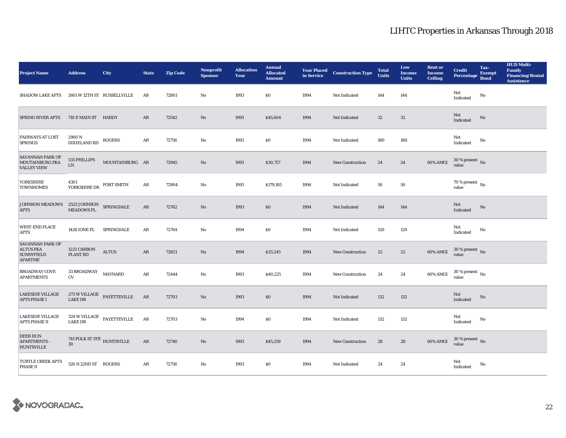| <b>Project Name</b>                                                                                                                          | <b>Address</b>                            | <b>City</b>                                         | <b>State</b> | <b>Zip Code</b> | <b>Nonprofit</b><br><b>Sponsor</b> | <b>Allocation</b><br>Year | <b>Annual</b><br><b>Allocated</b><br><b>Amount</b> | <b>Year Placed<br/>in Service</b> | <b>Construction Type</b> | <b>Total</b><br><b>Units</b> | Low<br><b>Income</b><br><b>Units</b> | <b>Rent or</b><br><b>Income</b><br><b>Ceiling</b> | <b>Credit</b><br>Percentage            | Tax-<br><b>Exempt</b><br><b>Bond</b> | <b>HUD Multi-</b><br><b>Family</b><br><b>Financing/Rental</b><br><b>Assistance</b> |
|----------------------------------------------------------------------------------------------------------------------------------------------|-------------------------------------------|-----------------------------------------------------|--------------|-----------------|------------------------------------|---------------------------|----------------------------------------------------|-----------------------------------|--------------------------|------------------------------|--------------------------------------|---------------------------------------------------|----------------------------------------|--------------------------------------|------------------------------------------------------------------------------------|
| <b>SHADOW LAKE APTS</b>                                                                                                                      |                                           | 2601 W 12TH ST RUSSELLVILLE                         | AR           | 72801           | $\mathbf{N}\mathbf{o}$             | 1993                      | \$0                                                | 1994                              | Not Indicated            | 144                          | 144                                  |                                                   | Not<br>Indicated                       | No                                   |                                                                                    |
| <b>SPRING RIVER APTS</b>                                                                                                                     | 710 E MAIN ST HARDY                       |                                                     | $\rm{AR}$    | 72542           | $\rm No$                           | 1993                      | \$45,604                                           | 1994                              | Not Indicated            | $32\,$                       | $32\,$                               |                                                   | Not<br>Indicated                       | No                                   |                                                                                    |
| <b>FAIRWAYS AT LOST</b><br><b>SPRINGS</b>                                                                                                    | 2900N<br><b>DIXIELAND RD</b>              | <b>ROGERS</b>                                       | AR           | 72756           | $\mathbf{No}$                      | 1993                      | \$0                                                | 1994                              | <b>Not Indicated</b>     | 180                          | 180                                  |                                                   | Not<br>Indicated                       | No                                   |                                                                                    |
| <b>SAVANNAH PARK OF</b><br>MOUTAINBURG FKA<br><b>VALLEY VIEW</b>                                                                             | 535 PHILLIPS<br>LN                        | MOUNTAINBURG AR                                     |              | 72945           | $\rm No$                           | 1993                      | \$30,757                                           | 1994                              | <b>New Construction</b>  | 24                           | 24                                   | 60% AMGI                                          | $30$ % present $\,$ No $\,$<br>value   |                                      |                                                                                    |
| YORKSHIRE<br><b>TOWNHOMES</b>                                                                                                                | 4301<br>YORKSHIRE DR FORT SMITH           |                                                     | ${\bf AR}$   | 72904           | $\mathbf{N}\mathbf{o}$             | 1993                      | \$179,185                                          | 1994                              | Not Indicated            | 50                           | ${\bf 50}$                           |                                                   | $70$ % present $\,$ No $\,$<br>value   |                                      |                                                                                    |
| $\begin{tabular}{ll} \textsc{JOHNSON MEADOWS} & 2523 \textsc{JOHNSON} & SPRINGDALE \\ \textsc{APTS} & MEADOWS PL & SPRINGDALE \end{tabular}$ |                                           |                                                     | $\rm{AR}$    | 72762           | $\rm No$                           | 1993                      | \$0                                                | 1994                              | Not Indicated            | 144                          | 144                                  |                                                   | Not<br>Indicated                       | No                                   |                                                                                    |
| <b>WEST-END PLACE</b><br><b>APTS</b>                                                                                                         | <b>1428 IONE PL</b>                       | SPRINGDALE                                          | ${\bf AR}$   | 72764           | $\mathbf{N}\mathbf{o}$             | 1994                      | \$0                                                | 1994                              | Not Indicated            | 120                          | 120                                  |                                                   | Not<br>Indicated                       | No                                   |                                                                                    |
| <b>SAVANNAH PARK OF</b><br><b>ALTUS FKA</b><br><b>SUNNYFIELD</b><br><b>APARTME</b>                                                           | 1222 CARBON<br>PLANT RD                   | <b>ALTUS</b>                                        | $\rm{AR}$    | 72821           | No                                 | 1994                      | \$33,245                                           | 1994                              | <b>New Construction</b>  | 22                           | 22                                   | 60% AMGI                                          | $30\,\%$ present $\,$ No $\,$<br>value |                                      |                                                                                    |
| <b>BROADWAY COVE</b><br><b>APARTMENTS</b>                                                                                                    | $33\ \mathtt{BROADWAY}$<br>CV             | <b>MAYNARD</b>                                      | ${\bf AR}$   | 72444           | $\mathbf{No}$                      | 1993                      | \$40,225                                           | 1994                              | <b>New Construction</b>  | 24                           | 24                                   | 60% AMGI                                          | $30\,\%$ present $\,$ No $\,$<br>value |                                      |                                                                                    |
| <b>LAKESIDE VILLAGE</b><br><b>APTS PHASE I</b>                                                                                               | <b>LAKE DR</b>                            | $273\ \rm{W}\, \rm{VILLAGE}$ $_{\rm{FAYETTEVILLE}}$ | AR           | 72703           | $\rm No$                           | 1993                      | \$0                                                | 1994                              | Not Indicated            | 132                          | 132                                  |                                                   | Not<br>Indicated                       | No                                   |                                                                                    |
| <b>LAKESIDE VILLAGE</b><br>APTS PHASE II                                                                                                     |                                           | $324\ \rm{W\,VILLAGE}$ $\quad$ FAYETTEVILLE LAKE DR | $\rm{AR}$    | 72703           | No                                 | 1994                      | \$0                                                | 1994                              | Not Indicated            | 132                          | 132                                  |                                                   | Not<br>Indicated                       | No                                   |                                                                                    |
| DEER RUN<br><b>APARTMENTS</b><br><b>HUNTSVILLE</b>                                                                                           | 741 POLK ST STE $_{\rm HUNTSVILLE}$<br>30 |                                                     | $\rm{AR}$    | 72740           | No                                 | 1993                      | \$45,259                                           | 1994                              | <b>New Construction</b>  | 28                           | 28                                   | 60% AMGI                                          | $30$ % present $\,$ No value           |                                      |                                                                                    |
| TURTLE CREEK APTS<br><b>PHASE II</b>                                                                                                         | 526 N 22ND ST ROGERS                      |                                                     | AR           | 72756           | No                                 | 1993                      | \$0                                                | 1994                              | Not Indicated            | 24                           | 24                                   |                                                   | Not<br>Indicated                       | No                                   |                                                                                    |

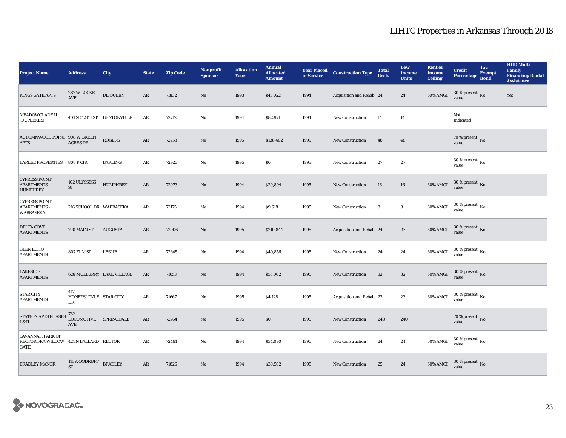| <b>Project Name</b>                                                              | <b>Address</b>                      | <b>City</b>                | <b>State</b>  | <b>Zip Code</b> | <b>Nonprofit</b><br><b>Sponsor</b> | <b>Allocation</b><br>Year | <b>Annual</b><br><b>Allocated</b><br><b>Amount</b> | <b>Year Placed<br/>in Service</b> | <b>Construction Type</b> | <b>Total</b><br><b>Units</b> | Low<br><b>Income</b><br><b>Units</b> | <b>Rent or</b><br><b>Income</b><br><b>Ceiling</b> | <b>Credit</b><br><b>Percentage</b>     | Tax-<br><b>Exempt</b><br><b>Bond</b> | <b>HUD Multi-</b><br><b>Family</b><br><b>Financing/Rental</b><br><b>Assistance</b> |
|----------------------------------------------------------------------------------|-------------------------------------|----------------------------|---------------|-----------------|------------------------------------|---------------------------|----------------------------------------------------|-----------------------------------|--------------------------|------------------------------|--------------------------------------|---------------------------------------------------|----------------------------------------|--------------------------------------|------------------------------------------------------------------------------------|
| <b>KINGS GATE APTS</b>                                                           | 287 W LOCKE<br>AVE                  | DE QUEEN                   | AR            | 71832           | No                                 | 1993                      | \$47,022                                           | 1994                              | Acquisition and Rehab 24 |                              | 24                                   | 60% AMGI                                          | $30$ % present $\,$ No $\,$<br>value   |                                      | Yes                                                                                |
| <b>MEADOWGLADE II</b><br>(DUPLEXES)                                              |                                     | 401 SE 12TH ST BENTONVILLE | $\rm{AR}$     | 72712           | $\mathbf{No}$                      | 1994                      | \$82,971                                           | 1994                              | New Construction         | 14                           | 14                                   |                                                   | Not<br>Indicated                       |                                      |                                                                                    |
| AUTUMNWOOD POINT 908 W GREEN<br><b>APTS</b>                                      | <b>ACRES DR</b>                     | <b>ROGERS</b>              | $\rm{AR}$     | 72758           | $\mathbf{N}\mathbf{o}$             | 1995                      | \$138,402                                          | 1995                              | <b>New Construction</b>  | 48                           | 48                                   |                                                   | $70\,\%$ present $\,$ No value         |                                      |                                                                                    |
| <b>BARLEE PROPERTIES 808 P CIR</b>                                               |                                     | <b>BARLING</b>             | AR            | 72923           | No                                 | 1995                      | \$0                                                | 1995                              | <b>New Construction</b>  | $27\,$                       | $\bf 27$                             |                                                   | 30 % present $\,$ No $\,$<br>value     |                                      |                                                                                    |
| <b>CYPRESS POINT</b><br><b>APARTMENTS -</b><br><b>HUMPHREY</b>                   | 102 ULYSSESS<br>$\operatorname{ST}$ | <b>HUMPHREY</b>            | $\rm{AR}$     | 72073           | $\rm No$                           | 1994                      | \$20,894                                           | 1995                              | New Construction         | ${\bf 16}$                   | 16                                   | 60% AMGI                                          | $30\,\%$ present $\,$ No value         |                                      |                                                                                    |
| <b>CYPRESS POINT</b><br><b>APARTMENTS -</b><br><b>WABBASEKA</b>                  | 216 SCHOOL DR WABBASEKA             |                            | AR            | 72175           | No                                 | 1994                      | \$9,618                                            | 1995                              | <b>New Construction</b>  | 8                            | 8                                    | 60% AMGI                                          | $30\,\%$ present $\,$ No $\,$<br>value |                                      |                                                                                    |
| <b>DELTA COVE</b><br><b>APARTMENTS</b>                                           | 700 MAIN ST                         | <b>AUGUSTA</b>             | AR            | 72006           | No                                 | 1995                      | \$210,844                                          | 1995                              | Acquisition and Rehab 24 |                              | 23                                   | 60% AMGI                                          | $30\%$ present No<br>value             |                                      |                                                                                    |
| <b>GLEN ECHO</b><br><b>APARTMENTS</b>                                            | 807 ELM ST                          | <b>LESLIE</b>              | AR            | 72645           | No                                 | 1994                      | \$40,856                                           | 1995                              | <b>New Construction</b>  | 24                           | 24                                   | 60% AMGI                                          | $30$ % present $\,$ No $\,$<br>value   |                                      |                                                                                    |
| <b>LAKESIDE</b><br><b>APARTMENTS</b>                                             |                                     | 628 MULBERRY LAKE VILLAGE  | AR            | 71653           | $\mathbf{N}\mathbf{o}$             | 1994                      | \$55,002                                           | 1995                              | New Construction         | 32                           | $32\phantom{.0}$                     | 60% AMGI                                          | $30\,\%$ present $\,$ No value         |                                      |                                                                                    |
| <b>STAR CITY</b><br><b>APARTMENTS</b>                                            | 417<br>HONEYSUCKLE STAR CITY<br>DR  |                            | $\rm{AR}$     | 71667           | $\mathbf{N}\mathbf{o}$             | 1995                      | \$4,128                                            | 1995                              | Acquisition and Rehab 23 |                              | 23                                   | 60% AMGI                                          | $30\,\%$ present $\,$ No value         |                                      |                                                                                    |
| <b>STATION APTS PHASES</b><br>I & II                                             | 762<br>LOCOMOTIVE SPRINGDALE<br>AVE |                            | AR            | 72764           | No                                 | 1995                      | \$0                                                | 1995                              | <b>New Construction</b>  | 240                          | 240                                  |                                                   | 70 % present $\,$ No $\,$<br>value     |                                      |                                                                                    |
| <b>SAVANNAH PARK OF</b><br>RECTOR FKA WILLOW 421 N BALLARD RECTOR<br><b>GATE</b> |                                     |                            | AR            | 72461           | $\mathbf{No}$                      | 1994                      | \$34,090                                           | 1995                              | <b>New Construction</b>  | 24                           | 24                                   | 60% AMGI                                          | $30\,\%$ present $\,$ No $\,$<br>value |                                      |                                                                                    |
| <b>BRADLEY MANOR</b>                                                             | 111 WOODRUFF<br><b>ST</b>           | <b>BRADLEY</b>             | $\mathbf{AR}$ | 71826           | No                                 | 1994                      | \$30,502                                           | 1995                              | <b>New Construction</b>  | 25                           | 24                                   | 60% AMGI                                          | $30\,\%$ present $\,$ No value         |                                      |                                                                                    |

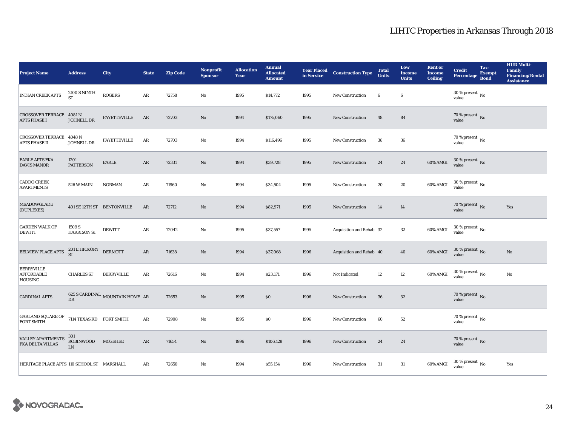| <b>Project Name</b>                                      | <b>Address</b>                        | City                                        | <b>State</b>  | <b>Zip Code</b> | <b>Nonprofit</b><br><b>Sponsor</b> | <b>Allocation</b><br>Year | <b>Annual</b><br><b>Allocated</b><br><b>Amount</b> |      | <b>Year Placed Construction Type</b><br>in Service <b>Construction</b> Type | <b>Total</b><br><b>Units</b> | Low<br><b>Income</b><br><b>Units</b> | <b>Rent or</b><br><b>Income</b><br><b>Ceiling</b> | <b>Credit</b><br><b>Percentage</b>   | Tax-<br><b>Exempt</b><br><b>Bond</b> | <b>HUD Multi-</b><br>Family<br><b>Financing/Rental</b><br><b>Assistance</b> |
|----------------------------------------------------------|---------------------------------------|---------------------------------------------|---------------|-----------------|------------------------------------|---------------------------|----------------------------------------------------|------|-----------------------------------------------------------------------------|------------------------------|--------------------------------------|---------------------------------------------------|--------------------------------------|--------------------------------------|-----------------------------------------------------------------------------|
| <b>INDIAN CREEK APTS</b>                                 | <b>2100 S NINTH</b><br><b>ST</b>      | <b>ROGERS</b>                               | ${\bf AR}$    | 72758           | No                                 | 1995                      | \$14,772                                           | 1995 | New Construction                                                            | $\boldsymbol{6}$             | $\bf 6$                              |                                                   | 30 % present $\,$ No $\,$<br>value   |                                      |                                                                             |
| CROSSOVER TERRACE 4081 N<br>APTS PHASE I                 | JOHNELL DR                            | <b>FAYETTEVILLE</b>                         | AR            | 72703           | No                                 | 1994                      | \$175,060                                          | 1995 | New Construction                                                            | 48                           | 84                                   |                                                   | $70$ % present $\,$ No value         |                                      |                                                                             |
| CROSSOVER TERRACE 4048 N<br>APTS PHASE II                | JOHNELL DR                            | <b>FAYETTEVILLE</b>                         | AR            | 72703           | No                                 | 1994                      | \$116,496                                          | 1995 | <b>New Construction</b>                                                     | 36                           | 36                                   |                                                   | $70$ % present $\,$ No value         |                                      |                                                                             |
| <b>EARLE APTS FKA</b><br><b>DAVIS MANOR</b>              | 1201<br><b>PATTERSON</b>              | EARLE                                       | $\rm{AR}$     | 72331           | $\mathbf{N}\mathbf{o}$             | 1994                      | \$39,728                                           | 1995 | New Construction                                                            | 24                           | 24                                   | 60% AMGI                                          | $30\,\%$ present $\,$ No value       |                                      |                                                                             |
| <b>CADDO CREEK</b><br><b>APARTMENTS</b>                  | <b>526 W MAIN</b>                     | <b>NORMAN</b>                               | AR            | 71960           | No                                 | 1994                      | \$34,504                                           | 1995 | New Construction                                                            | 20                           | 20                                   | 60% AMGI                                          | $30$ % present $\,$ No $\,$<br>value |                                      |                                                                             |
| <b>MEADOWGLADE</b><br>(DUPLEXES)                         |                                       | 401 SE 12TH ST BENTONVILLE                  | AR            | 72712           | $\mathbf{N}\mathbf{o}$             | 1994                      | \$82,971                                           | 1995 | <b>New Construction</b>                                                     | 14                           | 14                                   |                                                   | $70$ % present $_{\rm{No}}$          |                                      | Yes                                                                         |
| <b>GARDEN WALK OF</b><br><b>DEWITT</b>                   | 1509 S<br><b>HARRISON ST</b>          | <b>DEWITT</b>                               | ${\bf AR}$    | 72042           | No                                 | 1995                      | \$37,557                                           | 1995 | Acquisition and Rehab 32                                                    |                              | 32                                   | 60% AMGI                                          | $30\,\%$ present $\,$ No value       |                                      |                                                                             |
| BELVIEW PLACE APTS                                       | 201 E HICKORY<br>ST                   | DERMOTT                                     | $\mathbf{AR}$ | 71638           | $\mathbf{N}\mathbf{o}$             | 1994                      | \$37,068                                           | 1996 | Acquisition and Rehab 40                                                    |                              | 40                                   | 60% AMGI                                          | $30\,\%$ present $\,$ No value       |                                      | $\rm No$                                                                    |
| <b>BERRYVILLE</b><br><b>AFFORDABLE</b><br><b>HOUSING</b> | <b>CHARLES ST</b>                     | <b>BERRYVILLE</b>                           | ${\bf AR}$    | 72616           | No                                 | 1994                      | \$23,171                                           | 1996 | Not Indicated                                                               | 12                           | $12\,$                               | 60% AMGI                                          | $30\,\%$ present $\,$ No value       |                                      | $\rm No$                                                                    |
| <b>CARDINAL APTS</b>                                     | $_{\rm DR}$                           | $625$ S CARDINAL $\,$ MOUNTAIN HOME $\,$ AR |               | 72653           | No                                 | 1995                      | $\$0$                                              | 1996 | <b>New Construction</b>                                                     | ${\bf 36}$                   | $32\,$                               |                                                   | $70\,\%$ present $\,$ No value       |                                      |                                                                             |
| GARLAND SQUARE OF<br><b>FORT SMITH</b>                   | 7114 TEXAS RD FORT SMITH              |                                             | $\rm{AR}$     | 72908           | No                                 | 1995                      | \$0                                                | 1996 | New Construction                                                            | 60                           | 52                                   |                                                   | $70$ % present $\,$ No $\,$<br>value |                                      |                                                                             |
| <b>VALLEY APARTMENTS</b><br>FKA DELTA VILLAS             | 301<br><b>ROBINWOOD</b><br>${\rm LN}$ | MCGEHEE                                     | $\rm{AR}$     | 71654           | $\rm No$                           | 1996                      | \$106,128                                          | 1996 | <b>New Construction</b>                                                     | 24                           | 24                                   |                                                   | $70\,\%$ present $\,$ No value       |                                      |                                                                             |
| HERITAGE PLACE APTS 110 SCHOOL ST MARSHALL               |                                       |                                             | AR            | 72650           | No                                 | 1994                      | \$55,154                                           | 1996 | <b>New Construction</b>                                                     | 31                           | 31                                   | 60% AMGI                                          | $30\,\%$ present $\,$ No value       |                                      | Yes                                                                         |

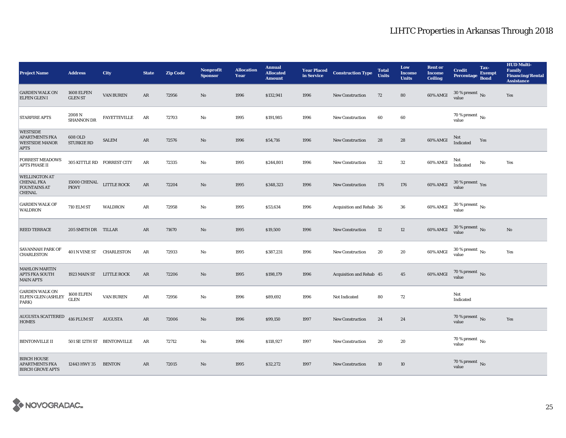| <b>Project Name</b>                                                              | <b>Address</b>                          | <b>City</b>                | <b>State</b> | <b>Zip Code</b> | <b>Nonprofit</b><br><b>Sponsor</b> | <b>Allocation</b><br>Year | <b>Annual</b><br><b>Allocated</b><br><b>Amount</b> | <b>Year Placed</b><br>in Service | <b>Construction Type</b> | <b>Total</b><br><b>Units</b> | Low<br><b>Income</b><br><b>Units</b> | <b>Rent or</b><br><b>Income</b><br><b>Ceiling</b> | <b>Credit</b><br><b>Percentage</b>         | Tax-<br><b>Exempt</b><br><b>Bond</b> | <b>HUD Multi-</b><br><b>Family</b><br><b>Financing/Rental</b><br><b>Assistance</b> |
|----------------------------------------------------------------------------------|-----------------------------------------|----------------------------|--------------|-----------------|------------------------------------|---------------------------|----------------------------------------------------|----------------------------------|--------------------------|------------------------------|--------------------------------------|---------------------------------------------------|--------------------------------------------|--------------------------------------|------------------------------------------------------------------------------------|
| <b>GARDEN WALK ON</b><br><b>ELFEN GLEN I</b>                                     | 1608 ELFEN<br><b>GLEN ST</b>            | <b>VAN BUREN</b>           | AR           | 72956           | No                                 | 1996                      | \$132,941                                          | 1996                             | <b>New Construction</b>  | 72                           | 80                                   | 60% AMGI                                          | $30$ % present $\,$ No $\,$<br>value       |                                      | Yes                                                                                |
| <b>STARFIRE APTS</b>                                                             | 2008 N<br><b>SHANNON DR</b>             | <b>FAYETTEVILLE</b>        | $\rm{AR}$    | 72703           | $\mathbf{No}$                      | 1995                      | \$191,985                                          | 1996                             | <b>New Construction</b>  | 60                           | 60                                   |                                                   | 70 % present $\,$ No $\,$<br>value         |                                      |                                                                                    |
| <b>WESTSIDE</b><br><b>APARTMENTS FKA</b><br><b>WESTSIDE MANOR</b><br><b>APTS</b> | 608 OLD<br><b>STURKIE RD</b>            | <b>SALEM</b>               | $\rm{AR}$    | 72576           | $\rm No$                           | 1996                      | \$54,716                                           | 1996                             | <b>New Construction</b>  | 28                           | 28                                   | 60% AMGI                                          | Not<br>Indicated                           | Yes                                  |                                                                                    |
| <b>FORREST MEADOWS</b><br><b>APTS PHASE II</b>                                   | 305 KITTLE RD FORREST CITY              |                            | $\rm{AR}$    | 72335           | $\mathbf{N}\mathbf{o}$             | 1995                      | \$244,801                                          | 1996                             | <b>New Construction</b>  | $32\,$                       | $32\,$                               | 60% AMGI                                          | Not<br>Indicated                           | $\mathbf{No}$                        | Yes                                                                                |
| <b>WELLINGTON AT</b><br><b>CHENAL FKA</b><br><b>FOUNTAINS AT</b><br>CHENAL       | 15000 CHENAL LITTLE ROCK<br><b>PKWY</b> |                            | $\rm{AR}$    | 72204           | $\rm No$                           | 1995                      | \$348,323                                          | 1996                             | New Construction         | 176                          | 176                                  | <b>60% AMGI</b>                                   | $30\,\%$ present $\,$ Yes value            |                                      |                                                                                    |
| <b>GARDEN WALK OF</b><br><b>WALDRON</b>                                          | <b>710 ELM ST</b>                       | <b>WALDRON</b>             | AR           | 72958           | No                                 | 1995                      | \$53,634                                           | 1996                             | Acquisition and Rehab 36 |                              | 36                                   | 60% AMGI                                          | $30\,\%$ present $\,$ $_{\rm No}$<br>value |                                      |                                                                                    |
| <b>REED TERRACE</b>                                                              | 205 SMITH DR TILLAR                     |                            | AR           | 71670           | No                                 | 1995                      | \$19,500                                           | 1996                             | <b>New Construction</b>  | 12                           | 12                                   | 60% AMGI                                          | $30$ % present $\,$ No $\,$<br>value       |                                      | No                                                                                 |
| <b>SAVANNAH PARK OF</b><br><b>CHARLESTON</b>                                     | 401 N VINE ST CHARLESTON                |                            | AR           | 72933           | No                                 | 1995                      | \$387,231                                          | 1996                             | <b>New Construction</b>  | 20                           | 20                                   | 60% AMGI                                          | $30\,\%$ present $\,$ No $\,$<br>value     |                                      | Yes                                                                                |
| <b>MAHLON MARTIN</b><br><b>APTS FKA SOUTH</b><br><b>MAIN APTS</b>                | 1923 MAIN ST                            | <b>LITTLE ROCK</b>         | $\rm{AR}$    | 72206           | No                                 | 1995                      | \$198,179                                          | 1996                             | Acquisition and Rehab 45 |                              | 45                                   | 60% AMGI                                          | $70$ % present $\,$ No value               |                                      |                                                                                    |
| <b>GARDEN WALK ON</b><br>ELFEN GLEN (ASHLEY<br>PARK)                             | 1608 ELFEN<br><b>GLEN</b>               | <b>VAN BUREN</b>           | $\rm{AR}$    | 72956           | $\mathbf{N}\mathbf{o}$             | 1996                      | \$89,692                                           | 1996                             | Not Indicated            | 80                           | 72                                   |                                                   | Not<br>Indicated                           |                                      |                                                                                    |
| AUGUSTA SCATTERED<br><b>HOMES</b>                                                | 416 PLUM ST                             | <b>AUGUSTA</b>             | $\rm{AR}$    | 72006           | $\rm No$                           | 1996                      | \$99,150                                           | 1997                             | New Construction         | 24                           | 24                                   |                                                   | 70 % present $\overline{N_0}$<br>value     |                                      | Yes                                                                                |
| <b>BENTONVILLE II</b>                                                            |                                         | 501 SE 12TH ST BENTONVILLE | AR           | 72712           | $\mathbf{No}$                      | 1996                      | \$118,927                                          | 1997                             | <b>New Construction</b>  | 20                           | 20                                   |                                                   | $70$ % present $\,$ No $\,$<br>value       |                                      |                                                                                    |
| <b>BIRCH HOUSE</b><br><b>APARTMENTS FKA</b><br><b>BIRCH GROVE APTS</b>           | 12443 HWY 35                            | <b>BENTON</b>              | AR           | 72015           | No                                 | 1995                      | \$32,272                                           | 1997                             | <b>New Construction</b>  | 10                           | 10                                   |                                                   | $70$ % present $\,$ No $\,$<br>value       |                                      |                                                                                    |

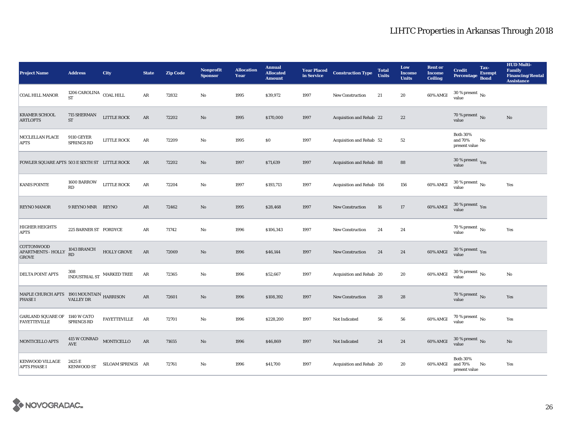| <b>Project Name</b>                                        | <b>Address</b>                            | <b>City</b>                    | <b>State</b> | <b>Zip Code</b> | <b>Nonprofit</b><br><b>Sponsor</b> | <b>Allocation</b><br>Year | <b>Annual</b><br><b>Allocated</b><br><b>Amount</b> |      | <b>Year Placed Construction Type</b><br>in Service <b>Construction</b> Type | <b>Total</b><br><b>Units</b> | Low<br><b>Income</b><br><b>Units</b> | <b>Rent or</b><br><b>Income</b><br><b>Ceiling</b> | <b>Credit</b><br><b>Percentage</b>          | Tax-<br><b>Exempt</b><br><b>Bond</b> | <b>HUD Multi-</b><br><b>Family</b><br><b>Financing/Rental</b><br><b>Assistance</b> |
|------------------------------------------------------------|-------------------------------------------|--------------------------------|--------------|-----------------|------------------------------------|---------------------------|----------------------------------------------------|------|-----------------------------------------------------------------------------|------------------------------|--------------------------------------|---------------------------------------------------|---------------------------------------------|--------------------------------------|------------------------------------------------------------------------------------|
| COAL HILL MANOR                                            | 1206 CAROLINA $\,$ COAL HILL<br><b>ST</b> |                                | AR           | 72832           | No                                 | 1995                      | \$39,972                                           | 1997 | <b>New Construction</b>                                                     | 21                           | 20                                   | 60% AMGI                                          | 30 % present $\,$ No $\,$<br>value          |                                      |                                                                                    |
| <b>KRAMER SCHOOL</b><br><b>ARTLOFTS</b>                    | 715 SHERMAN<br>ST                         | LITTLE ROCK                    | AR           | 72202           | $\rm No$                           | 1995                      | \$170,000                                          | 1997 | Acquisition and Rehab 22                                                    |                              | 22                                   |                                                   | $70$ % present $\,$ No value                |                                      | No                                                                                 |
| MCCLELLAN PLACE<br><b>APTS</b>                             | <b>9110 GEYER</b><br>SPRINGS RD           | LITTLE ROCK                    | ${\bf AR}$   | 72209           | $_{\rm No}$                        | 1995                      | \$0                                                | 1997 | Acquisition and Rehab 52                                                    |                              | $52\,$                               |                                                   | <b>Both 30%</b><br>and 70%<br>present value | No                                   |                                                                                    |
| FOWLER SQUARE APTS 503 E SIXTH ST LITTLE ROCK              |                                           |                                | AR           | 72202           | $\rm No$                           | 1997                      | \$71,639                                           | 1997 | Acquisition and Rehab 88                                                    |                              | 88                                   |                                                   | 30 % present $\gamma_{\rm{ES}}$<br>value    |                                      |                                                                                    |
| <b>KANIS POINTE</b>                                        | 1600 BARROW<br>$\mathbf{R}\mathbf{D}$     | LITTLE ROCK                    | $\rm{AR}$    | 72204           | $\mathbf {No}$                     | 1997                      | \$193,713                                          | 1997 | Acquisition and Rehab 156                                                   |                              | 156                                  | 60% AMGI                                          | $30\,\%$ present $\,$ No $\,$<br>value      |                                      | Yes                                                                                |
| REYNO MANOR                                                | 9 REYNO MNR REYNO                         |                                | AR           | 72462           | $\rm No$                           | 1995                      | \$28,468                                           | 1997 | New Construction                                                            | 16                           | 17                                   | 60% AMGI                                          | $30\,\%$ present $\,$ Yes value             |                                      |                                                                                    |
| <b>HIGHER HEIGHTS</b><br>APTS                              | 225 BARNER ST FORDYCE                     |                                | AR           | 71742           | No                                 | 1996                      | \$106,343                                          | 1997 | New Construction                                                            | 24                           | $\bf 24$                             |                                                   | 70 % present $\hbox{~No}$<br>value          |                                      | Yes                                                                                |
| COTTONWOOD<br>APARTMENTS - HOLLY<br><b>GROVE</b>           | 1043 BRANCH<br>RD                         | $\operatorname{HOLLY}$ GROVE   | $\rm{AR}$    | 72069           | No                                 | 1996                      | \$46,144                                           | 1997 | <b>New Construction</b>                                                     | 24                           | 24                                   | 60% AMGI                                          | $30\,\%$ present $\,$ $\rm Yes$<br>value    |                                      |                                                                                    |
| DELTA POINT APTS                                           |                                           | INDUSTRIAL ST $\,$ MARKED TREE | AR           | 72365           | $\mathbf {No}$                     | 1996                      | \$52,667                                           | 1997 | Acquisition and Rehab 20                                                    |                              | 20                                   | 60% AMGI                                          | $30$ % present $\,$ No $\,$<br>value        |                                      | No                                                                                 |
| MAPLE CHURCH APTS 1901 MOUNTAIN HARRISON<br><b>PHASE I</b> | <b>VALLEY DR</b>                          |                                | ${\bf AR}$   | 72601           | $\mathbf{N}\mathbf{o}$             | 1996                      | \$108,392                                          | 1997 | <b>New Construction</b>                                                     | 28                           | 28                                   |                                                   | 70 % present $\,$ No $\,$<br>value          |                                      | Yes                                                                                |
| GARLAND SQUARE OF 1140 W CATO<br><b>FAYETTEVILLE</b>       | <b>SPRINGS RD</b>                         | <b>FAYETTEVILLE</b>            | AR           | 72701           | No                                 | 1996                      | \$228,200                                          | 1997 | Not Indicated                                                               | 56                           | ${\bf 56}$                           | 60% AMGI                                          | 70 % present $\,$ No $\,$<br>value          |                                      | Yes                                                                                |
| <b>MONTICELLO APTS</b>                                     | 415 W CONRAD MONTICELLO<br><b>AVE</b>     |                                | ${\sf AR}$   | 71655           | $\rm No$                           | 1996                      | \$46,869                                           | 1997 | Not Indicated                                                               | 24                           | 24                                   | 60% AMGI                                          | $30\,\%$ present $\,$ No value              |                                      | No                                                                                 |
| <b>KENWOOD VILLAGE</b><br><b>APTS PHASE I</b>              | 2425 E<br><b>KENWOOD ST</b>               | SILOAM SPRINGS AR              |              | 72761           | No                                 | 1996                      | \$41,700                                           | 1997 | Acquisition and Rehab 20                                                    |                              | 20                                   | 60% AMGI                                          | <b>Both 30%</b><br>and 70%<br>present value | No                                   | Yes                                                                                |

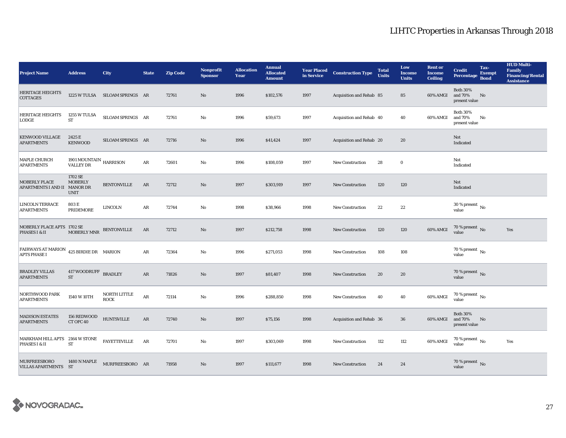| <b>Project Name</b>                                            | <b>Address</b>                             | <b>City</b>                    | <b>State</b> | <b>Zip Code</b> | <b>Nonprofit</b><br><b>Sponsor</b> | <b>Allocation</b><br>Year | <b>Annual</b><br><b>Allocated</b><br><b>Amount</b> | in Service | <b>Year Placed Construction Type</b> | <b>Total</b><br><b>Units</b> | Low<br><b>Income</b><br><b>Units</b> | <b>Rent or</b><br><b>Income</b><br><b>Ceiling</b> | <b>Credit</b><br><b>Percentage</b>          | Tax-<br><b>Exempt</b><br><b>Bond</b> | <b>HUD Multi-</b><br><b>Family</b><br><b>Financing/Rental</b><br><b>Assistance</b> |
|----------------------------------------------------------------|--------------------------------------------|--------------------------------|--------------|-----------------|------------------------------------|---------------------------|----------------------------------------------------|------------|--------------------------------------|------------------------------|--------------------------------------|---------------------------------------------------|---------------------------------------------|--------------------------------------|------------------------------------------------------------------------------------|
| <b>HERITAGE HEIGHTS</b><br>COTTAGES                            |                                            | 1225 W TULSA SILOAM SPRINGS AR |              | 72761           | $\mathbf{No}$                      | 1996                      | \$102,576                                          | 1997       | Acquisition and Rehab 85             |                              | 85                                   | 60% AMGI                                          | <b>Both 30%</b><br>and 70%<br>present value | No                                   |                                                                                    |
| <b>HERITAGE HEIGHTS</b><br><b>LODGE</b>                        | 1255 W TULSA<br><b>ST</b>                  | SILOAM SPRINGS AR              |              | 72761           | $\rm No$                           | 1996                      | \$59,673                                           | 1997       | Acquisition and Rehab 40             |                              | 40                                   | 60% AMGI                                          | <b>Both 30%</b><br>and 70%<br>present value | No                                   |                                                                                    |
| <b>KENWOOD VILLAGE</b><br><b>APARTMENTS</b>                    | 2425 E<br><b>KENWOOD</b>                   | SILOAM SPRINGS AR              |              | 72716           | No                                 | 1996                      | \$41,424                                           | 1997       | Acquisition and Rehab 20             |                              | 20                                   |                                                   | Not<br>Indicated                            |                                      |                                                                                    |
| MAPLE CHURCH<br><b>APARTMENTS</b>                              | 1901 MOUNTAIN HARRISON<br><b>VALLEY DR</b> |                                | AR           | 72601           | $\mathbf {No}$                     | 1996                      | \$108,059                                          | 1997       | New Construction                     | 28                           | $\bf{0}$                             |                                                   | Not<br>Indicated                            |                                      |                                                                                    |
| MOBERLY PLACE<br>APARTMENTS I AND II MANOR DR                  | 1702 SE<br><b>MOBERLY</b><br><b>UNIT</b>   | <b>BENTONVILLE</b>             | AR           | 72712           | No                                 | 1997                      | \$303,919                                          | 1997       | <b>New Construction</b>              | 120                          | 120                                  |                                                   | Not<br>Indicated                            |                                      |                                                                                    |
| <b>LINCOLN TERRACE</b><br><b>APARTMENTS</b>                    | 803 E<br>PRIDEMORE                         | LINCOLN                        | AR           | 72744           | No                                 | 1998                      | \$38,966                                           | 1998       | <b>New Construction</b>              | 22                           | 22                                   |                                                   | $30$ % present $\,$ No $\,$<br>value        |                                      |                                                                                    |
| MOBERLY PLACE APTS 1702 SE<br>PHASES I & II                    | <b>MOBERLY MNR</b>                         | <b>BENTONVILLE</b>             | AR           | 72712           | No                                 | 1997                      | \$212,758                                          | 1998       | <b>New Construction</b>              | 120                          | 120                                  | 60% AMGI                                          | 70 % present $\,$ No $\,$<br>value          |                                      | Yes                                                                                |
| FAIRWAYS AT MARION 425 BIRDIE DR MARION<br><b>APTS PHASE I</b> |                                            |                                | AR           | 72364           | $\mathbf{No}$                      | 1996                      | \$271,053                                          | 1998       | <b>New Construction</b>              | 108                          | 108                                  |                                                   | 70 % present $\,$ No $\,$<br>value          |                                      |                                                                                    |
| <b>BRADLEY VILLAS</b><br><b>APARTMENTS</b>                     | 417 WOODRUFF BRADLEY<br><b>ST</b>          |                                | ${\bf AR}$   | 71826           | $\mathbf{N}\mathbf{o}$             | 1997                      | \$81,407                                           | 1998       | <b>New Construction</b>              | 20                           | 20                                   |                                                   | 70 % present $\,$ No $\,$<br>value          |                                      |                                                                                    |
| NORTHWOOD PARK<br><b>APARTMENTS</b>                            | 1540 W 10TH                                | NORTH LITTLE<br><b>ROCK</b>    | $\rm{AR}$    | 72114           | No                                 | 1996                      | \$288,850                                          | 1998       | <b>New Construction</b>              | 40                           | 40                                   | 60% AMGI                                          | 70 % present $\,$ No $\,$<br>value          |                                      |                                                                                    |
| <b>MADISON ESTATES</b><br><b>APARTMENTS</b>                    | 156 REDWOOD<br>CT OFC 40                   | <b>HUNTSVILLE</b>              | ${\bf AR}$   | 72740           | No                                 | 1997                      | \$75,156                                           | 1998       | Acquisition and Rehab 36             |                              | 36                                   | 60% AMGI                                          | <b>Both 30%</b><br>and 70%<br>present value | No                                   |                                                                                    |
| MARKHAM HILL APTS 2164 W STONE<br>PHASES I & II                | <b>ST</b>                                  | <b>FAYETTEVILLE</b>            | AR           | 72701           | $\mathbf{N}\mathbf{o}$             | 1997                      | \$303,069                                          | 1998       | New Construction                     | 112                          | 112                                  | 60% AMGI                                          | $70$ % present $\,$ No $\,$<br>value        |                                      | Yes                                                                                |
| <b>MURFREESBORO</b><br>VILLAS APARTMENTS ST                    | <b>1480 N MAPLE</b>                        | MURFREESBORO AR                |              | 71958           | No                                 | 1997                      | \$111,677                                          | 1998       | <b>New Construction</b>              | 24                           | 24                                   |                                                   | $70\,\%$ present $\,$ No value              |                                      |                                                                                    |

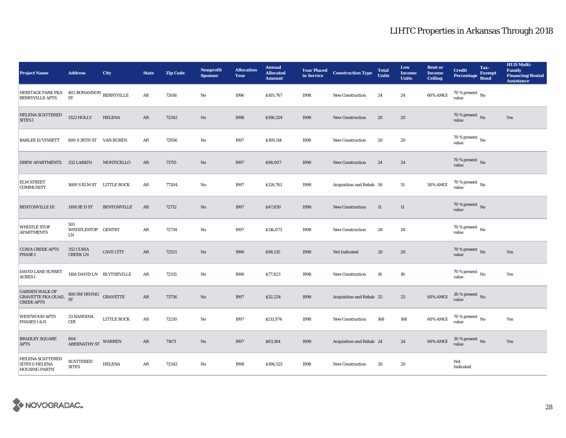| <b>Project Name</b>                                                     | <b>Address</b>                                | <b>City</b>        | <b>State</b> | <b>Zip Code</b> | <b>Nonprofit</b><br><b>Sponsor</b> | <b>Allocation</b><br>Year | <b>Annual</b><br><b>Allocated</b><br><b>Amount</b> |      | <b>Year Placed Construction Type</b><br>in Service | <b>Total</b><br><b>Units</b> | Low<br><b>Income</b><br><b>Units</b> | <b>Rent or</b><br><b>Income</b><br><b>Ceiling</b> | <b>Credit</b><br><b>Percentage</b>       | Tax-<br><b>Exempt</b><br><b>Bond</b> | <b>HUD Multi-</b><br><b>Family</b><br><b>Financing/Rental</b><br><b>Assistance</b> |
|-------------------------------------------------------------------------|-----------------------------------------------|--------------------|--------------|-----------------|------------------------------------|---------------------------|----------------------------------------------------|------|----------------------------------------------------|------------------------------|--------------------------------------|---------------------------------------------------|------------------------------------------|--------------------------------------|------------------------------------------------------------------------------------|
| HERITAGE PARK FKA 402 BOHANNON BERRYVILLE<br><b>BERRYVILLE APTS</b>     | <b>ST</b>                                     |                    | AR           | 72616           | No                                 | 1996                      | \$105,767                                          | 1998 | <b>New Construction</b>                            | 24                           | 24                                   | 60% AMGI                                          | 70 % present $\,$ No $\,$<br>value       |                                      |                                                                                    |
| HELENA SCATTERED<br><b>SITES I</b>                                      | <b>1322 HOLLY</b>                             | <b>HELENA</b>      | AR           | 72342           | No                                 | 1998                      | \$196,524                                          | 1998 | New Construction                                   | 20                           | 20                                   |                                                   | $70$ % present $\,$ No value             |                                      | Yes                                                                                |
| <b>BARLEE II/VINSETT</b>                                                | 800 S 38TH ST                                 | VAN BUREN          | AR           | 72956           | $\mathbf{N}\mathbf{o}$             | 1997                      | \$109,114                                          | 1998 | <b>New Construction</b>                            | 20                           | 20                                   |                                                   | $70$ % present $\,$ No value             |                                      |                                                                                    |
| <b>DREW APARTMENTS</b>                                                  | 332 LARKIN                                    | MONTICELLO         | AR           | 71755           | No                                 | 1997                      | \$98,007                                           | 1998 | <b>New Construction</b>                            | 24                           | 24                                   |                                                   | 70 % present $\,$ No $\,$<br>value       |                                      |                                                                                    |
| <b>ELM STREET</b><br><b>COMMUNITY</b>                                   | 1600 S ELM ST LITTLE ROCK                     |                    | AR           | 77204           | No                                 | 1997                      | \$126,761                                          | 1998 | Acquisition and Rehab 50                           |                              | 51                                   | 50% AMGI                                          | $70$ % present $\,$ No value             |                                      |                                                                                    |
| <b>BENTONVILLE III</b>                                                  | 1108 SE D ST                                  | <b>BENTONVILLE</b> | AR           | 72712           | No                                 | 1997                      | \$47,839                                           | 1998 | <b>New Construction</b>                            | <b>11</b>                    | 11                                   |                                                   | $70$ % present $\,$ No value             |                                      |                                                                                    |
| <b>WHISTLE STOP</b><br><b>APARTMENTS</b>                                | 501<br>WHISTLESTOP GENTRY<br>${\rm LN}$       |                    | AR           | 72734           | No                                 | 1997                      | \$116,073                                          | 1998 | <b>New Construction</b>                            | 28                           | 28                                   |                                                   | 70 % present $\hbox{~No}$<br>value       |                                      |                                                                                    |
| <b>CURIA CREEK APTS</b><br><b>PHASE I</b>                               | 352 CURIA<br><b>CREEK LN</b>                  | <b>CAVE CITY</b>   | AR           | 72521           | No                                 | 1996                      | \$98,515                                           | 1998 | Not Indicated                                      | 20                           | 20                                   |                                                   | $70$ % present $\,$ No value             |                                      | Yes                                                                                |
| DAVID LANE SUNSET<br><b>ACRES I</b>                                     | 1106 DAVID LN BLYTHEVILLE                     |                    | AR           | 72315           | No                                 | 1996                      | \$77,823                                           | 1998 | <b>New Construction</b>                            | 16                           | 16                                   |                                                   | $70$ % present $\,$ No $\,$<br>value     |                                      | Yes                                                                                |
| <b>GARDEN WALK OF</b><br><b>GRAVETTE FKA QUAIL</b><br><b>CREEK APTS</b> | $600$ SW IRVING $\quad$ GRAVETTE<br><b>ST</b> |                    | AR           | 73736           | No                                 | 1997                      | \$32,224                                           | 1998 | Acquisition and Rehab 25                           |                              | 25                                   | 60% AMGI                                          | $30\,\%$ present $\,$ No value           |                                      |                                                                                    |
| <b>WESTWOOD APTS</b><br>PHASES I & II                                   | 33 NANDINA<br>CIR                             | LITTLE ROCK        | $\rm{AR}$    | 72210           | No                                 | 1997                      | \$211,974                                          | 1998 | <b>New Construction</b>                            | 168                          | 168                                  | 60% AMGI                                          | $70$ % present $\,$ $_{\rm No}$<br>value |                                      | Yes                                                                                |
| <b>BRADLEY SQUARE</b><br><b>APTS</b>                                    | 804<br><b>ABERNATHY ST</b>                    | WARREN             | AR           | 71671           | No                                 | 1997                      | \$63,104                                           | 1998 | Acquisition and Rehab 24                           |                              | 24                                   | 60% AMGI                                          | $30\,\%$ present $\,$ No value           |                                      | Yes                                                                                |
| <b>HELENA SCATTERED</b><br>SITES I/HELENA<br><b>HOUSING PARTN</b>       | <b>SCATTERED</b><br><b>SITES</b>              | <b>HELENA</b>      | AR           | 72342           | No                                 | 1998                      | \$196,525                                          | 1998 | <b>New Construction</b>                            | 20                           | 20                                   |                                                   | Not<br>Indicated                         |                                      |                                                                                    |

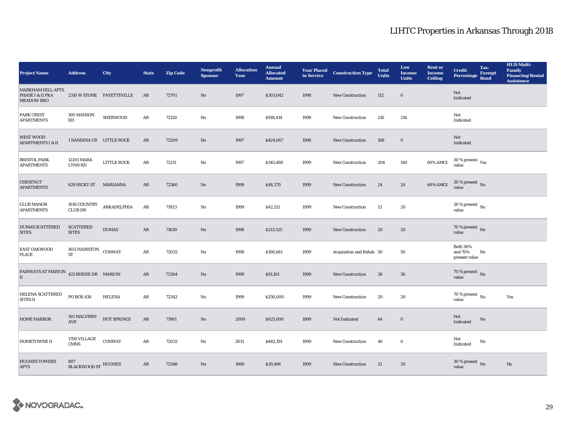| <b>Project Name</b>                                               | <b>Address</b>                      | <b>City</b>               | <b>State</b> | <b>Zip Code</b> | <b>Nonprofit</b><br><b>Sponsor</b> | <b>Allocation</b><br>Year | <b>Annual</b><br><b>Allocated</b><br><b>Amount</b> | <b>Year Placed<br/>in Service</b> | <b>Construction Type</b> | <b>Total</b><br><b>Units</b> | Low<br><b>Income</b><br><b>Units</b> | <b>Rent or</b><br><b>Income</b><br><b>Ceiling</b> | <b>Credit</b><br><b>Percentage</b>          | Tax-<br><b>Exempt</b><br><b>Bond</b> | <b>HUD Multi-</b><br><b>Family</b><br><b>Financing/Rental</b><br><b>Assistance</b> |
|-------------------------------------------------------------------|-------------------------------------|---------------------------|--------------|-----------------|------------------------------------|---------------------------|----------------------------------------------------|-----------------------------------|--------------------------|------------------------------|--------------------------------------|---------------------------------------------------|---------------------------------------------|--------------------------------------|------------------------------------------------------------------------------------|
| <b>MARKHAM HILL APTS</b><br>PHASE I & II FKA<br><b>MEADOW BRO</b> |                                     | 2310 W STONE FAYETTEVILLE | AR           | 72701           | No                                 | 1997                      | \$303,042                                          | 1998                              | New Construction         | 112                          | $\bf{0}$                             |                                                   | Not<br>Indicated                            |                                      |                                                                                    |
| PARK CREST<br><b>APARTMENTS</b>                                   | 100 MANSON<br>RD                    | <b>SHERWOOD</b>           | ${\bf AR}$   | 72120           | $\rm No$                           | 1998                      | \$918,414                                          | 1998                              | <b>New Construction</b>  | 216                          | 216                                  |                                                   | Not<br>Indicated                            |                                      |                                                                                    |
| <b>WEST WOOD</b><br><b>APARTMENTS I &amp; II</b>                  | 1 NANDINA CR LITTLE ROCK            |                           | ${\bf AR}$   | 72209           | $\rm No$                           | 1997                      | \$424,067                                          | 1998                              | <b>New Construction</b>  | 168                          | $\mathbf 0$                          |                                                   | Not<br>Indicated                            |                                      |                                                                                    |
| <b>BRISTOL PARK</b><br><b>APARTMENTS</b>                          | 12201 MARA<br>LYNN RD               | LITTLE ROCK               | AR           | 72211           | No                                 | 1997                      | \$345,480                                          | 1999                              | <b>New Construction</b>  | 204                          | 140                                  | 60% AMGI                                          | $30$ % present $\,$ $\rm Yes$<br>value      |                                      |                                                                                    |
| <b>CHESTNUT</b><br><b>APARTMENTS</b>                              | 629 HICKY ST MARIANNA               |                           | AR           | 72360           | No                                 | 1999                      | \$48,370                                           | 1999                              | <b>New Construction</b>  | 24                           | 24                                   | 60% AMGI                                          | 30 % present $\,$ No $\,$<br>value          |                                      |                                                                                    |
| <b>CLUB MANOR</b><br><b>APARTMENTS</b>                            | 1016 COUNTRY<br><b>CLUB DR</b>      | ARKADELPHIA               | ${\sf AR}$   | 71923           | No                                 | 1999                      | \$42,132                                           | 1999                              | New Construction         | 21                           | 20                                   |                                                   | $30$ % present $\,$ No $\,$<br>value        |                                      |                                                                                    |
| <b>DUMAS SCATTERED</b><br><b>SITES</b>                            | <b>SCATTERED</b><br><b>SITES</b>    | <b>DUMAS</b>              | AR           | 71639           | $\rm No$                           | 1998                      | \$213,525                                          | 1999                              | New Construction         | 20                           | 20                                   |                                                   | 70 % present $\,$ No $\,$<br>value          |                                      |                                                                                    |
| EAST OAKWOOD<br><b>PLACE</b>                                      | 1651 HAIRSTON CONWAY<br><b>ST</b>   |                           | ${\bf AR}$   | 72032           | No                                 | 1998                      | \$106,681                                          | 1999                              | Acquisition and Rehab 50 |                              | 50                                   |                                                   | <b>Both 30%</b><br>and 70%<br>present value | No                                   |                                                                                    |
| FAIRWAYS AT MARION $425$ BIRDIE DR MARION<br>II                   |                                     |                           | ${\bf AR}$   | 72364           | $\rm No$                           | 1999                      | \$91,161                                           | 1999                              | <b>New Construction</b>  | 36                           | 36                                   |                                                   | 70 % present $\hbox{~No}$<br>value          |                                      |                                                                                    |
| <b>HELENA SCATTERED</b><br><b>SITES II</b>                        | PO BOX 636                          | <b>HELENA</b>             | ${\bf AR}$   | 72342           | No                                 | 1999                      | \$250,000                                          | 1999                              | <b>New Construction</b>  | 20                           | 20                                   |                                                   | $70$ % present $\,$ No $\,$<br>value        |                                      | Yes                                                                                |
| <b>HOME HARBOR</b>                                                | 501 MALVERN<br>$\operatorname{AVE}$ | HOT SPRINGS               | AR           | 71901           | No                                 | 2009                      | \$625,000                                          | 1999                              | Not Indicated            | 64                           | $\bf{0}$                             |                                                   | Not<br>Indicated                            | No                                   |                                                                                    |
| <b>HOMETOWNE II</b>                                               | 1700 VILLAGE<br><b>CMNS</b>         | <b>CONWAY</b>             | ${\bf AR}$   | 72032           | No                                 | 2011                      | \$482,191                                          | 1999                              | <b>New Construction</b>  | 40                           | $\bf{0}$                             |                                                   | Not<br>Indicated                            | No                                   |                                                                                    |
| <b>HUGHES TOWERS</b><br><b>APTS</b>                               | 807<br><b>BLACKWOOD ST HUGHES</b>   |                           | ${\sf AR}$   | 72348           | No                                 | 1999                      | \$39,496                                           | 1999                              | <b>New Construction</b>  | 21                           | 20                                   |                                                   | $30\,\%$ present $\,$ No value              |                                      | No                                                                                 |

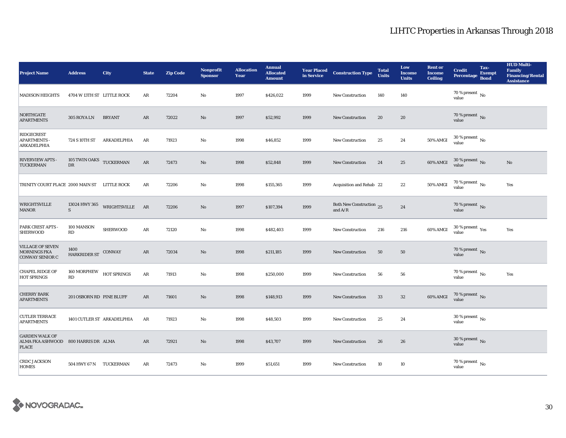| <b>Project Name</b>                                                          | <b>Address</b>                | City                       | <b>State</b> | <b>Zip Code</b> | <b>Nonprofit</b><br><b>Sponsor</b> | <b>Allocation</b><br>Year | <b>Annual</b><br><b>Allocated</b><br><b>Amount</b> |      | <b>Year Placed Construction Type</b><br>in Service | <b>Total</b><br><b>Units</b> | Low<br><b>Income</b><br><b>Units</b> | <b>Rent or</b><br><b>Income</b><br><b>Ceiling</b> | <b>Credit</b><br><b>Percentage</b>       | Tax-<br><b>Exempt</b><br><b>Bond</b> | <b>HUD Multi-</b><br><b>Family</b><br><b>Financing/Rental</b><br><b>Assistance</b> |
|------------------------------------------------------------------------------|-------------------------------|----------------------------|--------------|-----------------|------------------------------------|---------------------------|----------------------------------------------------|------|----------------------------------------------------|------------------------------|--------------------------------------|---------------------------------------------------|------------------------------------------|--------------------------------------|------------------------------------------------------------------------------------|
| <b>MADISON HEIGHTS</b>                                                       | 4704 W 13TH ST LITTLE ROCK    |                            | AR           | 72204           | No                                 | 1997                      | \$426,022                                          | 1999 | <b>New Construction</b>                            | 140                          | 140                                  |                                                   | 70 % present $\hbox{~No}$<br>value       |                                      |                                                                                    |
| <b>NORTHGATE</b><br><b>APARTMENTS</b>                                        | 305 ROYA LN                   | <b>BRYANT</b>              | AR           | 72022           | $\rm\thinspace No$                 | 1997                      | \$52,992                                           | 1999 | New Construction                                   | 20                           | 20                                   |                                                   | $70\,\%$ present $\,$ No value           |                                      |                                                                                    |
| RIDGECREST<br><b>APARTMENTS -</b><br>ARKADELPHIA                             | 724 S 10TH ST                 | ARKADELPHIA                | AR           | 71923           | $\mathbf {No}$                     | 1998                      | \$46,852                                           | 1999 | <b>New Construction</b>                            | 25                           | 24                                   | 50% AMGI                                          | $30$ % present $\,$ No value             |                                      |                                                                                    |
| RIVERVIEW APTS -<br><b>TUCKERMAN</b>                                         | 105 TWIN OAKS TUCKERMAN<br>DR |                            | AR           | 72473           | $\rm\thinspace No$                 | 1998                      | \$52,848                                           | 1999 | New Construction                                   | 24                           | 25                                   | 60% AMGI                                          | 30 % present No<br>value                 |                                      | No                                                                                 |
| TRINITY COURT PLACE 2000 MAIN ST LITTLE ROCK                                 |                               |                            | AR           | 72206           | No                                 | 1998                      | \$155,365                                          | 1999 | Acquisition and Rehab 22                           |                              | $\bf{22}$                            | <b>50% AMGI</b>                                   | 70 % present $\,$ No $\,$<br>value       |                                      | Yes                                                                                |
| <b>WRIGHTSVILLE</b><br><b>MANOR</b>                                          | 13024 HWY 365<br>S            | WRIGHTSVILLE AR            |              | 72206           | $\mathbf{N}\mathbf{o}$             | 1997                      | \$107,394                                          | 1999 | Both New Construction 25<br>and $\rm A/R$          |                              | 24                                   |                                                   | 70 % present $_{\rm No}$<br>value        |                                      |                                                                                    |
| <b>PARK CREST APTS -</b><br><b>SHERWOOD</b>                                  | 100 MANSON<br>RD              | <b>SHERWOOD</b>            | AR           | 72120           | $\mathbf{No}$                      | 1998                      | \$482,403                                          | 1999 | <b>New Construction</b>                            | 216                          | 216                                  | 60% AMGI                                          | $30\,\%$ present $\,$ $\rm Yes$<br>value |                                      | Yes                                                                                |
| <b>VILLAGE OF SEVEN</b><br><b>MORNINGS FKA</b><br><b>CONWAY SENIOR C</b>     | 1400<br>HARKRIDER ST CONWAY   |                            | ${\bf AR}$   | 72034           | $\mathbf{N}\mathbf{o}$             | 1998                      | \$211,185                                          | 1999 | <b>New Construction</b>                            | 50                           | ${\bf 50}$                           |                                                   | 70 % present $\overline{N}$<br>value     |                                      |                                                                                    |
| <b>CHAPEL RIDGE OF</b><br><b>HOT SPRINGS</b>                                 | 160 MORPHEW<br>RD             | HOT SPRINGS                | $\rm{AR}$    | 71913           | $_{\rm No}$                        | 1998                      | \$250,000                                          | 1999 | <b>New Construction</b>                            | 56                           | ${\bf 56}$                           |                                                   | $70\%$ present $\overline{N_0}$<br>value |                                      | Yes                                                                                |
| <b>CHERRY BARK</b><br><b>APARTMENTS</b>                                      | 201 OSBORN RD PINE BLUFF      |                            | ${\sf AR}$   | 71601           | No                                 | 1998                      | \$148,913                                          | 1999 | <b>New Construction</b>                            | 33                           | $32\,$                               | 60% AMGI                                          | $70\%$ present No<br>value               |                                      |                                                                                    |
| <b>CUTLER TERRACE</b><br><b>APARTMENTS</b>                                   |                               | 1401 CUTLER ST ARKADELPHIA | AR           | 71923           | No                                 | 1998                      | \$48,503                                           | 1999 | <b>New Construction</b>                            | 25                           | 24                                   |                                                   | 30 % present $\,$ No $\,$<br>value       |                                      |                                                                                    |
| <b>GARDEN WALK OF</b><br>ALMA FKA ASHWOOD 800 HARRIS DR ALMA<br><b>PLACE</b> |                               |                            | AR           | 72921           | No                                 | 1998                      | \$43,707                                           | 1999 | <b>New Construction</b>                            | 26                           | 26                                   |                                                   | 30 % present $\,$ No $\,$<br>value       |                                      |                                                                                    |
| <b>CRDC JACKSON</b><br><b>HOMES</b>                                          | 504 HWY 67 N TUCKERMAN        |                            | AR           | 72473           | No                                 | 1999                      | \$51,651                                           | 1999 | <b>New Construction</b>                            | 10                           | 10                                   |                                                   | $70$ % present $\,$ No $\,$<br>value     |                                      |                                                                                    |

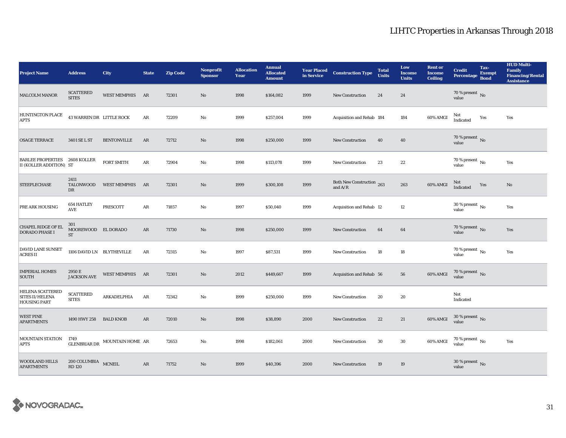| <b>Project Name</b>                                             | <b>Address</b>                          | <b>City</b>         | <b>State</b> | <b>Zip Code</b> | <b>Nonprofit</b><br><b>Sponsor</b> | <b>Allocation</b><br>Year | <b>Annual</b><br><b>Allocated</b><br><b>Amount</b> | <b>Year Placed</b><br>in Service | <b>Construction Type</b>               | <b>Total</b><br><b>Units</b> | Low<br><b>Income</b><br><b>Units</b> | <b>Rent or</b><br><b>Income</b><br><b>Ceiling</b> | <b>Credit</b><br>Percentage            | Tax-<br><b>Exempt</b><br><b>Bond</b> | <b>HUD Multi-</b><br><b>Family</b><br><b>Financing/Rental</b><br><b>Assistance</b> |
|-----------------------------------------------------------------|-----------------------------------------|---------------------|--------------|-----------------|------------------------------------|---------------------------|----------------------------------------------------|----------------------------------|----------------------------------------|------------------------------|--------------------------------------|---------------------------------------------------|----------------------------------------|--------------------------------------|------------------------------------------------------------------------------------|
| <b>MALCOLM MANOR</b>                                            | <b>SCATTERED</b><br><b>SITES</b>        | WEST MEMPHIS AR     |              | 72301           | $\rm No$                           | 1998                      | \$164,082                                          | 1999                             | <b>New Construction</b>                | 24                           | 24                                   |                                                   | 70 % present $\,$ No $\,$<br>value     |                                      |                                                                                    |
| <b>HUNTINGTON PLACE</b><br><b>APTS</b>                          | 43 WARREN DR LITTLE ROCK                |                     | $\rm{AR}$    | 72209           | $\mathbf{N}\mathbf{o}$             | 1999                      | \$257,004                                          | 1999                             | Acquisition and Rehab 184              |                              | 184                                  | 60% AMGI                                          | Not<br>Indicated                       | Yes                                  | Yes                                                                                |
| <b>OSAGE TERRACE</b>                                            | 3401 SE L ST                            | <b>BENTONVILLE</b>  | AR           | 72712           | $\rm No$                           | 1998                      | \$250,000                                          | 1999                             | <b>New Construction</b>                | 40                           | 40                                   |                                                   | 70 % present $\overline{N}$<br>value   |                                      |                                                                                    |
| <b>BARLEE PROPERTIES 2608 KOLLER</b><br>II (KOLLER ADDITION) ST |                                         | <b>FORT SMITH</b>   | AR           | 72904           | $\mathbf{N}\mathbf{o}$             | 1998                      | \$113,078                                          | 1999                             | New Construction                       | 23                           | $\bf{22}$                            |                                                   | 70 % present $\,$ No $\,$<br>value     |                                      | Yes                                                                                |
| <b>STEEPLECHASE</b>                                             | 2411<br>TALONWOOD<br>DR                 | <b>WEST MEMPHIS</b> | AR           | 72301           | $\rm No$                           | 1999                      | \$300,108                                          | 1999                             | Both New Construction 263<br>and $A/R$ |                              | 263                                  | 60% AMGI                                          | Not<br>Indicated                       | Yes                                  | No                                                                                 |
| PRE ARK HOUSING                                                 | 654 HATLEY<br>AVE                       | PRESCOTT            | AR           | 71857           | $\mathbf{No}$                      | 1997                      | \$50,040                                           | 1999                             | Acquisition and Rehab 12               |                              | 12                                   |                                                   | 30 % present $\,$ No $\,$<br>value     |                                      | Yes                                                                                |
| <b>CHAPEL RIDGE OF EL</b><br><b>DORADO PHASE I</b>              | 301<br>MOOREWOOD EL DORADO<br><b>ST</b> |                     | AR           | 71730           | $\rm No$                           | 1998                      | \$250,000                                          | 1999                             | <b>New Construction</b>                | 64                           | 64                                   |                                                   | 70 % present $\,$ No $\,$<br>value     |                                      | Yes                                                                                |
| DAVID LANE SUNSET<br><b>ACRES II</b>                            | 1106 DAVID LN BLYTHEVILLE               |                     | $\rm{AR}$    | 72315           | $\mathbf{N}\mathbf{o}$             | 1997                      | \$87,531                                           | 1999                             | <b>New Construction</b>                | 18                           | 18                                   |                                                   | $70$ % present $\,$ No $\,$<br>value   |                                      | Yes                                                                                |
| <b>IMPERIAL HOMES</b><br><b>SOUTH</b>                           | 2950 E<br><b>JACKSON AVE</b>            | WEST MEMPHIS AR     |              | 72301           | $\mathbf{N}\mathbf{o}$             | 2012                      | \$449,667                                          | 1999                             | Acquisition and Rehab 56               |                              | 56                                   | 60% AMGI                                          | $70$ % present $\,$ No value           |                                      |                                                                                    |
| HELENA SCATTERED<br>SITES II/HELENA<br><b>HOUSING PART</b>      | <b>SCATTERED</b><br><b>SITES</b>        | ARKADELPHIA         | $\rm{AR}$    | 72342           | $\rm No$                           | 1999                      | \$250,000                                          | 1999                             | <b>New Construction</b>                | 20                           | 20                                   |                                                   | Not<br>Indicated                       |                                      |                                                                                    |
| <b>WEST PINE</b><br><b>APARTMENTS</b>                           | 1490 HWY 258 BALD KNOB                  |                     | AR           | 72010           | $\mathbf{N}\mathbf{o}$             | 1998                      | \$38,890                                           | 2000                             | New Construction                       | 22                           | 21                                   | 60% AMGI                                          | $30\,\%$ present $\,$ No value         |                                      |                                                                                    |
| <b>MOUNTAIN STATION</b><br><b>APTS</b>                          | 1749<br><b>GLENBRIAR DR</b>             | MOUNTAIN HOME AR    |              | 72653           | $\mathbf{No}$                      | 1998                      | \$182,061                                          | 2000                             | New Construction                       | 30                           | 30                                   | 60% AMGI                                          | $70$ % present $\,$ No $\,$<br>value   |                                      | Yes                                                                                |
| <b>WOODLAND HILLS</b><br><b>APARTMENTS</b>                      | 200 COLUMBIA MCNEIL<br><b>RD120</b>     |                     | $\rm{AR}$    | 71752           | $\mathbf{N}\mathbf{o}$             | 1999                      | \$40,396                                           | 2000                             | <b>New Construction</b>                | 19                           | 19                                   |                                                   | 30 % present $\overline{N_0}$<br>value |                                      |                                                                                    |

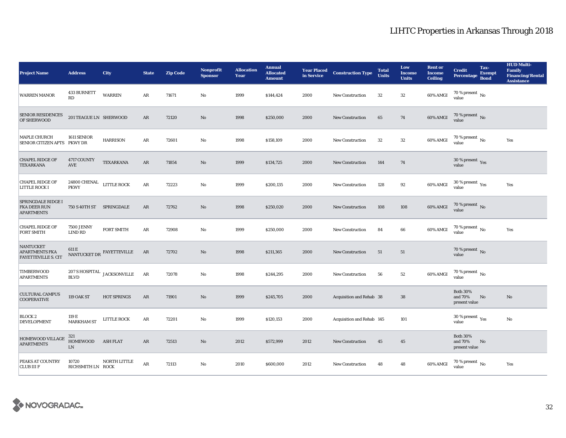| <b>Project Name</b>                                                     | <b>Address</b>                          | <b>City</b>                                       | <b>State</b> | <b>Zip Code</b> | <b>Nonprofit</b><br><b>Sponsor</b> | <b>Allocation</b><br>Year | <b>Annual</b><br><b>Allocated</b><br><b>Amount</b> | <b>Year Placed</b><br>in Service | <b>Construction Type</b>  | <b>Total</b><br><b>Units</b> | Low<br><b>Income</b><br><b>Units</b> | <b>Rent or</b><br><b>Income</b><br><b>Ceiling</b> | <b>Credit</b><br><b>Percentage</b>              | Tax-<br><b>Exempt</b><br><b>Bond</b> | <b>HUD Multi-</b><br><b>Family</b><br><b>Financing/Rental</b><br><b>Assistance</b> |
|-------------------------------------------------------------------------|-----------------------------------------|---------------------------------------------------|--------------|-----------------|------------------------------------|---------------------------|----------------------------------------------------|----------------------------------|---------------------------|------------------------------|--------------------------------------|---------------------------------------------------|-------------------------------------------------|--------------------------------------|------------------------------------------------------------------------------------|
| <b>WARREN MANOR</b>                                                     | <b>433 BURNETT</b><br>RD                | <b>WARREN</b>                                     | AR           | 71671           | No                                 | 1999                      | \$144,424                                          | 2000                             | New Construction          | 32                           | 32                                   | 60% AMGI                                          | 70 % present $\,$ No $\,$<br>value              |                                      |                                                                                    |
| SENIOR RESIDENCES<br>OF SHERWOOD                                        | 201 TEAGUE LN SHERWOOD                  |                                                   | AR           | 72120           | $\rm No$                           | 1998                      | \$250,000                                          | 2000                             | <b>New Construction</b>   | 65                           | 74                                   | 60% AMGI                                          | 70 % present $\,$ No $\,$<br>value              |                                      |                                                                                    |
| <b>MAPLE CHURCH</b><br>SENIOR CITIZEN APTS PKWY DR                      | 1611 SENIOR                             | <b>HARRISON</b>                                   | ${\bf AR}$   | 72601           | No                                 | 1998                      | \$158,109                                          | 2000                             | <b>New Construction</b>   | $32\,$                       | ${\bf 32}$                           | 60% AMGI                                          | 70 % present $\,$ No $\,$<br>value              |                                      | Yes                                                                                |
| <b>CHAPEL RIDGE OF</b><br><b>TEXARKANA</b>                              | 4717 COUNTY<br>$\operatorname{AVE}$     | TEXARKANA                                         | ${\bf AR}$   | 71854           | $\rm No$                           | 1999                      | \$134,725                                          | 2000                             | <b>New Construction</b>   | 144                          | 74                                   |                                                   | 30 % present $\gamma_{\rm{ES}}$<br>value        |                                      |                                                                                    |
| <b>CHAPEL RIDGE OF</b><br>LITTLE ROCK I                                 | 24800 CHENAL LITTLE ROCK<br><b>PKWY</b> |                                                   | ${\bf AR}$   | 72223           | $\mathbf {No}$                     | 1999                      | \$200,135                                          | 2000                             | <b>New Construction</b>   | 128                          | $92\,$                               | 60% AMGI                                          | $30\,\%$ present $\rm\thinspace_{Yes}$<br>value |                                      | Yes                                                                                |
| SPRINGDALE RIDGE I<br>FKA DEER RUN<br><b>APARTMENTS</b>                 | 750 S 40TH ST SPRINGDALE                |                                                   | AR           | 72762           | $\rm No$                           | 1998                      | \$250,020                                          | 2000                             | <b>New Construction</b>   | 108                          | 108                                  | 60% AMGI                                          | 70 % present $\,$ No $\,$<br>value              |                                      |                                                                                    |
| <b>CHAPEL RIDGE OF</b><br><b>FORT SMITH</b>                             | <b>7500 JENNY</b><br>LIND RD            | <b>FORT SMITH</b>                                 | AR           | 72908           | No                                 | 1999                      | \$250,000                                          | 2000                             | New Construction          | 84                           | 66                                   | 60% AMGI                                          | 70 % present $\,$ No $\,$<br>value              |                                      | Yes                                                                                |
| <b>NANTUCKET</b><br><b>APARTMENTS FKA</b><br><b>FAYETTEVILLE S. CIT</b> | 611 E                                   | NANTUCKET DR FAYETTEVILLE                         | AR           | 72702           | No                                 | 1998                      | \$211,365                                          | 2000                             | <b>New Construction</b>   | 51                           | 51                                   |                                                   | 70 % present $\bar{N}$ o<br>value               |                                      |                                                                                    |
| TIMBERWOOD<br><b>APARTMENTS</b>                                         | <b>BLVD</b>                             | $207\,\mathrm{S}\,\mathrm{HOSPITAL}$ JACKSONVILLE | AR           | 72078           | $\mathbf {No}$                     | 1998                      | \$244,295                                          | 2000                             | New Construction          | 56                           | 52                                   | 60% AMGI                                          | $70$ % present $\,$ No $\,$<br>value            |                                      |                                                                                    |
| <b>CULTURAL CAMPUS</b><br><b>COOPERATIVE</b>                            | <b>119 OAK ST</b>                       | <b>HOT SPRINGS</b>                                | ${\bf AR}$   | 71901           | $\mathbf{N}\mathbf{o}$             | 1999                      | \$245,705                                          | 2000                             | Acquisition and Rehab 38  |                              | $38\,$                               |                                                   | <b>Both 30%</b><br>and 70%<br>present value     | No                                   | No                                                                                 |
| <b>BLOCK 2</b><br><b>DEVELOPMENT</b>                                    | 119 E<br><b>MARKHAM ST</b>              | <b>LITTLE ROCK</b>                                | AR           | 72201           | No                                 | 1999                      | \$120,153                                          | 2000                             | Acquisition and Rehab 145 |                              | 101                                  |                                                   | 30 % present $\rm \gamma_{\rm PS}$<br>value     |                                      | No                                                                                 |
| HOMEWOOD VILLAGE<br><b>APARTMENTS</b>                                   | 321<br><b>HOMEWOOD</b><br>LN            | <b>ASH FLAT</b>                                   | AR           | 72513           | No                                 | 2012                      | \$572,999                                          | 2012                             | <b>New Construction</b>   | 45                           | 45                                   |                                                   | <b>Both 30%</b><br>and 70%<br>present value     | No                                   |                                                                                    |
| PEAKS AT COUNTRY<br><b>CLUB III F</b>                                   | 10720<br>RICHSMITH LN ROCK              | NORTH LITTLE                                      | AR           | 72113           | No                                 | 2010                      | \$600,000                                          | 2012                             | <b>New Construction</b>   | 48                           | 48                                   | 60% AMGI                                          | $70$ % present $\,$ No $\,$<br>value            |                                      | Yes                                                                                |

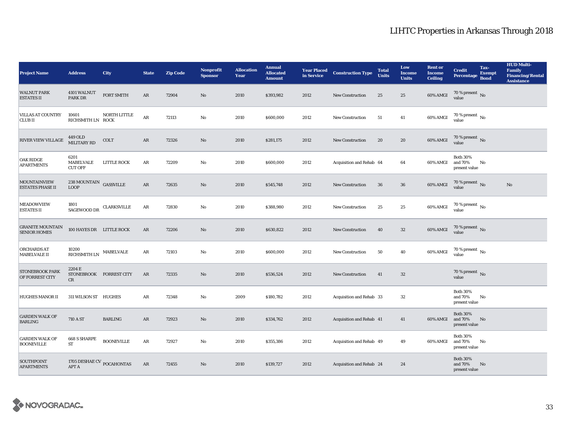| <b>Project Name</b>                            | <b>Address</b>                                                                  | <b>City</b>             | <b>State</b> | <b>Zip Code</b> | <b>Nonprofit</b><br><b>Sponsor</b> | <b>Allocation</b><br>Year | <b>Annual</b><br><b>Allocated</b><br><b>Amount</b> | in Service | <b>Year Placed Construction Type</b> | <b>Total</b><br><b>Units</b> | Low<br><b>Income</b><br><b>Units</b> | <b>Rent or</b><br><b>Income</b><br><b>Ceiling</b> | <b>Credit</b><br><b>Percentage</b>          | Tax-<br><b>Exempt</b><br><b>Bond</b> | <b>HUD Multi-</b><br><b>Family</b><br><b>Financing/Rental</b><br><b>Assistance</b> |
|------------------------------------------------|---------------------------------------------------------------------------------|-------------------------|--------------|-----------------|------------------------------------|---------------------------|----------------------------------------------------|------------|--------------------------------------|------------------------------|--------------------------------------|---------------------------------------------------|---------------------------------------------|--------------------------------------|------------------------------------------------------------------------------------|
| <b>WALNUT PARK</b><br><b>ESTATES II</b>        | 4101 WALNUT<br>PARK DR                                                          | <b>FORT SMITH</b>       | AR           | 72904           | $\mathbf{No}$                      | 2010                      | \$393,982                                          | 2012       | <b>New Construction</b>              | 25                           | 25                                   | 60% AMGI                                          | 70 % present $\hbox{~No}$<br>value          |                                      |                                                                                    |
| <b>VILLAS AT COUNTRY</b><br><b>CLUBII</b>      | 10601<br>RICHSMITH LN ROCK                                                      | NORTH LITTLE            | $\rm{AR}$    | 72113           | $\rm No$                           | 2010                      | \$600,000                                          | 2012       | New Construction                     | 51                           | 41                                   | 60% AMGI                                          | $70$ % present $\,$ $_{\rm No}$<br>value    |                                      |                                                                                    |
| RIVER VIEW VILLAGE                             | 449 OLD<br>MILITARY RD                                                          | COLT                    | AR           | 72326           | No                                 | 2010                      | \$281,175                                          | 2012       | <b>New Construction</b>              | 20                           | ${\bf 20}$                           | 60% AMGI                                          | $70$ % present $\,$ No value                |                                      |                                                                                    |
| <b>OAK RIDGE</b><br><b>APARTMENTS</b>          | 6201<br>MABELVALE<br><b>CUT OFF</b>                                             | <b>LITTLE ROCK</b>      | AR           | 72209           | No                                 | 2010                      | \$600,000                                          | 2012       | Acquisition and Rehab 64             |                              | 64                                   | 60% AMGI                                          | <b>Both 30%</b><br>and 70%<br>present value | No                                   |                                                                                    |
| <b>MOUNTAINVIEW</b><br><b>ESTATES PHASE II</b> | $238\,\mbox{MOUNTAIN}$ GASSVILLE<br><b>LOOP</b>                                 |                         | AR           | 72635           | No                                 | 2010                      | \$545,748                                          | 2012       | <b>New Construction</b>              | 36                           | 36                                   | 60% AMGI                                          | $70$ % present $_{\rm No}$                  |                                      | No                                                                                 |
| <b>MEADOWVIEW</b><br><b>ESTATES II</b>         | 1801<br>SAGEWOOD DR                                                             | <b>CLARKSVILLE</b>      | AR           | 72830           | $\mathbf{N}\mathbf{o}$             | 2010                      | \$388,980                                          | 2012       | New Construction                     | 25                           | 25                                   | $60\%$ AMGI                                       | $70$ % present $\,$ No value                |                                      |                                                                                    |
| <b>GRANITE MOUNTAIN</b><br><b>SENIOR HOMES</b> | 100 HAYES DR LITTLE ROCK                                                        |                         | ${\bf AR}$   | 72206           | $\mathbf{N}\mathbf{o}$             | 2010                      | \$630,822                                          | 2012       | New Construction                     | 40                           | $32\,$                               | 60% AMGI                                          | $70\%$ present No<br>value                  |                                      |                                                                                    |
| ORCHARDS AT<br>MABELVALE II                    | 10200<br>$\mathbb{R}\mathbf{ICHS} \mathbf{M}\mathbf{ITH} \mathbf{LN}$ MABELVALE |                         | AR           | 72103           | No                                 | 2010                      | \$600,000                                          | 2012       | <b>New Construction</b>              | 50                           | 40                                   | 60% AMGI                                          | $70$ % present $\,$ No $\,$<br>value        |                                      |                                                                                    |
| STONEBROOK PARK<br>OF FORREST CITY             | 2204 E<br>CR                                                                    | STONEBROOK FORREST CITY | AR           | 72335           | No                                 | 2010                      | \$536,524                                          | 2012       | <b>New Construction</b>              | 41                           | 32                                   |                                                   | 70 % present $\overline{N_0}$<br>value      |                                      |                                                                                    |
| <b>HUGHES MANOR II</b>                         | 311 WILSON ST HUGHES                                                            |                         | ${\bf AR}$   | 72348           | No                                 | 2009                      | \$180,782                                          | 2012       | Acquisition and Rehab 33             |                              | 32                                   |                                                   | <b>Both 30%</b><br>and 70%<br>present value | No                                   |                                                                                    |
| <b>GARDEN WALK OF</b><br><b>BARLING</b>        | 710 A ST                                                                        | <b>BARLING</b>          | AR           | 72923           | $\rm No$                           | 2010                      | \$334,762                                          | 2012       | Acquisition and Rehab 41             |                              | 41                                   | 60% AMGI                                          | <b>Both 30%</b><br>and 70%<br>present value | No                                   |                                                                                    |
| <b>GARDEN WALK OF</b><br><b>BOONEVILLE</b>     | 668 S SHARPE<br><b>ST</b>                                                       | <b>BOONEVILLE</b>       | ${\bf AR}$   | 72927           | $\mathbf{No}$                      | 2010                      | \$355,386                                          | 2012       | Acquisition and Rehab 49             |                              | 49                                   | 60% AMGI                                          | <b>Both 30%</b><br>and 70%<br>present value | No                                   |                                                                                    |
| <b>SOUTHPOINT</b><br><b>APARTMENTS</b>         | 1705 DESHAE CV $_{\rm POCAHONTAS}$<br><b>APT A</b>                              |                         | AR           | 72455           | No                                 | 2010                      | \$139,727                                          | 2012       | Acquisition and Rehab 24             |                              | 24                                   |                                                   | <b>Both 30%</b><br>and 70%<br>present value | No                                   |                                                                                    |

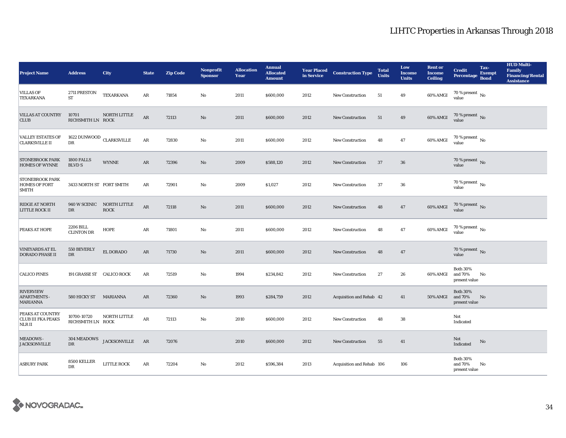| <b>Project Name</b>                                            | <b>Address</b>                       | City                                     | <b>State</b> | <b>Zip Code</b> | Nonprofit<br><b>Sponsor</b> | <b>Allocation</b><br>Year | <b>Annual</b><br><b>Allocated</b><br><b>Amount</b> |      | <b>Year Placed Construction Type</b><br>in Service | <b>Total</b><br><b>Units</b> | Low<br><b>Income</b><br><b>Units</b> | <b>Rent or</b><br><b>Income</b><br><b>Ceiling</b> | <b>Credit</b><br><b>Percentage</b>          | Tax-<br><b>Exempt</b><br><b>Bond</b> | <b>HUD Multi-</b><br><b>Family</b><br><b>Financing/Rental</b><br><b>Assistance</b> |
|----------------------------------------------------------------|--------------------------------------|------------------------------------------|--------------|-----------------|-----------------------------|---------------------------|----------------------------------------------------|------|----------------------------------------------------|------------------------------|--------------------------------------|---------------------------------------------------|---------------------------------------------|--------------------------------------|------------------------------------------------------------------------------------|
| <b>VILLAS OF</b><br>TEXARKANA                                  | $2711$ $\mbox{PRESTON}$<br><b>ST</b> | <b>TEXARKANA</b>                         | AR           | 71854           | No                          | 2011                      | \$600,000                                          | 2012 | <b>New Construction</b>                            | 51                           | 49                                   | 60% AMGI                                          | 70 % present $\,$ No $\,$<br>value          |                                      |                                                                                    |
| <b>VILLAS AT COUNTRY</b><br><b>CLUB</b>                        | 10701<br>RICHSMITH LN ROCK           | NORTH LITTLE                             | $\rm{AR}$    | 72113           | $\rm No$                    | 2011                      | \$600,000                                          | 2012 | New Construction                                   | 51                           | 49                                   | 60% AMGI                                          | $70$ % present $\,$ No value                |                                      |                                                                                    |
| <b>VALLEY ESTATES OF</b><br><b>CLARKSVILLE II</b>              | 1622 DUNWOOD $\,$ CLARKSVILLE<br>DR  |                                          | $\rm{AR}$    | 72830           | $\mathbf{N}\mathbf{o}$      | 2011                      | \$600,000                                          | 2012 | <b>New Construction</b>                            | 48                           | 47                                   | 60% AMGI                                          | $70$ % present $\,$ No value                |                                      |                                                                                    |
| <b>STONEBROOK PARK</b><br><b>HOMES OF WYNNE</b>                | 1800 FALLS<br><b>BLVD S</b>          | <b>WYNNE</b>                             | $\rm{AR}$    | 72396           | $\rm No$                    | 2009                      | \$588,120                                          | 2012 | New Construction                                   | 37                           | ${\bf 36}$                           |                                                   | 70 % present $\,$ No $\,$<br>value          |                                      |                                                                                    |
| <b>STONEBROOK PARK</b><br>HOMES OF FORT<br><b>SMITH</b>        | 3433 NORTH ST FORT SMITH             |                                          | AR           | 72901           | $\mathbf{No}$               | 2009                      | \$1,027                                            | 2012 | New Construction                                   | 37                           | 36                                   |                                                   | $70$ % present $\,$ No $\,$<br>value        |                                      |                                                                                    |
| RIDGE AT NORTH<br><b>LITTLE ROCK II</b>                        | $_{\rm DR}$                          | 940 W SCENIC NORTH LITTLE<br><b>ROCK</b> | $\rm{AR}$    | 72118           | No                          | 2011                      | \$600,000                                          | 2012 | <b>New Construction</b>                            | 48                           | 47                                   | 60% AMGI                                          | $70$ % present $\,$ No value                |                                      |                                                                                    |
| PEAKS AT HOPE                                                  | 2206 BILL<br><b>CLINTON DR</b>       | HOPE                                     | AR           | 71801           | $\mathbf{N}\mathbf{o}$      | 2011                      | \$600,000                                          | 2012 | New Construction                                   | 48                           | 47                                   | 60% AMGI                                          | 70 % present $\,$ No $\,$<br>value          |                                      |                                                                                    |
| <b>VINEYARDS AT EL</b><br><b>DORADO PHASE II</b>               | 550 BEVERLY<br>$_{\rm DR}$           | EL DORADO                                | $\rm{AR}$    | 71730           | $\mathbf{N}\mathbf{o}$      | 2011                      | \$600,000                                          | 2012 | <b>New Construction</b>                            | 48                           | 47                                   |                                                   | 70 % present $\,$ No $\,$<br>value          |                                      |                                                                                    |
| <b>CALICO PINES</b>                                            | 191 GRASSE ST CALICO ROCK            |                                          | $\rm{AR}$    | 72519           | $\mathbf{N}\mathbf{o}$      | 1994                      | \$234,842                                          | 2012 | <b>New Construction</b>                            | 27                           | ${\bf 26}$                           | 60% AMGI                                          | <b>Both 30%</b><br>and 70%<br>present value | No                                   |                                                                                    |
| <b>RIVERVIEW</b><br><b>APARTMENTS -</b><br><b>MARIANNA</b>     | 580 HICKY ST                         | <b>MARIANNA</b>                          | $\rm{AR}$    | 72360           | $\rm No$                    | 1993                      | \$284,759                                          | 2012 | Acquisition and Rehab 42                           |                              | 41                                   | 50% AMGI                                          | <b>Both 30%</b><br>and 70%<br>present value | No                                   |                                                                                    |
| <b>PEAKS AT COUNTRY</b><br><b>CLUB III FKA PEAKS</b><br>NLR II | 10700-10720<br>RICHSMITH LN ROCK     | NORTH LITTLE                             | $\rm{AR}$    | 72113           | No                          | 2010                      | \$600,000                                          | 2012 | <b>New Construction</b>                            | 48                           | ${\bf 38}$                           |                                                   | Not<br>Indicated                            |                                      |                                                                                    |
| <b>MEADOWS -</b><br><b>JACKSONVILLE</b>                        | DR                                   | $304\,\mbox{MEADOWS}$ JACKSONVILLE       | AR           | 72076           |                             | 2010                      | \$600,000                                          | 2012 | <b>New Construction</b>                            | 55                           | 41                                   |                                                   | Not<br>Indicated                            | No                                   |                                                                                    |
| <b>ASBURY PARK</b>                                             | 8500 KELLER<br>DR                    | <b>LITTLE ROCK</b>                       | AR           | 72204           | No                          | 2012                      | \$596,384                                          | 2013 | Acquisition and Rehab 106                          |                              | 106                                  |                                                   | <b>Both 30%</b><br>and 70%<br>present value | No                                   |                                                                                    |

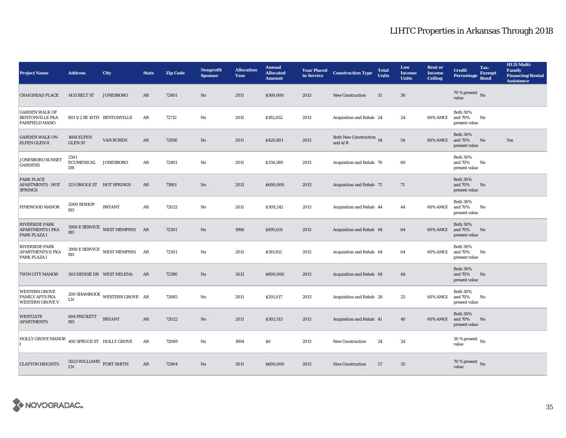| <b>Project Name</b>                                                      | <b>Address</b>                      | <b>City</b>                                            | <b>State</b> | <b>Zip Code</b> | <b>Nonprofit</b><br><b>Sponsor</b> | <b>Allocation</b><br>Year | <b>Annual</b><br><b>Allocated</b><br><b>Amount</b> | <b>Year Placed</b><br>in Service | <b>Construction Type</b>              | <b>Total</b><br><b>Units</b> | Low<br><b>Income</b><br><b>Units</b> | <b>Rent or</b><br><b>Income</b><br><b>Ceiling</b> | <b>Credit</b><br><b>Percentage</b>          | Tax-<br><b>Exempt</b><br><b>Bond</b> | <b>HUD Multi-</b><br>Family<br><b>Financing/Rental</b><br><b>Assistance</b> |
|--------------------------------------------------------------------------|-------------------------------------|--------------------------------------------------------|--------------|-----------------|------------------------------------|---------------------------|----------------------------------------------------|----------------------------------|---------------------------------------|------------------------------|--------------------------------------|---------------------------------------------------|---------------------------------------------|--------------------------------------|-----------------------------------------------------------------------------|
| <b>CRAIGHEAD PLACE</b>                                                   | 1435 BELT ST                        | <b>JONESBORO</b>                                       | AR           | 72401           | $\mathbf{N}\mathbf{o}$             | 2011                      | \$560,000                                          | 2013                             | New Construction                      | 31                           | $30\,$                               |                                                   | 70 % present $\,$ No $\,$<br>value          |                                      |                                                                             |
| <b>GARDEN WALK OF</b><br><b>BENTONVILLE FKA</b><br><b>FAIRFIELD MANO</b> |                                     | 801 1/2 SE 10TH BENTONVILLE                            | AR           | 72712           | $\mathbf{N}\mathbf{o}$             | 2011                      | \$182,652                                          | 2013                             | Acquisition and Rehab 24              |                              | 24                                   | 60% AMGI                                          | <b>Both 30%</b><br>and 70%<br>present value | No                                   |                                                                             |
| <b>GARDEN WALK ON</b><br><b>ELFEN GLEN II</b>                            | <b>1608 ELFEN</b><br><b>GLEN ST</b> | <b>VAN BUREN</b>                                       | $\rm{AR}$    | 72956           | $\mathbf{N}\mathbf{o}$             | 2011                      | \$420,801                                          | 2013                             | Both New Construction 54<br>and $A/R$ |                              | ${\bf 54}$                           | 60% AMGI                                          | <b>Both 30%</b><br>and 70%<br>present value | No                                   | Yes                                                                         |
| JONESBORO SUNSET<br><b>GARDENS</b>                                       | 2501<br><b>ECUMENICAL</b><br>DR     | JONESBORO                                              | AR           | 72401           | No                                 | 2011                      | \$334,589                                          | 2013                             | Acquisition and Rehab 70              |                              | 69                                   |                                                   | <b>Both 30%</b><br>and 70%<br>present value | $\mathbf{No}$                        |                                                                             |
| <b>PARK PLACE</b><br><b>APARTMENTS - HOT</b><br><b>SPRINGS</b>           | 125 ORIOLE ST HOT SPRINGS           |                                                        | $\rm{AR}$    | 71901           | $\mathbf{N}\mathbf{o}$             | 2012                      | \$600,000                                          | 2013                             | Acquisition and Rehab 71              |                              | 71                                   |                                                   | <b>Both 30%</b><br>and 70%<br>present value | No                                   |                                                                             |
| PINEWOOD MANOR                                                           | 2000 BISHOP<br>RD                   | <b>BRYANT</b>                                          | AR           | 72022           | No                                 | 2011                      | \$309,242                                          | 2013                             | Acquisition and Rehab 44              |                              | 44                                   | 60% AMGI                                          | <b>Both 30%</b><br>and 70%<br>present value | No                                   |                                                                             |
| <b>RIVERSIDE PARK</b><br><b>APARTMENTS I FKA</b><br>PARK PLAZA I         | <b>RD</b>                           | 3950 E SERVICE WEST MEMPHIS AR                         |              | 72301           | $\mathbf{N}\mathbf{o}$             | 1996                      | \$895,631                                          | 2013                             | Acquisition and Rehab 64              |                              | 64                                   | 60% AMGI                                          | <b>Both 30%</b><br>and 70%<br>present value | No                                   |                                                                             |
| <b>RIVERSIDE PARK</b><br>APARTMENTS II FKA<br>PARK PLAZA I               | RD                                  | $3950\,\mathrm{E}\,\mathrm{SERVICE}\quad$ WEST MEMPHIS | AR           | 72301           | $\mathbf{N}\mathbf{o}$             | 2011                      | \$581,811                                          | 2013                             | Acquisition and Rehab 64              |                              | 64                                   | 60% AMGI                                          | <b>Both 30%</b><br>and 70%<br>present value | No                                   |                                                                             |
| <b>TWIN CITY MANOR</b>                                                   | 303 DENISE DR WEST HELENA           |                                                        | AR           | 72390           | No                                 | 2012                      | \$600,000                                          | 2013                             | Acquisition and Rehab 64              |                              | 64                                   |                                                   | <b>Both 30%</b><br>and 70%<br>present value | No                                   |                                                                             |
| <b>WESTERN GROVE</b><br><b>FAMILY APTS FKA</b><br><b>WESTERN GROVE V</b> | LN                                  | 200 SHAMROCK WESTERN GROVE AR                          |              | 72685           | No                                 | 2011                      | \$201,017                                          | 2013                             | Acquisition and Rehab 26              |                              | 25                                   | 60% AMGI                                          | <b>Both 30%</b><br>and 70%<br>present value | No                                   |                                                                             |
| <b>WESTGATE</b><br><b>APARTMENTS</b>                                     | 604 PRICKETT<br>RD                  | <b>BRYANT</b>                                          | AR           | 72022           | $\rm No$                           | 2011                      | \$305,513                                          | 2013                             | Acquisition and Rehab 41              |                              | 40                                   | 60% AMGI                                          | <b>Both 30%</b><br>and 70%<br>present value | No                                   |                                                                             |
| <b>HOLLY GROVE MANOR</b>                                                 | 400 SPRUCE ST HOLLY GROVE           |                                                        | $\rm{AR}$    | 72069           | No                                 | 1994                      | \$0                                                | 2013                             | <b>New Construction</b>               | 24                           | 24                                   |                                                   | $30$ % present $\,$ No $\,$<br>value        |                                      |                                                                             |
| <b>CLAYTON HEIGHTS</b>                                                   | 5023 WILLIAMS<br>LN                 | <b>FORT SMITH</b>                                      | AR           | 72904           | No                                 | 2011                      | \$600,000                                          | 2013                             | <b>New Construction</b>               | 57                           | 35                                   |                                                   | $70\,\%$ present $\,$ No value              |                                      |                                                                             |

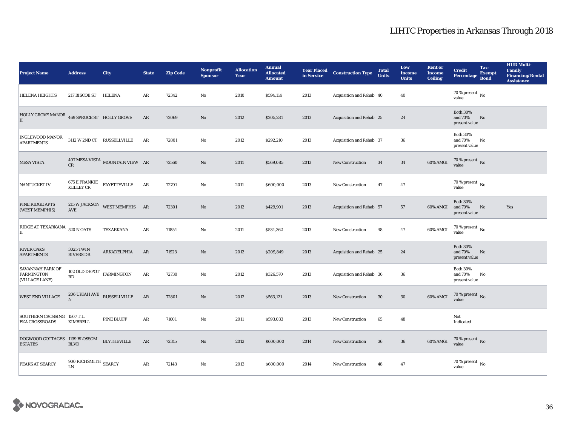| <b>Project Name</b>                                     | <b>Address</b>                         | <b>City</b>                                  | <b>State</b>  | <b>Zip Code</b> | <b>Nonprofit</b><br><b>Sponsor</b> | <b>Allocation</b><br>Year | <b>Annual</b><br><b>Allocated</b><br><b>Amount</b> |      | <b>Year Placed Construction Type</b><br>in Service | <b>Total</b><br><b>Units</b> | Low<br><b>Income</b><br><b>Units</b> | <b>Rent or</b><br><b>Income</b><br><b>Ceiling</b> | <b>Credit</b><br>Percentage                 | Tax-<br><b>Exempt</b><br><b>Bond</b> | <b>HUD Multi-</b><br>Family<br><b>Financing/Rental</b><br><b>Assistance</b> |
|---------------------------------------------------------|----------------------------------------|----------------------------------------------|---------------|-----------------|------------------------------------|---------------------------|----------------------------------------------------|------|----------------------------------------------------|------------------------------|--------------------------------------|---------------------------------------------------|---------------------------------------------|--------------------------------------|-----------------------------------------------------------------------------|
| <b>HELENA HEIGHTS</b>                                   | 217 BISCOE ST                          | <b>HELENA</b>                                | AR            | 72342           | $\mathbf{No}$                      | 2010                      | \$594,114                                          | 2013 | Acquisition and Rehab 40                           |                              | 40                                   |                                                   | 70 % present $\,$ No $\,$<br>value          |                                      |                                                                             |
| HOLLY GROVE MANOR 469 SPRUCE ST HOLLY GROVE<br>II       |                                        |                                              | AR            | 72069           | $\rm No$                           | 2012                      | \$205,281                                          | 2013 | Acquisition and Rehab 25                           |                              | 24                                   |                                                   | <b>Both 30%</b><br>and 70%<br>present value | No                                   |                                                                             |
| <b>INGLEWOOD MANOR</b><br><b>APARTMENTS</b>             |                                        | 3112 W 2ND CT RUSSELLVILLE                   | AR            | 72801           | $\mathbf{N}\mathbf{o}$             | 2012                      | \$292,210                                          | 2013 | Acquisition and Rehab 37                           |                              | 36                                   |                                                   | <b>Both 30%</b><br>and 70%<br>present value | No                                   |                                                                             |
| <b>MESA VISTA</b>                                       | CR                                     | $407\,\mathrm{MESA\,VISTA}$ MOUNTAIN VIEW AR |               | 72560           | $\rm No$                           | 2011                      | \$569,085                                          | 2013 | New Construction                                   | 34                           | 34                                   | 60% AMGI                                          | $70$ % present $\,$ No value                |                                      |                                                                             |
| NANTUCKET IV                                            |                                        | $675$ E FRANKIE<br>FAYETTEVILLE<br>KELLEY CR | AR            | 72701           | $\mathbf{N}\mathbf{o}$             | 2011                      | \$600,000                                          | 2013 | New Construction                                   | 47                           | 47                                   |                                                   | 70 % present $\,$ No $\,$<br>value          |                                      |                                                                             |
| PINE RIDGE APTS<br>(WEST MEMPHIS)                       | <b>AVE</b>                             | $215$ W JACKSON WEST MEMPHIS AR              |               | 72301           | $\mathbf{No}$                      | 2012                      | \$429,901                                          | 2013 | Acquisition and Rehab 57                           |                              | 57                                   | 60% AMGI                                          | <b>Both 30%</b><br>and 70%<br>present value | No                                   | Yes                                                                         |
| RIDGE AT TEXARKANA 520 N OATS<br>$\rm II$               |                                        | TEXARKANA                                    | AR            | 71854           | $\mathbf{N}\mathbf{o}$             | 2011                      | \$534,362                                          | 2013 | <b>New Construction</b>                            | 48                           | 47                                   | 60% AMGI                                          | 70 % present $\,$ No $\,$<br>value          |                                      |                                                                             |
| <b>RIVER OAKS</b><br><b>APARTMENTS</b>                  | 3025 TWIN<br><b>RIVERS DR</b>          | ARKADELPHIA                                  | AR            | 71923           | $\mathbf{No}$                      | 2012                      | \$209,849                                          | 2013 | Acquisition and Rehab 25                           |                              | 24                                   |                                                   | <b>Both 30%</b><br>and 70%<br>present value | No                                   |                                                                             |
| SAVANNAH PARK OF<br><b>FARMINGTON</b><br>(VILLAGE LANE) | 102 OLD DEPOT $$\tt FARMINGTON$$<br>RD |                                              | $\rm{AR}$     | 72730           | No                                 | 2012                      | \$326,570                                          | 2013 | Acquisition and Rehab 36                           |                              | 36                                   |                                                   | <b>Both 30%</b><br>and 70%<br>present value | No                                   |                                                                             |
| <b>WEST END VILLAGE</b>                                 | $\mathbf N$                            | $206$ UKIAH AVE $\,$ RUSSELLVILLE            | AR            | 72801           | $\rm No$                           | 2012                      | \$563,121                                          | 2013 | <b>New Construction</b>                            | 30                           | $30\,$                               | 60% AMGI                                          | $70\,\%$ present $\,$ No value              |                                      |                                                                             |
| SOUTHERN CROSSING 1507 T.L.<br><b>FKA CROSSROADS</b>    | KIMBRELL                               | PINE BLUFF                                   | AR            | 71601           | $\mathbf{No}$                      | 2011                      | \$593,033                                          | 2013 | New Construction                                   | 65                           | 48                                   |                                                   | Not<br>Indicated                            |                                      |                                                                             |
| DOGWOOD COTTAGES 1139 BLOSSOM<br><b>ESTATES</b>         | <b>BLVD</b>                            | <b>BLYTHEVILLE</b>                           | AR            | 72315           | $\rm No$                           | 2012                      | \$600,000                                          | 2014 | <b>New Construction</b>                            | 36                           | 36                                   | 60% AMGI                                          | $70\,\%$ present $\,$ No value              |                                      |                                                                             |
| PEAKS AT SEARCY                                         | 900 RICHSMITH $_{\rm SEARCY}$<br>LN    |                                              | $\mathbf{AR}$ | 72143           | No                                 | 2013                      | \$600,000                                          | 2014 | <b>New Construction</b>                            | 48                           | 47                                   |                                                   | $70$ % present $\,$ No $\,$<br>value        |                                      |                                                                             |

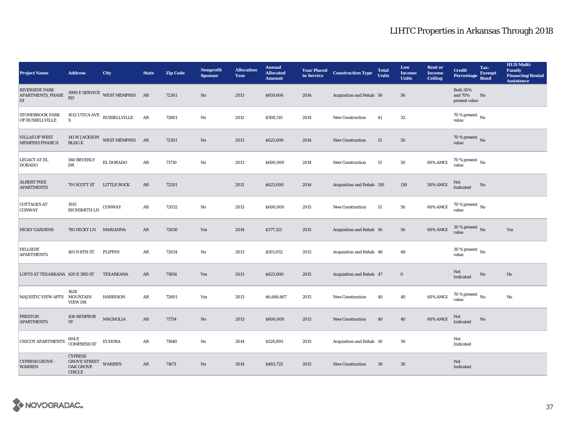| <b>Project Name</b>                               | <b>Address</b>                                                             | <b>City</b>                      | <b>State</b> | <b>Zip Code</b> | <b>Nonprofit</b><br><b>Sponsor</b> | <b>Allocation</b><br>Year | <b>Annual</b><br><b>Allocated</b><br><b>Amount</b> |      | <b>Year Placed Construction Type</b><br>in Service | <b>Total</b><br><b>Units</b> | Low<br><b>Income</b><br><b>Units</b> | <b>Rent or</b><br><b>Income</b><br><b>Ceiling</b> | <b>Credit</b><br>Percentage Bond            | Tax-<br><b>Exempt</b> | <b>HUD Multi-</b><br>Family<br><b>Financing/Rental</b><br><b>Assistance</b> |
|---------------------------------------------------|----------------------------------------------------------------------------|----------------------------------|--------------|-----------------|------------------------------------|---------------------------|----------------------------------------------------|------|----------------------------------------------------|------------------------------|--------------------------------------|---------------------------------------------------|---------------------------------------------|-----------------------|-----------------------------------------------------------------------------|
| <b>RIVERSIDE PARK</b><br>APARTMENTS, PHASE<br>III | RD                                                                         | 3990 E SERVICE WEST MEMPHIS AR   |              | 72301           | $\rm No$                           | 2013                      | \$659,606                                          | 2014 | Acquisition and Rehab 56                           |                              | 56                                   |                                                   | <b>Both 30%</b><br>and 70%<br>present value | No                    |                                                                             |
| <b>STONEBROOK PARK</b><br>OF RUSSELLVILLE         | S                                                                          | 1012 UTICA AVE $\,$ RUSSELLVILLE | AR           | 72801           | $\rm No$                           | 2012                      | \$508,515                                          | 2014 | <b>New Construction</b>                            | 41                           | $32\,$                               |                                                   | $70\,\%$ present $\,$ No value              |                       |                                                                             |
| <b>VILLAS OF WEST</b><br><b>MEMPHIS PHASE II</b>  | <b>BLDGK</b>                                                               | 141 W JACKSON WEST MEMPHIS AR    |              | 72301           | $\rm No$                           | 2013                      | \$625,000                                          | 2014 | New Construction                                   | 51                           | $50\,$                               |                                                   | 70 % present $\,$ No $\,$<br>value          |                       |                                                                             |
| <b>LEGACY AT EL</b><br><b>DORADO</b>              | 560 BEVERLY<br>DR                                                          | EL DORADO                        | $\rm{AR}$    | 71730           | $\mathbf{No}$                      | 2013                      | \$600,000                                          | 2014 | <b>New Construction</b>                            | 51                           | ${\bf 50}$                           | 60% AMGI                                          | $70$ % present $\,$ No $\,$<br>value        |                       |                                                                             |
| <b>ALBERT PIKE</b><br><b>APARTMENTS</b>           | 701 SCOTT ST LITTLE ROCK                                                   |                                  | AR           | 72201           |                                    | 2012                      | \$625,000                                          | 2014 | Acquisition and Rehab 130                          |                              | 130                                  | <b>50% AMGI</b>                                   | Not<br>Indicated                            | No                    |                                                                             |
| <b>COTTAGES AT</b><br><b>CONWAY</b>               | 1915<br>$\mathop{\rm RICHSMITH}\nolimits$ LN                               | CONWAY                           | $\rm{AR}$    | 72032           | $\rm No$                           | 2013                      | \$600,000                                          | 2015 | <b>New Construction</b>                            | 51                           | 50                                   | 60% AMGI                                          | $70$ % present $\,$ No value                |                       |                                                                             |
| <b>HICKY GARDENS</b>                              | 785 HICKY LN MARIANNA                                                      |                                  | $\rm{AR}$    | 72630           | Yes                                | 2014                      | \$377,125                                          | 2015 | Acquisition and Rehab 56                           |                              | 56                                   | 60% AMGI                                          | $30$ % present $\,$ No $\,$<br>value        |                       | Yes                                                                         |
| <b>HILLSIDE</b><br><b>APARTMENTS</b>              | 401 N 8TH ST                                                               | <b>FLIPPIN</b>                   | AR           | 72634           | $\mathbf{N}\mathbf{o}$             | 2013                      | \$501,052                                          | 2015 | Acquisition and Rehab 48                           |                              | 48                                   |                                                   | $30\,\%$ present $\,$ No $\,$<br>value      |                       |                                                                             |
| LOFTS AT TEXARKANA 620 E 3RD ST                   |                                                                            | TEXARKANA                        | AR           | 71854           | Yes                                | 2013                      | \$625,000                                          | 2015 | Acquisition and Rehab 47                           |                              | $\bf{0}$                             |                                                   | Not<br>Indicated                            | $\rm No$              | No                                                                          |
| <b>MAJESTIC VIEW APTS</b>                         | 1628<br><b>MOUNTAIN</b><br><b>VIEW DR</b>                                  | <b>HARRISON</b>                  | AR           | 72601           | Yes                                | 2013                      | \$6,666,667                                        | 2015 | New Construction                                   | 40                           | 40                                   | 60% AMGI                                          | 70 % present $\,$ No $\,$<br>value          |                       | No                                                                          |
| <b>PRESTON</b><br><b>APARTMENTS</b>               | <b>436 RENFROE</b><br><b>ST</b>                                            | <b>MAGNOLIA</b>                  | $\rm{AR}$    | 71754           | No                                 | 2013                      | \$600,000                                          | 2015 | New Construction                                   | 40                           | 40                                   | 60% AMGI                                          | Not<br>Indicated                            | No                    |                                                                             |
| <b>CHICOT APARTMENTS</b>                          | 604 E<br><b>COMPRESS ST</b>                                                | <b>EUDORA</b>                    | AR           | 71640           | No                                 | 2014                      | \$526,893                                          | 2015 | Acquisition and Rehab 50                           |                              | 50                                   |                                                   | Not<br>Indicated                            |                       |                                                                             |
| <b>CYPRESS GROVE -</b><br><b>WARREN</b>           | <b>CYPRESS</b><br><b>GROVE STREET</b><br><b>OAK GROVE</b><br><b>CIRCLE</b> | <b>WARREN</b>                    | AR           | 71671           | No                                 | 2014                      | \$483,725                                          | 2015 | <b>New Construction</b>                            | 36                           | 36                                   |                                                   | Not<br>Indicated                            |                       |                                                                             |

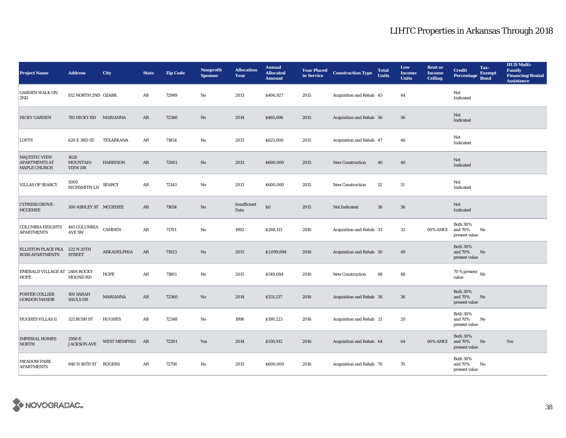| <b>Project Name</b>                                                 | <b>Address</b>                     | <b>City</b>                | <b>State</b> | <b>Zip Code</b> | Nonprofit<br><b>Sponsor</b> | <b>Allocation</b><br>Year | <b>Annual</b><br><b>Allocated</b><br><b>Amount</b> | <b>Year Placed</b><br>in Service | <b>Construction Type</b> | <b>Total</b><br><b>Units</b> | Low<br><b>Income</b><br><b>Units</b> | <b>Rent or</b><br><b>Income</b><br><b>Ceiling</b> | Tax-<br><b>Credit</b><br><b>Exempt</b><br><b>Percentage</b><br><b>Bond</b> | <b>HUD Multi-</b><br><b>Family</b><br><b>Financing/Rental</b><br><b>Assistance</b> |
|---------------------------------------------------------------------|------------------------------------|----------------------------|--------------|-----------------|-----------------------------|---------------------------|----------------------------------------------------|----------------------------------|--------------------------|------------------------------|--------------------------------------|---------------------------------------------------|----------------------------------------------------------------------------|------------------------------------------------------------------------------------|
| <b>GARDEN WALK ON</b><br>2ND                                        | 812 NORTH 2ND OZARK                |                            | AR           | 72949           | $\mathbf{No}$               | 2013                      | \$406,927                                          | 2015                             | Acquisition and Rehab 45 |                              | 44                                   |                                                   | Not<br>Indicated                                                           |                                                                                    |
| <b>HICKY GARDEN</b>                                                 | 785 HICKY RD MARIANNA              |                            | AR           | 72360           | $\rm No$                    | 2014                      | \$485,696                                          | 2015                             | Acquisition and Rehab 56 |                              | 56                                   |                                                   | Not<br>Indicated                                                           |                                                                                    |
| <b>LOFTS</b>                                                        | 620 E 3RD ST                       | TEXARKANA                  | AR           | 71854           | $\mathbf{No}$               | 2013                      | \$625,000                                          | 2015                             | Acquisition and Rehab 47 |                              | 46                                   |                                                   | Not<br>Indicated                                                           |                                                                                    |
| <b>MAJESTIC VIEW</b><br><b>APARTMENTS AT</b><br><b>MAPLE CHURCH</b> | 1628<br><b>MOUNTAIN</b><br>VIEW DR | <b>HARRISON</b>            | $\rm{AR}$    | 72601           | $\rm No$                    | 2013                      | \$600,000                                          | 2015                             | <b>New Construction</b>  | 40                           | 40                                   |                                                   | Not<br>Indicated                                                           |                                                                                    |
| <b>VILLAS OF SEARCY</b>                                             | 5000<br>RICHSMITH LN               | <b>SEARCY</b>              | AR           | 72143           | $\mathbf{No}$               | 2013                      | \$600,000                                          | 2015                             | <b>New Construction</b>  | 52                           | 51                                   |                                                   | Not<br>Indicated                                                           |                                                                                    |
| <b>CYPRESS GROVE -</b><br><b>MCGEHEE</b>                            | 300 ASHLEY ST MCGEHEE              |                            | AR           | 71654           | No                          | Insufficient<br>Data      | $\$0$                                              | 2015                             | Not Indicated            | 36                           | 36                                   |                                                   | Not<br>Indicated                                                           |                                                                                    |
| <b>COLUMBIA HEIGHTS</b><br><b>APARTMENTS</b>                        | 465 COLUMBIA<br><b>AVE SW</b>      | $\mathop{\mathsf{CAMDEN}}$ | AR           | 71701           | $\mathbf{No}$               | 1992                      | \$288,113                                          | 2016                             | Acquisition and Rehab 33 |                              | 32                                   | 60% AMGI                                          | <b>Both 30%</b><br>and 70%<br>No<br>present value                          |                                                                                    |
| ELLISTON PLACE FKA 222 N 20TH<br><b>ROSS APARTMENTS</b>             | <b>STREET</b>                      | ARKADELPHIA                | AR           | 71923           | No                          | 2015                      | \$1,099,894                                        | 2016                             | Acquisition and Rehab 50 |                              | 49                                   |                                                   | <b>Both 30%</b><br>and 70%<br>No<br>present value                          |                                                                                    |
| EMERALD VILLAGE AT 2406 ROCKY<br>HOPE                               | <b>MOUND RD</b>                    | <b>HOPE</b>                | AR           | 71801           | $\mathbf{No}$               | 2015                      | \$549,084                                          | 2016                             | <b>New Construction</b>  | 48                           | 48                                   |                                                   | $70$ % present $\,$ No $\,$<br>value                                       |                                                                                    |
| <b>FOSTER COLLIER</b><br><b>GORDON MANOR</b>                        | 100 SARAH<br><b>SAULS DR</b>       | <b>MARIANNA</b>            | AR           | 72360           | $\rm No$                    | 2014                      | \$331,537                                          | 2016                             | Acquisition and Rehab 36 |                              | 36                                   |                                                   | <b>Both 30%</b><br>No<br>and 70%<br>present value                          |                                                                                    |
| <b>HUGHES VILLAS II</b>                                             | 321 BUSH ST                        | <b>HUGHES</b>              | AR           | 72348           | No                          | 1996                      | \$199,223                                          | 2016                             | Acquisition and Rehab 21 |                              | 20                                   |                                                   | <b>Both 30%</b><br>and 70%<br>No<br>present value                          |                                                                                    |
| <b>IMPERIAL HOMES</b><br><b>NORTH</b>                               | 2950 E<br><b>JACKSON AVE</b>       | WEST MEMPHIS AR            |              | 72301           | Yes                         | 2014                      | \$559,912                                          | 2016                             | Acquisition and Rehab 64 |                              | 64                                   | 60% AMGI                                          | <b>Both 30%</b><br>and 70%<br>No<br>present value                          | Yes                                                                                |
| <b>MEADOW PARK</b><br><b>APARTMENTS</b>                             | 840 N 16TH ST                      | <b>ROGERS</b>              | AR           | 72756           | $\mathbf{N}\mathbf{o}$      | 2015                      | \$600,000                                          | 2016                             | Acquisition and Rehab 70 |                              | 70                                   |                                                   | <b>Both 30%</b><br>No<br>and 70%<br>present value                          |                                                                                    |

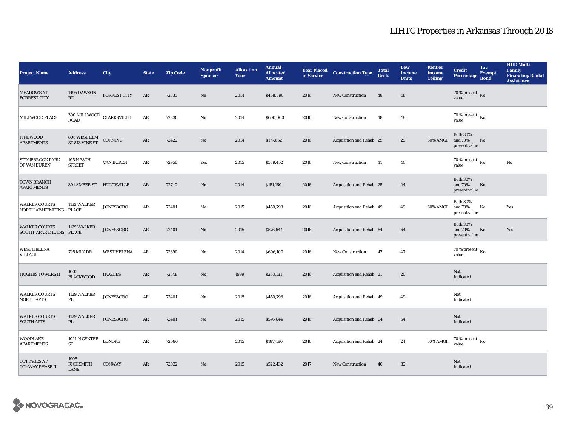| <b>Project Name</b>                            | <b>Address</b>                         | <b>City</b>         | <b>State</b> | <b>Zip Code</b> | <b>Nonprofit</b><br><b>Sponsor</b> | <b>Allocation</b><br>Year | <b>Annual</b><br><b>Allocated</b><br><b>Amount</b> | <b>Year Placed</b><br>in Service | <b>Construction Type</b> | <b>Total</b><br><b>Units</b> | Low<br>Income<br><b>Units</b> | <b>Rent or</b><br><b>Income</b><br><b>Ceiling</b> | <b>Credit</b><br>Percentage                 | Tax-<br><b>Exempt</b><br><b>Bond</b> | <b>HUD Multi-</b><br><b>Family</b><br><b>Financing/Rental</b><br><b>Assistance</b> |
|------------------------------------------------|----------------------------------------|---------------------|--------------|-----------------|------------------------------------|---------------------------|----------------------------------------------------|----------------------------------|--------------------------|------------------------------|-------------------------------|---------------------------------------------------|---------------------------------------------|--------------------------------------|------------------------------------------------------------------------------------|
| <b>MEADOWS AT</b><br><b>FORREST CITY</b>       | 1495 DAWSON<br>RD                      | <b>FORREST CITY</b> | AR           | 72335           | No                                 | 2014                      | \$468,890                                          | 2016                             | <b>New Construction</b>  | 48                           | 48                            |                                                   | 70 % present $\overline{N_0}$<br>value      |                                      |                                                                                    |
| MILLWOOD PLACE                                 | $300\,\rm MLLWOOD$ CLARKSVILLE<br>ROAD |                     | $\rm{AR}$    | 72830           | $\mathbf{No}$                      | 2014                      | \$600,000                                          | 2016                             | New Construction         | 48                           | 48                            |                                                   | 70 % present $\,$ No $\,$<br>value          |                                      |                                                                                    |
| <b>PINEWOOD</b><br><b>APARTMENTS</b>           | 806 WEST ELM<br>ST 813 VINE ST         | CORNING             | $\rm{AR}$    | 72422           | $\rm No$                           | 2014                      | \$177,652                                          | 2016                             | Acquisition and Rehab 29 |                              | 29                            | 60% AMGI                                          | <b>Both 30%</b><br>and 70%<br>present value | No                                   |                                                                                    |
| STONEBROOK PARK<br>OF VAN BUREN                | 105 N 38TH<br><b>STREET</b>            | VAN BUREN           | AR           | 72956           | Yes                                | 2015                      | \$589,452                                          | 2016                             | <b>New Construction</b>  | 41                           | 40                            |                                                   | 70 % present $\,$ No $\,$<br>value          |                                      | No                                                                                 |
| <b>TOWN BRANCH</b><br><b>APARTMENTS</b>        | 301 AMBER ST HUNTSVILLE                |                     | $\rm{AR}$    | 72740           | $\rm No$                           | 2014                      | \$151,160                                          | 2016                             | Acquisition and Rehab 25 |                              | 24                            |                                                   | <b>Both 30%</b><br>and 70%<br>present value | No                                   |                                                                                    |
| <b>WALKER COURTS</b><br>NORTH APARTMETNS PLACE | 1133 WALKER                            | <b>JONESBORO</b>    | AR           | 72401           | No                                 | 2015                      | \$450,798                                          | 2016                             | Acquisition and Rehab 49 |                              | 49                            | 60% AMGI                                          | <b>Both 30%</b><br>and 70%<br>present value | No                                   | Yes                                                                                |
| <b>WALKER COURTS</b><br>SOUTH APARTMETNS PLACE | 1129 WALKER                            | <b>JONESBORO</b>    | $\rm{AR}$    | 72401           | No                                 | 2015                      | \$576,644                                          | 2016                             | Acquisition and Rehab 64 |                              | 64                            |                                                   | <b>Both 30%</b><br>and 70%<br>present value | No                                   | Yes                                                                                |
| <b>WEST HELENA</b><br>VILLAGE                  | <b>795 MLK DR</b>                      | <b>WEST HELENA</b>  | AR           | 72390           | $\mathbf{N}\mathbf{o}$             | 2014                      | \$606,100                                          | 2016                             | <b>New Construction</b>  | 47                           | 47                            |                                                   | $70$ % present $\,$ No $\,$<br>value        |                                      |                                                                                    |
| <b>HUGHES TOWERS II</b>                        | 1003<br><b>BLACKWOOD</b>               | <b>HUGHES</b>       | $\rm{AR}$    | 72348           | No                                 | 1999                      | \$253,181                                          | 2016                             | Acquisition and Rehab 21 |                              | 20                            |                                                   | Not<br>Indicated                            |                                      |                                                                                    |
| <b>WALKER COURTS</b><br><b>NORTH APTS</b>      | 1129 WALKER<br>PL.                     | <b>JONESBORO</b>    | $\rm{AR}$    | 72401           | No                                 | 2015                      | \$450,798                                          | 2016                             | Acquisition and Rehab 49 |                              | 49                            |                                                   | Not<br>Indicated                            |                                      |                                                                                    |
| <b>WALKER COURTS</b><br><b>SOUTH APTS</b>      | 1129 WALKER<br>PL                      | <b>JONESBORO</b>    | AR           | 72401           | No                                 | 2015                      | \$576,644                                          | 2016                             | Acquisition and Rehab 64 |                              | 64                            |                                                   | Not<br>Indicated                            |                                      |                                                                                    |
| WOODLAKE<br><b>APARTMENTS</b>                  | 1014 N CENTER<br>ST                    | <b>LONOKE</b>       | AR           | 72086           |                                    | 2015                      | \$187,480                                          | 2016                             | Acquisition and Rehab 24 |                              | 24                            | 50% AMGI                                          | $70$ % present $\,$ No $\,$<br>value        |                                      |                                                                                    |
| <b>COTTAGES AT</b><br><b>CONWAY PHASE II</b>   | 1905<br><b>RICHSMITH</b><br>LANE       | <b>CONWAY</b>       | AR           | 72032           | No                                 | 2015                      | \$522,432                                          | 2017                             | <b>New Construction</b>  | 40                           | $32\phantom{.0}$              |                                                   | Not<br>Indicated                            |                                      |                                                                                    |

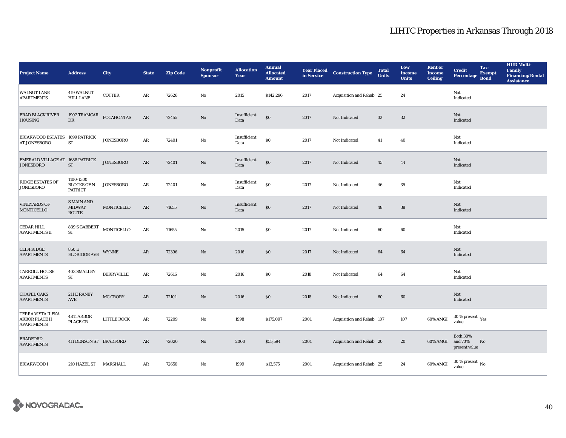| <b>Project Name</b>                                              | <b>Address</b>                                    | City              | <b>State</b>  | <b>Zip Code</b> | Nonprofit<br><b>Sponsor</b> | <b>Allocation</b><br>Year | <b>Annual</b><br><b>Allocated</b><br><b>Amount</b> | <b>Year Placed<br/>in Service</b> | <b>Construction Type</b>  | <b>Total</b><br><b>Units</b> | Low<br><b>Income</b><br><b>Units</b> | <b>Rent or</b><br><b>Income</b><br><b>Ceiling</b> | Tax-<br><b>Credit</b><br><b>Exempt</b><br>Percentage<br><b>Bond</b> | <b>HUD Multi-</b><br><b>Family</b><br><b>Financing/Rental</b><br><b>Assistance</b> |
|------------------------------------------------------------------|---------------------------------------------------|-------------------|---------------|-----------------|-----------------------------|---------------------------|----------------------------------------------------|-----------------------------------|---------------------------|------------------------------|--------------------------------------|---------------------------------------------------|---------------------------------------------------------------------|------------------------------------------------------------------------------------|
| <b>WALNUT LANE</b><br><b>APARTMENTS</b>                          | 419 WALNUT<br><b>HILL LANE</b>                    | <b>COTTER</b>     | AR            | 72626           | $\mathbf{No}$               | 2015                      | \$142,296                                          | 2017                              | Acquisition and Rehab 25  |                              | 24                                   |                                                   | Not<br>Indicated                                                    |                                                                                    |
| <b>BRAD BLACK RIVER</b><br>HOUSING                               | $1902$ $\mbox{TRAMCAR}$ $\mbox{pOCAHONTAS}$       |                   | $\mathbf{AR}$ | 72455           | $\rm\thinspace No$          | Insufficient<br>Data      | $\$0$                                              | 2017                              | Not Indicated             | $32\,$                       | $32\,$                               |                                                   | Not<br>Indicated                                                    |                                                                                    |
| BRIARWOOD ESTATES 1699 PATRICK<br><b>AT JONESBORO</b>            | ${\cal ST}$                                       | <b>JONESBORO</b>  | $\rm{AR}$     | 72401           | $\mathbf{No}$               | Insufficient<br>Data      | $\$0$                                              | 2017                              | Not Indicated             | 41                           | 40                                   |                                                   | Not<br>Indicated                                                    |                                                                                    |
| EMERALD VILLAGE AT 1688 PATRICK<br><b>JONESBORO</b>              | $\operatorname{ST}$                               | <b>JONESBORO</b>  | $\rm{AR}$     | 72401           | $\rm No$                    | Insufficient<br>Data      | $\$0$                                              | 2017                              | Not Indicated             | 45                           | 44                                   |                                                   | Not<br>Indicated                                                    |                                                                                    |
| <b>RIDGE ESTATES OF</b><br><b>JONESBORO</b>                      | 1100-1300<br><b>BLOCKS OF N</b><br><b>PATRICT</b> | <b>JONESBORO</b>  | AR            | 72401           | $\mathbf{N}\mathbf{o}$      | Insufficient<br>Data      | $\$0$                                              | 2017                              | Not Indicated             | 46                           | 35                                   |                                                   | Not<br>Indicated                                                    |                                                                                    |
| <b>VINEYARDS OF</b><br>MONTICELLO                                | <b>SMAIN AND</b><br><b>MIDWAY</b><br>ROUTE        | MONTICELLO        | $\rm{AR}$     | 71655           | $\rm No$                    | Insufficient<br>Data      | $\$0$                                              | 2017                              | Not Indicated             | 48                           | 38                                   |                                                   | Not<br>Indicated                                                    |                                                                                    |
| <b>CEDAR HILL</b><br><b>APARTMENTS II</b>                        | 839 S GABBERT<br>${\cal ST}$                      | MONTICELLO        | $\rm{AR}$     | 71655           | $\mathbf{N}\mathbf{o}$      | 2015                      | \$0                                                | 2017                              | Not Indicated             | $\bf{60}$                    | $60\,$                               |                                                   | Not<br>Indicated                                                    |                                                                                    |
| <b>CLIFFRIDGE</b><br><b>APARTMENTS</b>                           | 850 E<br><b>ELDRIDGE AVE</b>                      | <b>WYNNE</b>      | AR            | 72396           | $\rm No$                    | 2016                      | \$0                                                | 2017                              | Not Indicated             | 64                           | 64                                   |                                                   | Not<br>Indicated                                                    |                                                                                    |
| <b>CARROLL HOUSE</b><br><b>APARTMENTS</b>                        | <b>403 SMALLEY</b><br>${\cal ST}$                 | <b>BERRYVILLE</b> | AR            | 72616           | $\mathbf{No}$               | 2016                      | \$0                                                | 2018                              | Not Indicated             | 64                           | 64                                   |                                                   | Not<br>Indicated                                                    |                                                                                    |
| <b>CHAPEL OAKS</b><br><b>APARTMENTS</b>                          | 211 E RANEY<br>AVE                                | MC CRORY          | $\mathbf{AR}$ | 72101           | $\rm No$                    | 2016                      | $\$0$                                              | 2018                              | Not Indicated             | 60                           | $\bf{60}$                            |                                                   | Not<br>Indicated                                                    |                                                                                    |
| TERRA VISTA II FKA<br><b>ARBOR PLACE II</b><br><b>APARTMENTS</b> | 4811 ARBOR<br><b>PLACE CR</b>                     | LITTLE ROCK       | ${\bf AR}$    | 72209           | $\mathbf{N}\mathbf{o}$      | 1998                      | \$175,097                                          | 2001                              | Acquisition and Rehab 107 |                              | 107                                  | 60% AMGI                                          | $30\,\%$ present $\,\mathrm{Yes}$ value                             |                                                                                    |
| <b>BRADFORD</b><br><b>APARTMENTS</b>                             | 411 DENSON ST BRADFORD                            |                   | AR            | 72020           | $\rm No$                    | 2000                      | \$55,594                                           | 2001                              | Acquisition and Rehab 20  |                              | 20                                   | 60% AMGI                                          | <b>Both 30%</b><br>and 70%<br>No<br>present value                   |                                                                                    |
| <b>BRIARWOOD I</b>                                               | 210 HAZEL ST MARSHALL                             |                   | AR            | 72650           | $\mathbf{N}\mathbf{o}$      | 1999                      | \$13,575                                           | 2001                              | Acquisition and Rehab 25  |                              | 24                                   | 60% AMGI                                          | $30$ % present $\,$ No $\,$<br>value                                |                                                                                    |

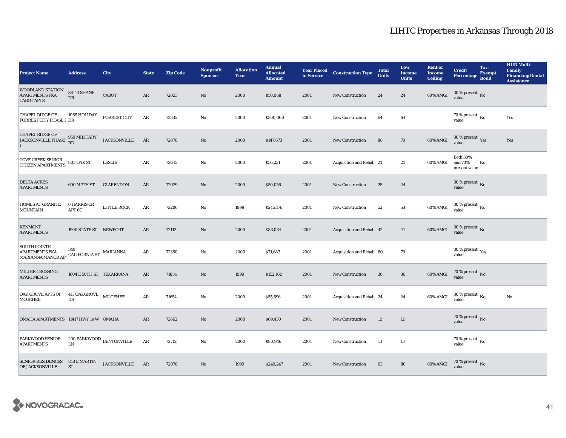| <b>Project Name</b>                                            | <b>Address</b>                                          | <b>City</b>         | <b>State</b> | <b>Zip Code</b> | Nonprofit<br><b>Sponsor</b> | <b>Allocation</b><br>Year | <b>Annual</b><br><b>Allocated</b><br><b>Amount</b> |      | <b>Year Placed Construction Type</b><br>in Service <b>Construction</b> Type | <b>Total</b><br><b>Units</b> | Low<br><b>Income</b><br><b>Units</b> | <b>Rent or</b><br><b>Income</b><br><b>Ceiling</b> | <b>Credit</b><br><b>Percentage</b>              | Tax-<br><b>Exempt</b><br><b>Bond</b> | <b>HUD Multi-</b><br><b>Family</b><br><b>Financing/Rental</b><br><b>Assistance</b> |
|----------------------------------------------------------------|---------------------------------------------------------|---------------------|--------------|-----------------|-----------------------------|---------------------------|----------------------------------------------------|------|-----------------------------------------------------------------------------|------------------------------|--------------------------------------|---------------------------------------------------|-------------------------------------------------|--------------------------------------|------------------------------------------------------------------------------------|
| WOODLAND STATION<br><b>APARTMENTS FKA</b><br><b>CABOT APTS</b> | $38\mbox{-}44$ SHANE<br>${\rm DR}$                      | CABOT               | $\rm{AR}$    | 72023           | No                          | 2000                      | \$50,068                                           | 2001 | New Construction                                                            | 24                           | $\bf 24$                             | 60% AMGI                                          | $30$ % present $\,$ No $\,$<br>value            |                                      |                                                                                    |
| <b>CHAPEL RIDGE OF</b><br><b>FORREST CITY PHASE I DR</b>       | 1085 HOLIDAY                                            | <b>FORREST CITY</b> | $\rm{AR}$    | 72335           | No                          | 2000                      | \$300,000                                          | 2001 | <b>New Construction</b>                                                     | 64                           | 64                                   |                                                   | $70$ % present $\,$ No $\,$<br>value            |                                      | Yes                                                                                |
| <b>CHAPEL RIDGE OF</b><br><b>JACKSONVILLE PHASE</b>            | 950 MILITARY<br>RD                                      | <b>JACKSONVILLE</b> | AR           | 72076           | $\rm No$                    | 2000                      | \$147,673                                          | 2001 | <b>New Construction</b>                                                     | 88                           | $70\,$                               | 60% AMGI                                          | $30\,\%$ present $\,\mathrm{Yes}$ value         |                                      | Yes                                                                                |
| <b>COVE CREEK SENIOR</b><br><b>CITIZEN APARTMENTS</b>          | <b>803 OAK ST</b>                                       | <b>LESLIE</b>       | AR           | 72645           | No                          | 2000                      | \$56,231                                           | 2001 | Acquisition and Rehab 21                                                    |                              | 21                                   | 60% AMGI                                          | <b>Both 30%</b><br>and 70%<br>present value     | No                                   |                                                                                    |
| <b>DELTA ACRES</b><br><b>APARTMENTS</b>                        | 600 N 7TH ST                                            | <b>CLARENDON</b>    | AR           | 72029           | No                          | 2000                      | \$50,056                                           | 2001 | <b>New Construction</b>                                                     | 25                           | 24                                   |                                                   | $30\,\%$ present $\,$ No value                  |                                      |                                                                                    |
| <b>HOMES AT GRANITE</b><br><b>MOUNTAIN</b>                     | <b>6 HARRIS CR</b><br>APT 6C                            | LITTLE ROCK         | AR           | 72206           | No                          | 1999                      | \$245,176                                          | 2001 | New Construction                                                            | 52                           | 53                                   | 60% AMGI                                          | $30\,\%$ present $\,$ No $\,$<br>value          |                                      |                                                                                    |
| <b>KENMONT</b><br><b>APARTMENTS</b>                            | 1900 STATE ST NEWPORT                                   |                     | $\rm{AR}$    | 72112           | $\rm No$                    | 2000                      | \$83,034                                           | 2001 | Acquisition and Rehab 42                                                    |                              | 41                                   | 60% AMGI                                          | 30 % present $\,$ No $\,$<br>value              |                                      |                                                                                    |
| <b>SOUTH POINTE</b><br>APARTMENTS FKA<br>MARIANNA MANOR AP     | 340<br>$\textsc{CALIFORNIA}\xspace\textsc{ST}$ MARIANNA |                     | AR           | 72360           | No                          | 2000                      | \$71,683                                           | 2001 | Acquisition and Rehab 80                                                    |                              | 79                                   |                                                   | $30\,\%$ present $\rm\thinspace_{Yes}$<br>value |                                      |                                                                                    |
| MILLER CROSSING<br><b>APARTMENTS</b>                           | 1604 E 50TH ST TEXARKANA                                |                     | $\rm{AR}$    | 71854           | $\rm No$                    | 1999                      | \$152,162                                          | 2001 | New Construction                                                            | 36                           | 36                                   | 60% AMGI                                          | 70 % present $\,$ No $\,$<br>value              |                                      |                                                                                    |
| OAK GROVE APTS OF<br><b>MCGEHEE</b>                            | $417$ OAKGROVE $\hfill \text{MC}$ GEHEE<br>DR           |                     | $\rm{AR}$    | 71654           | $\mathbf{N}\mathbf{o}$      | 2000                      | \$55,696                                           | 2001 | Acquisition and Rehab 24                                                    |                              | 24                                   | 60% AMGI                                          | $30$ % present $\,$ No $\,$<br>value            |                                      | $\rm No$                                                                           |
| OMAHA APARTMENTS 11417 HWY 14 W OMAHA                          |                                                         |                     | AR           | 72662           | No                          | 2000                      | \$69,430                                           | 2001 | <b>New Construction</b>                                                     | 12                           | 12                                   |                                                   | 70 % present $\,$ No $\,$<br>value              |                                      |                                                                                    |
| PARKWOOD SENIOR 200 PARKWOOD BENTONVILLE<br><b>APARTMENTS</b>  | ${\rm LN}$                                              |                     | AR           | 72712           | No                          | 2000                      | \$80,946                                           | 2001 | <b>New Construction</b>                                                     | 13                           | 13                                   |                                                   | $70$ % present $\,$ No $\,$<br>value            |                                      |                                                                                    |
| SENIOR RESIDENCES 818 E MARTIN<br><b>OF JACKSONVILLE</b>       | <b>ST</b>                                               | <b>JACKSONVILLE</b> | AR           | 72076           | No                          | 1999                      | \$249,247                                          | 2001 | <b>New Construction</b>                                                     | 63                           | 80                                   | 60% AMGI                                          | $70\,\%$ present $\,$ No value                  |                                      |                                                                                    |

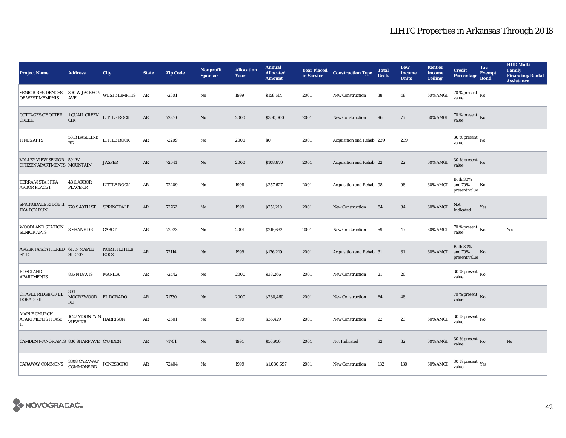| <b>Project Name</b>                                                                                                                               | <b>Address</b>                             | <b>City</b>                                            | <b>State</b>  | <b>Zip Code</b> | <b>Nonprofit</b><br><b>Sponsor</b> | <b>Allocation</b><br>Year | <b>Annual</b><br><b>Allocated</b><br><b>Amount</b> |      | <b>Year Placed Construction Type</b><br>in Service | <b>Total</b><br><b>Units</b> | Low<br><b>Income</b><br><b>Units</b> | <b>Rent or</b><br><b>Income</b><br><b>Ceiling</b> | <b>Credit</b><br><b>Percentage</b>          | Tax-<br><b>Exempt</b><br><b>Bond</b> | <b>HUD Multi-</b><br>Family<br><b>Financing/Rental</b><br><b>Assistance</b> |
|---------------------------------------------------------------------------------------------------------------------------------------------------|--------------------------------------------|--------------------------------------------------------|---------------|-----------------|------------------------------------|---------------------------|----------------------------------------------------|------|----------------------------------------------------|------------------------------|--------------------------------------|---------------------------------------------------|---------------------------------------------|--------------------------------------|-----------------------------------------------------------------------------|
| <b>SENIOR RESIDENCES</b><br>OF WEST MEMPHIS                                                                                                       | <b>AVE</b>                                 | $300\,\rm{W}\,$ JACKSON $\,$ WEST MEMPHIS $\,$ $\,$ AR |               | 72301           | No                                 | 1999                      | \$158,144                                          | 2001 | New Construction                                   | 38                           | 48                                   | 60% AMGI                                          | 70 % present $\,$ No $\,$<br>value          |                                      |                                                                             |
| $\begin{tabular}{ll} \textbf{COTTAGES OF OTTER} & \textbf{1 QUAIL CREEK} & \textbf{LITTLE ROCK} \\ \textbf{CREEK} & \textbf{CIR} & \end{tabular}$ |                                            |                                                        | AR            | 72210           | $\rm No$                           | 2000                      | \$300,000                                          | 2001 | New Construction                                   | 96                           | 76                                   | 60% AMGI                                          | $70$ % present $\,$ No value                |                                      |                                                                             |
| PINES APTS                                                                                                                                        | 5813 BASELINE<br>RD                        | <b>LITTLE ROCK</b>                                     | $\rm{AR}$     | 72209           | $\rm No$                           | 2000                      | \$0                                                | 2001 | Acquisition and Rehab 239                          |                              | 239                                  |                                                   | $30$ % present $\,$ No $\,$<br>value        |                                      |                                                                             |
| VALLEY VIEW SENIOR 501 W<br>CITIZEN APARTMENTS MOUNTAIN                                                                                           |                                            | <b>JASPER</b>                                          | AR            | 72641           | $\rm No$                           | 2000                      | \$108,870                                          | 2001 | Acquisition and Rehab 22                           |                              | $22\,$                               | 60% AMGI                                          | $30$ % present $\,$ No $\,$<br>value        |                                      |                                                                             |
| TERRA VISTA I FKA<br><b>ARBOR PLACE I</b>                                                                                                         | 4811 ARBOR<br>PLACE CR                     | LITTLE ROCK                                            | $\rm{AR}$     | 72209           | $\mathbf{N}\mathbf{o}$             | 1998                      | \$257,627                                          | 2001 | Acquisition and Rehab 98                           |                              | 98                                   | 60% AMGI                                          | <b>Both 30%</b><br>and 70%<br>present value | No                                   |                                                                             |
| $\begin{tabular}{ll} {\bf SPRINGDALE\,RIDGE\,II} & {\bf 770\,S\,40TH\,ST} & {\bf SPRINGDALE} \end{tabular}$<br><b>FKA FOX RUN</b>                 |                                            |                                                        | AR            | 72762           | $\rm No$                           | 1999                      | \$251,210                                          | 2001 | New Construction                                   | 84                           | 84                                   | <b>60% AMGI</b>                                   | Not<br>Indicated                            | Yes                                  |                                                                             |
| WOODLAND STATION<br><b>SENIOR APTS</b>                                                                                                            | <b>8 SHANE DR</b>                          | CABOT                                                  | $\rm{AR}$     | 72023           | $\mathbf{No}$                      | 2001                      | \$215,632                                          | 2001 | New Construction                                   | 59                           | 47                                   | 60% AMGI                                          | 70 % present $\,$ No $\,$<br>value          |                                      | Yes                                                                         |
| ARGENTA SCATTERED 617 N MAPLE<br><b>SITE</b>                                                                                                      | <b>STE 102</b>                             | NORTH LITTLE<br><b>ROCK</b>                            | $\rm{AR}$     | 72114           | No                                 | 1999                      | \$136,219                                          | 2001 | Acquisition and Rehab 31                           |                              | 31                                   | 60% AMGI                                          | <b>Both 30%</b><br>and 70%<br>present value | No                                   |                                                                             |
| <b>ROSELAND</b><br><b>APARTMENTS</b>                                                                                                              | 816 N DAVIS                                | <b>MANILA</b>                                          | AR            | 72442           | $\mathbf{N}\mathbf{o}$             | 2000                      | \$38,266                                           | 2001 | New Construction                                   | 21                           | 20                                   |                                                   | $30$ % present $\,$ No $\,$<br>value        |                                      |                                                                             |
| <b>CHAPEL RIDGE OF EL</b><br><b>DORADO II</b>                                                                                                     | 301<br>MOOREWOOD EL DORADO<br>RD           |                                                        | $\rm{AR}$     | 71730           | No                                 | 2000                      | \$230,460                                          | 2001 | <b>New Construction</b>                            | 64                           | 48                                   |                                                   | $70\,\%$ present $\,$ No value              |                                      |                                                                             |
| MAPLE CHURCH<br>APARTMENTS PHASE<br>$\mathbf{I}$                                                                                                  | $1627\,\mathrm{MOUNTAIN}$ HARRISON VIEW DR |                                                        | $\rm{AR}$     | 72601           | No                                 | 1999                      | \$36,429                                           | 2001 | New Construction                                   | 22                           | 23                                   | $60\%$ AMGI                                       | $30\,\%$ present $\,$ No $\,$<br>value      |                                      |                                                                             |
| CAMDEN MANOR APTS 830 SHARP AVE CAMDEN                                                                                                            |                                            |                                                        | AR            | 71701           | No                                 | 1991                      | \$56,950                                           | 2001 | Not Indicated                                      | 32                           | $32\phantom{.0}$                     | 60% AMGI                                          | $30\,\%$ present $\,$ No value              |                                      | No                                                                          |
| <b>CARAWAY COMMONS</b>                                                                                                                            | 3308 CARAWAY<br>COMMONS RD                 | <b>JONESBORO</b>                                       | $\mathbf{AR}$ | 72404           | No                                 | 1999                      | \$1,080,697                                        | 2001 | <b>New Construction</b>                            | 132                          | 130                                  | 60% AMGI                                          | $30$ % present $\,$ $\rm Yes$<br>value      |                                      |                                                                             |

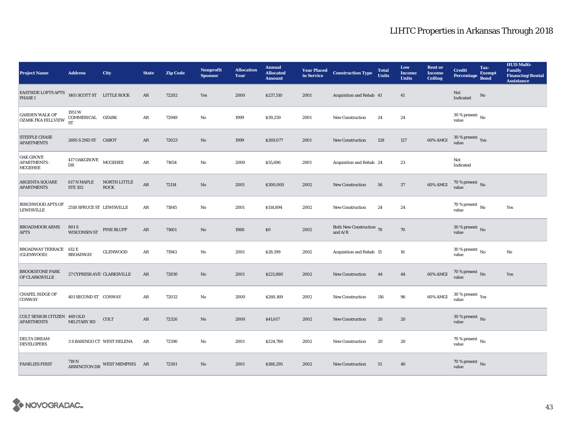| <b>Project Name</b>                                               | <b>Address</b>                          | <b>City</b>                        | <b>State</b>  | <b>Zip Code</b> | <b>Nonprofit</b><br><b>Sponsor</b> | <b>Allocation</b><br>Year | <b>Annual</b><br><b>Allocated</b><br><b>Amount</b> | in Service | <b>Year Placed Construction Type</b>  | <b>Total</b><br><b>Units</b> | Low<br><b>Income</b><br><b>Units</b> | <b>Rent or</b><br><b>Income</b><br><b>Ceiling</b> | <b>Credit</b><br><b>Percentage</b>              | Tax-<br><b>Exempt</b><br><b>Bond</b> | <b>HUD Multi-</b><br><b>Family</b><br><b>Financing/Rental</b><br><b>Assistance</b> |
|-------------------------------------------------------------------|-----------------------------------------|------------------------------------|---------------|-----------------|------------------------------------|---------------------------|----------------------------------------------------|------------|---------------------------------------|------------------------------|--------------------------------------|---------------------------------------------------|-------------------------------------------------|--------------------------------------|------------------------------------------------------------------------------------|
| EASTSIDE LOFTS APTS $1401$ SCOTT ST LITTLE ROCK<br><b>PHASE I</b> |                                         |                                    | $\mathbf{AR}$ | 72202           | Yes                                | 2000                      | \$237,510                                          | 2001       | Acquisition and Rehab 41              |                              | 41                                   |                                                   | Not<br>Indicated                                | $\rm No$                             |                                                                                    |
| <b>GARDEN WALK OF</b><br><b>OZARK FKA HILLVIEW</b>                | 1951 W<br>COMMERICAL OZARK<br><b>ST</b> |                                    | AR            | 72949           | $\mathbf{No}$                      | 1999                      | \$39,259                                           | 2001       | <b>New Construction</b>               | 24                           | 24                                   |                                                   | $30$ % present $\,$ No $\,$<br>value            |                                      |                                                                                    |
| <b>STEEPLE CHASE</b><br><b>APARTMENTS</b>                         | 2695 S 2ND ST CABOT                     |                                    | AR            | 72023           | $\rm No$                           | 1999                      | \$269,077                                          | 2001       | <b>New Construction</b>               | 128                          | 127                                  | 60% AMGI                                          | $30\,\%$ present $\,$ Yes value                 |                                      |                                                                                    |
| <b>OAK GROVE</b><br><b>APARTMENTS -</b><br>MCGEHEE                | $417$ OAKGROVE $$\tt MCGEHEE$$<br>DR    |                                    | ${\bf AR}$    | 71654           | $\mathbf{No}$                      | 2000                      | \$55,696                                           | 2001       | Acquisition and Rehab 24              |                              | 23                                   |                                                   | Not<br>Indicated                                |                                      |                                                                                    |
| ARGENTA SQUARE<br><b>APARTMENTS</b>                               | 617 N MAPLE<br><b>STE 102</b>           | <b>NORTH LITTLE</b><br><b>ROCK</b> | ${\sf AR}$    | 72114           | No                                 | 2001                      | \$300,000                                          | 2002       | <b>New Construction</b>               | 56                           | 37                                   | 60% AMGI                                          | $70$ % present $\,$ No value                    |                                      |                                                                                    |
| <b>BIRCHWOOD APTS OF</b><br><b>LEWISVILLE</b>                     | 2518 SPRUCE ST LEWISVILLE               |                                    | ${\bf AR}$    | 71845           | $\rm No$                           | 2001                      | \$114,894                                          | 2002       | <b>New Construction</b>               | 24                           | 24                                   |                                                   | $70$ % present $\,$ No $\,$<br>value            |                                      | Yes                                                                                |
| <b>BROADMOOR ARMS</b><br><b>APTS</b>                              | 801 S<br><b>WISCONSIN ST</b>            | PINE BLUFF                         | $\rm{AR}$     | 71601           | $\rm No$                           | 1988                      | \$0                                                | 2002       | Both New Construction 70<br>and $A/R$ |                              | 70                                   |                                                   | $30$ % present $\,$ No $\,$<br>value            |                                      |                                                                                    |
| <b>BROADWAY TERRACE</b><br>(GLENWOOD)                             | 612 E<br><b>BROADWAY</b>                | <b>GLENWOOD</b>                    | AR            | 71943           | $\mathbf{No}$                      | 2001                      | \$28,199                                           | 2002       | Acquisition and Rehab 15              |                              | 16                                   |                                                   | 30 % present $\,$ No $\,$<br>value              |                                      | No                                                                                 |
| <b>BROOKSTONE PARK</b><br>OF CLARKSVILLE                          | 27 CYPRESS AVE CLARKSVILLE              |                                    | $\mathbf{AR}$ | 72830           | $\mathbf{N}\mathbf{o}$             | 2001                      | \$221,880                                          | 2002       | <b>New Construction</b>               | 44                           | 44                                   | 60% AMGI                                          | $70$ % present $\,$ No $\,$ value $\,$          |                                      | Yes                                                                                |
| <b>CHAPEL RIDGE OF</b><br><b>CONWAY</b>                           | 401 SECOND ST CONWAY                    |                                    | AR            | 72032           | $\mathbf{N}\mathbf{o}$             | 2000                      | \$260,169                                          | 2002       | <b>New Construction</b>               | 116                          | 96                                   | 60% AMGI                                          | $30\,\%$ present $\rm\thinspace_{Yes}$<br>value |                                      |                                                                                    |
| <b>COLT SENIOR CITIZEN 449 OLD</b><br><b>APARTMENTS</b>           | MILITARY RD                             | <b>COLT</b>                        | AR            | 72326           | No                                 | 2000                      | \$41,617                                           | 2002       | <b>New Construction</b>               | 20                           | 20                                   |                                                   | 30 % present $\,$ No $\,$<br>value              |                                      |                                                                                    |
| DELTA DREAM<br><b>DEVELOPERS</b>                                  |                                         | 3 S BARINGO CT WEST HELENA         | AR            | 72390           | $\mathbf{No}$                      | 2001                      | \$224,780                                          | 2002       | New Construction                      | 20                           | 20                                   |                                                   | 70 % present $\,$ No $\,$<br>value              |                                      |                                                                                    |
| <b>FAMILIES FIRST</b>                                             |                                         | ARRINGTON DR WEST MEMPHIS AR       |               | 72301           | No                                 | 2001                      | \$188,295                                          | 2002       | <b>New Construction</b>               | 51                           | 40                                   |                                                   | $70\,\%$ present $_{\rm{No}}$                   |                                      |                                                                                    |

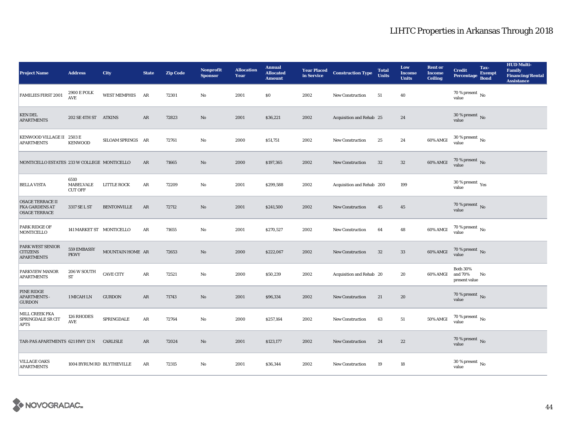| <b>Project Name</b>                                                      | <b>Address</b>                                         | <b>City</b>         | <b>State</b> | <b>Zip Code</b> | <b>Nonprofit</b><br><b>Sponsor</b> | <b>Allocation</b><br>Year | <b>Annual</b><br><b>Allocated</b><br><b>Amount</b> | in Service | <b>Year Placed Construction Type</b> | <b>Total</b><br><b>Units</b> | Low<br><b>Income</b><br><b>Units</b> | <b>Rent or</b><br><b>Income</b><br><b>Ceiling</b> | <b>Credit</b><br>Percentage                 | Tax-<br><b>Exempt</b><br><b>Bond</b> | <b>HUD Multi-</b><br><b>Family</b><br><b>Financing/Rental</b><br><b>Assistance</b> |
|--------------------------------------------------------------------------|--------------------------------------------------------|---------------------|--------------|-----------------|------------------------------------|---------------------------|----------------------------------------------------|------------|--------------------------------------|------------------------------|--------------------------------------|---------------------------------------------------|---------------------------------------------|--------------------------------------|------------------------------------------------------------------------------------|
| <b>FAMILIES FIRST 2001</b>                                               | <b>2900 E POLK</b><br>$\mathbf{A}\mathbf{V}\mathbf{E}$ | <b>WEST MEMPHIS</b> | AR           | 72301           | $\mathbf{No}$                      | 2001                      | \$0                                                | 2002       | New Construction                     | 51                           | 40                                   |                                                   | 70 % present $\hbox{~No}$<br>value          |                                      |                                                                                    |
| <b>KEN DEL</b><br><b>APARTMENTS</b>                                      | 202 SE 4TH ST ATKINS                                   |                     | AR           | 72823           | $\rm No$                           | 2001                      | \$36,221                                           | 2002       | Acquisition and Rehab 25             |                              | 24                                   |                                                   | $30\,\%$ present $\,$ No value              |                                      |                                                                                    |
| KENWOOD VILLAGE II 2503 E<br><b>APARTMENTS</b>                           | <b>KENWOOD</b>                                         | SILOAM SPRINGS AR   |              | 72761           | $\rm No$                           | 2000                      | \$51,751                                           | 2002       | <b>New Construction</b>              | $25\,$                       | 24                                   | 60% AMGI                                          | $30$ % present $\,$ No value                |                                      |                                                                                    |
| MONTICELLO ESTATES 233 W COLLEGE MONTICELLO                              |                                                        |                     | AR           | 71665           | $\rm\thinspace No$                 | 2000                      | \$197,365                                          | 2002       | New Construction                     | $32\,$                       | $32\,$                               | 60% AMGI                                          | 70 % present $\hbox{~No}$<br>value          |                                      |                                                                                    |
| <b>BELLA VISTA</b>                                                       | 6510<br>MABELVALE<br><b>CUT OFF</b>                    | <b>LITTLE ROCK</b>  | ${\bf AR}$   | 72209           | $\mathbf {No}$                     | 2001                      | \$299,588                                          | 2002       | Acquisition and Rehab 200            |                              | 199                                  |                                                   | 30 % present $\rm \gamma_{\rm es}$<br>value |                                      |                                                                                    |
| <b>OSAGE TERRACE II</b><br><b>FKA GARDENS AT</b><br><b>OSAGE TERRACE</b> | 3317 SE L ST                                           | <b>BENTONVILLE</b>  | AR           | 72712           | No                                 | 2001                      | \$241,500                                          | 2002       | <b>New Construction</b>              | 45                           | 45                                   |                                                   | $70$ % present $\,$ No value                |                                      |                                                                                    |
| PARK RIDGE OF<br><b>MONTICELLO</b>                                       | 141 MARKET ST MONTICELLO                               |                     | AR           | 71655           | No                                 | 2001                      | \$270,527                                          | 2002       | <b>New Construction</b>              | 64                           | 48                                   | 60% AMGI                                          | 70 % present $\,$ No $\,$<br>value          |                                      |                                                                                    |
| PARK WEST SENIOR<br><b>CITIZENS</b><br><b>APARTMENTS</b>                 | 559 EMBASSY<br><b>PKWY</b>                             | MOUNTAIN HOME AR    |              | 72653           | $\mathbf{N}\mathbf{o}$             | 2000                      | \$222,067                                          | 2002       | <b>New Construction</b>              | 32                           | 33                                   | 60% AMGI                                          | 70 % present $\overline{N}$<br>value        |                                      |                                                                                    |
| PARKVIEW MANOR<br><b>APARTMENTS</b>                                      | 206 W SOUTH<br>${\cal ST}$                             | <b>CAVE CITY</b>    | AR           | 72521           | $\mathbf {No}$                     | 2000                      | \$50,239                                           | 2002       | Acquisition and Rehab 20             |                              | 20                                   | 60% AMGI                                          | <b>Both 30%</b><br>and 70%<br>present value | No                                   |                                                                                    |
| PINE RIDGE<br><b>APARTMENTS -</b><br><b>GURDON</b>                       | 1 MICAH LN                                             | <b>GURDON</b>       | ${\bf AR}$   | 71743           | $\mathbf{N}\mathbf{o}$             | 2001                      | \$96,334                                           | 2002       | <b>New Construction</b>              | 21                           | 20                                   |                                                   | $70\,\%$ present $\,$ No value              |                                      |                                                                                    |
| MILL CREEK FKA<br><b>SPRINGDALE SR CIT</b><br><b>APTS</b>                | 126 RHODES<br><b>AVE</b>                               | SPRINGDALE          | AR           | 72764           | No                                 | 2000                      | \$257,164                                          | 2002       | New Construction                     | 63                           | 51                                   | $50\%$ AMGI                                       | $70$ % present $\,$ No $\,$<br>value        |                                      |                                                                                    |
| TAR-PAS APARTMENTS 621 HWY 13 N                                          |                                                        | CARLISLE            | AR           | 72024           | No                                 | 2001                      | \$123,177                                          | 2002       | <b>New Construction</b>              | 24                           | $22\,$                               |                                                   | 70 % present $\,$ No $\,$<br>value          |                                      |                                                                                    |
| <b>VILLAGE OAKS</b><br><b>APARTMENTS</b>                                 | 1004 BYRUM RD BLYTHEVILLE                              |                     | AR           | 72315           | No                                 | 2001                      | \$36,344                                           | 2002       | <b>New Construction</b>              | 19                           | 18                                   |                                                   | 30 % present $\,$ No $\,$<br>value          |                                      |                                                                                    |

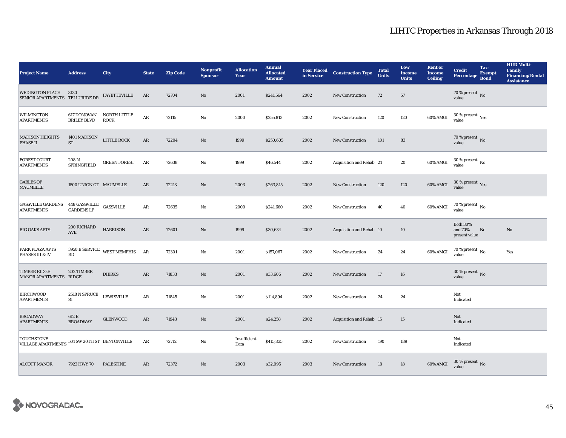| <b>Project Name</b>                                                | <b>Address</b>                    | <b>City</b>                    | <b>State</b> | <b>Zip Code</b> | <b>Nonprofit</b><br><b>Sponsor</b> | <b>Allocation</b><br>Year | <b>Annual</b><br><b>Allocated</b><br><b>Amount</b> |      | <b>Year Placed Construction Type</b><br>in Service | <b>Total</b><br><b>Units</b> | Low<br><b>Income</b><br><b>Units</b> | <b>Rent or</b><br><b>Income</b><br><b>Ceiling</b> | <b>Credit</b><br><b>Percentage</b>          | Tax-<br><b>Exempt</b><br><b>Bond</b> | <b>HUD Multi-</b><br><b>Family</b><br><b>Financing/Rental</b><br><b>Assistance</b> |
|--------------------------------------------------------------------|-----------------------------------|--------------------------------|--------------|-----------------|------------------------------------|---------------------------|----------------------------------------------------|------|----------------------------------------------------|------------------------------|--------------------------------------|---------------------------------------------------|---------------------------------------------|--------------------------------------|------------------------------------------------------------------------------------|
| <b>WEDINGTON PLACE</b><br>SENIOR APARTMENTS TELLURIDE DR           | 3130                              | <b>FAYETTEVILLE</b>            | AR           | 72704           | No                                 | 2001                      | \$241,564                                          | 2002 | New Construction                                   | 72                           | 57                                   |                                                   | 70 % present $\,$ No $\,$<br>value          |                                      |                                                                                    |
| <b>WILMINGTON</b><br><b>APARTMENTS</b>                             | 617 DONOVAN<br><b>BRILEY BLVD</b> | NORTH LITTLE<br><b>ROCK</b>    | $\rm{AR}$    | 72115           | No                                 | 2000                      | \$255,813                                          | 2002 | <b>New Construction</b>                            | 120                          | 120                                  | 60% AMGI                                          | $30\ \%$ present $\ _{\mbox{Yes}}$ value    |                                      |                                                                                    |
| <b>MADISON HEIGHTS</b><br>PHASE II                                 | 1401 MADISON<br>${\rm ST}$        | LITTLE ROCK                    | $\rm{AR}$    | 72204           | $\rm No$                           | 1999                      | \$250,605                                          | 2002 | <b>New Construction</b>                            | 101                          | ${\bf 83}$                           |                                                   | $70$ % present $\,$ No value                |                                      |                                                                                    |
| <b>FOREST COURT</b><br><b>APARTMENTS</b>                           | 208 N<br>SPRINGFIELD              | <b>GREEN FOREST</b>            | AR           | 72638           | $\mathbf{No}$                      | 1999                      | \$46,544                                           | 2002 | Acquisition and Rehab 21                           |                              | 20                                   | 60% AMGI                                          | $30$ % present $\,$ No $\,$<br>value        |                                      |                                                                                    |
| <b>GABLES OF</b><br><b>MAUMELLE</b>                                | 1500 UNION CT MAUMELLE            |                                | AR           | 72213           | No                                 | 2003                      | \$263,815                                          | 2002 | <b>New Construction</b>                            | 120                          | 120                                  | 60% AMGI                                          | $30\,\%$ present $\,\mathrm{Yes}$ value     |                                      |                                                                                    |
| <b>GASSVILLE GARDENS</b><br><b>APARTMENTS</b>                      | 448 GASSVILLE<br>GARDENS LP       | ${\sf GASSVILLE}$              | $\rm{AR}$    | 72635           | $\mathbf{N}\mathbf{o}$             | 2000                      | \$241,660                                          | 2002 | New Construction                                   | 40                           | 40                                   | 60% AMGI                                          | $70$ % present $\,$ No value                |                                      |                                                                                    |
| <b>BIG OAKS APTS</b>                                               | 200 RICHARD<br><b>AVE</b>         | <b>HARRISON</b>                | $\rm{AR}$    | 72601           | $\rm No$                           | 1999                      | \$30,634                                           | 2002 | Acquisition and Rehab 10                           |                              | 10                                   |                                                   | <b>Both 30%</b><br>and 70%<br>present value | No                                   | $\rm No$                                                                           |
| PARK PLAZA APTS<br>PHASES III & IV                                 | $\mathbf{R}\mathbf{D}$            | 3950 E SERVICE WEST MEMPHIS AR |              | 72301           | No                                 | 2001                      | \$157,067                                          | 2002 | New Construction                                   | 24                           | 24                                   | 60% AMGI                                          | $70$ % present $\,$ $_{\rm No}$<br>value    |                                      | Yes                                                                                |
| <b>TIMBER RIDGE</b><br>MANOR APARTMENTS RIDGE                      | 202 TIMBER                        | <b>DIERKS</b>                  | $\rm{AR}$    | 71833           | $\rm No$                           | 2001                      | \$33,605                                           | 2002 | New Construction                                   | 17                           | 16                                   |                                                   | $30\,\%$ present $\,$ No $\,$<br>value      |                                      |                                                                                    |
| <b>BIRCHWOOD</b><br><b>APARTMENTS</b>                              | $2518$ N SPRUCE<br>ST             | <b>LEWISVILLE</b>              | $\rm{AR}$    | 71845           | $\mathbf{No}$                      | 2001                      | \$114,894                                          | 2002 | New Construction                                   | 24                           | 24                                   |                                                   | Not<br>Indicated                            |                                      |                                                                                    |
| <b>BROADWAY</b><br><b>APARTMENTS</b>                               | 612 E<br><b>BROADWAY</b>          | <b>GLENWOOD</b>                | AR           | 71943           | No                                 | 2001                      | \$24,258                                           | 2002 | Acquisition and Rehab 15                           |                              | 15                                   |                                                   | Not<br>Indicated                            |                                      |                                                                                    |
| <b>TOUCHSTONE</b><br>VILLAGE APARTMENTS 501 SW 20TH ST BENTONVILLE |                                   |                                | $\rm{AR}$    | 72712           | $\mathbf{No}$                      | Insufficient<br>Data      | \$415,835                                          | 2002 | <b>New Construction</b>                            | 190                          | 189                                  |                                                   | Not<br>Indicated                            |                                      |                                                                                    |
| <b>ALCOTT MANOR</b>                                                | 7923 HWY 70                       | <b>PALESTINE</b>               | AR           | 72372           | $\rm No$                           | 2003                      | \$32,095                                           | 2003 | <b>New Construction</b>                            | 18                           | 18                                   | 60% AMGI                                          | $30\,\%$ present $\,$ No value              |                                      |                                                                                    |

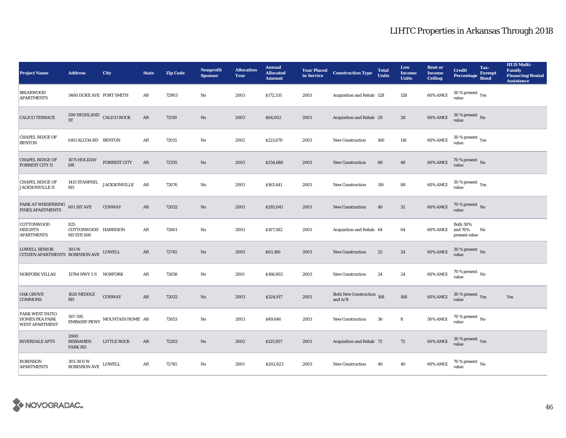| <b>Project Name</b>                                               | <b>Address</b>                                  | City                          | <b>State</b>  | <b>Zip Code</b> | <b>Nonprofit</b><br><b>Sponsor</b> | <b>Allocation</b><br>Year | <b>Annual</b><br><b>Allocated</b><br><b>Amount</b> | in Service | <b>Year Placed Construction Type</b>   | <b>Total</b><br><b>Units</b> | Low<br><b>Income</b><br><b>Units</b> | <b>Rent or</b><br><b>Income</b><br><b>Ceiling</b> | <b>Credit</b><br><b>Percentage</b>          | Tax-<br><b>Exempt</b><br><b>Bond</b> | <b>HUD Multi-</b><br><b>Family</b><br><b>Financing/Rental</b><br><b>Assistance</b> |
|-------------------------------------------------------------------|-------------------------------------------------|-------------------------------|---------------|-----------------|------------------------------------|---------------------------|----------------------------------------------------|------------|----------------------------------------|------------------------------|--------------------------------------|---------------------------------------------------|---------------------------------------------|--------------------------------------|------------------------------------------------------------------------------------|
| <b>BRIARWOOD</b><br><b>APARTMENTS</b>                             | 3400 DUKE AVE FORT SMITH                        |                               | AR            | 72903           | No                                 | 2003                      | \$172,531                                          | 2003       | Acquisition and Rehab 128              |                              | 128                                  | 60% AMGI                                          | $30$ % present $\,$ $\rm Yes$<br>value      |                                      |                                                                                    |
| CALICO TERRACE                                                    | $200\,$ HIGHLAND $\,$ CALICO ROCK ST            |                               | $\rm{AR}$     | 72519           | No                                 | 2003                      | \$64,002                                           | 2003       | Acquisition and Rehab 29               |                              | 28                                   | 60% AMGI                                          | $30$ % present $\,$ No value                |                                      |                                                                                    |
| <b>CHAPEL RIDGE OF</b><br><b>BENTON</b>                           | 6101 ALCOA RD BENTON                            |                               | ${\bf AR}$    | 72015           | $\rm No$                           | 2002                      | \$221,670                                          | 2003       | <b>New Construction</b>                | 160                          | 116                                  | 60% AMGI                                          | $30$ % present $\,$ $\rm Yes$<br>value      |                                      |                                                                                    |
| <b>CHAPEL RIDGE OF</b><br><b>FORREST CITY II</b>                  | 1075 HOLIDAY<br>$_{\rm DR}$                     | <b>FORREST CITY</b>           | AR            | 72335           | $\mathbf{N}\mathbf{o}$             | 2003                      | \$254,686                                          | 2003       | New Construction                       | 68                           | 48                                   | 60% AMGI                                          | $70$ % present $\,$ No value                |                                      |                                                                                    |
| <b>CHAPEL RIDGE OF</b><br><b>JACKSONVILLE II</b>                  | 1415 STANPHIL<br>RD                             | <b>JACKSONVILLE</b>           | AR            | 72076           | $\mathbf {No}$                     | 2003                      | \$163,441                                          | 2003       | New Construction                       | 116                          | 88                                   | 60% AMGI                                          | $30\,\%$ present $\,\mathrm{Yes}$ value     |                                      |                                                                                    |
| PARK AT WHISPERING<br><b>PINES APARTMENTS</b>                     | $601\,1ST\,\mathrm{AVE}$                        | <b>CONWAY</b>                 | AR            | 72032           | No                                 | 2003                      | \$285,041                                          | 2003       | <b>New Construction</b>                | 40                           | 32                                   | 60% AMGI                                          | $70$ % present $\,$ No value                |                                      |                                                                                    |
| COTTONWOOD<br><b>HEIGHTS</b><br><b>APARTMENTS</b>                 | 825<br>COTTONWOOD HARRISON<br><b>RD STE 600</b> |                               | AR            | 72601           | No                                 | 2003                      | \$107,582                                          | 2003       | Acquisition and Rehab 64               |                              | 64                                   | 60% AMGI                                          | <b>Both 30%</b><br>and 70%<br>present value | No                                   |                                                                                    |
| <b>LOWELL SENIOR</b><br>CITIZEN APARTMENTS ROBINSON AVE LOWELL    | 303W                                            |                               | AR            | 72745           | $\mathbf{N}\mathbf{o}$             | 2003                      | \$63,180                                           | 2003       | <b>New Construction</b>                | 25                           | 24                                   | 60% AMGI                                          | $30\,\%$ present $\,$ No $\,$<br>value      |                                      |                                                                                    |
| <b>NORFORK VILLAS</b>                                             | 13784 HWY 5 S NORFORK                           |                               | AR            | 72658           | No                                 | 2001                      | \$166,802                                          | 2003       | New Construction                       | 24                           | 24                                   | $60\%$ AMGI                                       | $70$ % present $\,$ No $\,$<br>value        |                                      |                                                                                    |
| <b>OAK GROVE</b><br><b>COMMONS</b>                                | 1620 MIDDLE<br>$\mathbf{R}\mathbf{D}$           | <b>CONWAY</b>                 | $\mathbf{AR}$ | 72032           | $\mathbf{N}\mathbf{o}$             | 2003                      | \$324,917                                          | 2003       | Both New Construction 168<br>and $A/R$ |                              | 168                                  | <b>60% AMGI</b>                                   | $30\,\%$ present $\,\mathrm{Yes}$ value     |                                      | Yes                                                                                |
| PARK WEST PATIO<br><b>HOMES FKA PARK</b><br><b>WEST APARTMENT</b> | 567-595                                         | EMBASSY PKWY MOUNTAIN HOME AR |               | 72653           | No                                 | 2003                      | \$49,646                                           | 2003       | New Construction                       | 36                           | 8                                    | 50% AMGI                                          | $70$ % present $\,$ No $\,$<br>value        |                                      |                                                                                    |
| <b>RIVERDALE APTS</b>                                             | 2000<br><b>REBSAMEN</b><br>PARK RD              | LITTLE ROCK                   | AR            | 72202           | No                                 | 2002                      | \$125,957                                          | 2003       | Acquisition and Rehab 72               |                              | 72                                   | 60% AMGI                                          | $30\,\%$ present $\,$ Yes value             |                                      |                                                                                    |
| <b>ROBINSON</b><br><b>APARTMENTS</b>                              | 301-3011 W<br><b>ROBINSON AVE</b>               | LOWELL                        | ${\bf AR}$    | 72745           | No                                 | 2001                      | \$202,623                                          | 2003       | <b>New Construction</b>                | 40                           | 40                                   | 60% AMGI                                          | 70 % present $\,$ No $\,$<br>value          |                                      |                                                                                    |

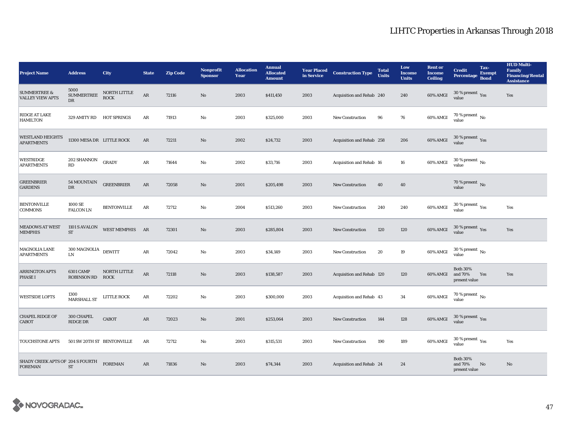| <b>Project Name</b>                                | <b>Address</b>                             | City                        | <b>State</b> | <b>Zip Code</b> | <b>Nonprofit</b><br><b>Sponsor</b> | <b>Allocation</b><br>Year | <b>Annual</b><br><b>Allocated</b><br><b>Amount</b> | <b>Year Placed</b><br>in Service | <b>Construction Type</b>  | <b>Total</b><br><b>Units</b> | Low<br><b>Income</b><br><b>Units</b> | <b>Rent or</b><br><b>Income</b><br><b>Ceiling</b> | <b>Credit</b><br>Percentage                 | Tax-<br><b>Exempt</b><br><b>Bond</b> | <b>HUD Multi-</b><br><b>Family</b><br><b>Financing/Rental</b><br><b>Assistance</b> |
|----------------------------------------------------|--------------------------------------------|-----------------------------|--------------|-----------------|------------------------------------|---------------------------|----------------------------------------------------|----------------------------------|---------------------------|------------------------------|--------------------------------------|---------------------------------------------------|---------------------------------------------|--------------------------------------|------------------------------------------------------------------------------------|
| <b>SUMMERTREE &amp;</b><br><b>VALLEY VIEW APTS</b> | 5000<br><b>SUMMERTREE</b><br>$_{\rm DR}$   | NORTH LITTLE<br><b>ROCK</b> | $\rm{AR}$    | 72116           | $\mathbf{N}\mathbf{o}$             | 2003                      | \$411,450                                          | 2003                             | Acquisition and Rehab 240 |                              | 240                                  | 60% AMGI                                          | $30\,\%$ present $\,$ Yes<br>value          |                                      | Yes                                                                                |
| RIDGE AT LAKE<br><b>HAMILTON</b>                   | 329 AMITY RD HOT SPRINGS                   |                             | $\rm{AR}$    | 71913           | $\mathbf{N}\mathbf{o}$             | 2003                      | \$325,000                                          | 2003                             | New Construction          | 96                           | 76                                   | 60% AMGI                                          | $70$ % present $\,$ No value                |                                      |                                                                                    |
| <b>WESTLAND HEIGHTS</b><br><b>APARTMENTS</b>       | 11300 MESA DR LITTLE ROCK                  |                             | $\rm{AR}$    | 72211           | $\mathbf{N}\mathbf{o}$             | 2002                      | \$24,732                                           | 2003                             | Acquisition and Rehab 258 |                              | 206                                  | 60% AMGI                                          | $30\,\%$ present $\,$ Yes value             |                                      |                                                                                    |
| <b>WESTRIDGE</b><br><b>APARTMENTS</b>              | 202 SHANNON<br>RD                          | <b>GRADY</b>                | AR           | 71644           | $\mathbf{N}\mathbf{o}$             | 2002                      | \$33,716                                           | 2003                             | Acquisition and Rehab 16  |                              | 16                                   | 60% AMGI                                          | $30\,\%$ present $\,$ No $\,$<br>value      |                                      |                                                                                    |
| <b>GREENBRIER</b><br><b>GARDENS</b>                | 54 MOUNTAIN<br>DR                          | <b>GREENBRIER</b>           | $\rm{AR}$    | 72058           | $\mathbf{N}\mathbf{o}$             | 2001                      | \$205,498                                          | 2003                             | <b>New Construction</b>   | 40                           | 40                                   |                                                   | 70 % present $\,$ No $\,$<br>value          |                                      |                                                                                    |
| <b>BENTONVILLE</b><br><b>COMMONS</b>               | 1000 SE<br><b>FALCON LN</b>                | <b>BENTONVILLE</b>          | AR           | 72712           | No                                 | 2004                      | \$513,260                                          | 2003                             | <b>New Construction</b>   | 240                          | 240                                  | 60% AMGI                                          | $30\,\%$ present $\,\mathrm{Yes}$ value     |                                      | Yes                                                                                |
| <b>MEADOWS AT WEST</b><br><b>MEMPHIS</b>           | 1101 S AVALON<br>${\cal S}{\cal T}$        | WEST MEMPHIS AR             |              | 72301           | $\mathbf{N}\mathbf{o}$             | 2003                      | \$285,804                                          | 2003                             | <b>New Construction</b>   | 120                          | 120                                  | 60% AMGI                                          | $30\,\%$ present $\,\mathrm{Yes}$ value     |                                      | Yes                                                                                |
| <b>MAGNOLIA LANE</b><br><b>APARTMENTS</b>          | $300\,{\rm MAGNOLIA}$ DEWITT<br>${\rm LN}$ |                             | $\rm{AR}$    | 72042           | No                                 | 2003                      | \$34,149                                           | 2003                             | <b>New Construction</b>   | 20                           | 19                                   | 60% AMGI                                          | $30\,\%$ present $\,$ No $\,$<br>value      |                                      |                                                                                    |
| <b>ARRINGTON APTS</b><br><b>PHASE I</b>            | <b>6301 CAMP</b><br>ROBINSON RD ROCK       | NORTH LITTLE                | $\rm{AR}$    | 72118           | $\mathbf{N}\mathbf{o}$             | 2003                      | \$138,587                                          | 2003                             | Acquisition and Rehab 120 |                              | 120                                  | 60% AMGI                                          | <b>Both 30%</b><br>and 70%<br>present value | Yes                                  | Yes                                                                                |
| <b>WESTSIDE LOFTS</b>                              | 1300<br><b>MARSHALL ST</b>                 | <b>LITTLE ROCK</b>          | $\rm{AR}$    | 72202           | No                                 | 2003                      | \$300,000                                          | 2003                             | Acquisition and Rehab 43  |                              | 34                                   | 60% AMGI                                          | 70 % present $\,$ No $\,$<br>value          |                                      |                                                                                    |
| <b>CHAPEL RIDGE OF</b><br><b>CABOT</b>             | 300 CHAPEL<br>RIDGE DR                     | CABOT                       | AR           | 72023           | $\mathbf{N}\mathbf{o}$             | 2001                      | \$253,064                                          | 2003                             | New Construction          | 144                          | 128                                  | 60% AMGI                                          | $30\,\%$ present $\,\mathrm{Yes}$ value     |                                      |                                                                                    |
| <b>TOUCHSTONE APTS</b>                             | 501 SW 20TH ST BENTONVILLE                 |                             | AR           | 72712           | No                                 | 2003                      | \$315,531                                          | 2003                             | <b>New Construction</b>   | 190                          | 189                                  | 60% AMGI                                          | $30\,\%$ present $\,\mathrm{Yes}$ value     |                                      | Yes                                                                                |
| SHADY CREEK APTS OF 204 S FOURTH<br><b>FOREMAN</b> | <b>ST</b>                                  | <b>FOREMAN</b>              | ${\sf AR}$   | 71836           | No                                 | 2003                      | \$74,344                                           | 2003                             | Acquisition and Rehab 24  |                              | 24                                   |                                                   | <b>Both 30%</b><br>and 70%<br>present value | No                                   | No                                                                                 |

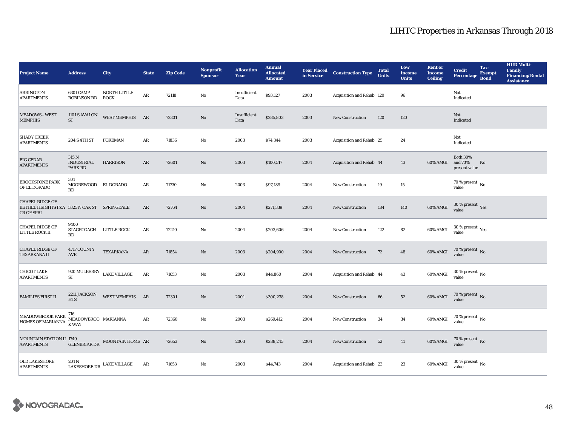| <b>Project Name</b>                                                                                                                                                                                                                                   | <b>Address</b>                                          | <b>City</b>                               | <b>State</b>  | <b>Zip Code</b> | Nonprofit<br><b>Sponsor</b> | <b>Allocation</b><br>Year | <b>Annual</b><br><b>Allocated</b><br><b>Amount</b> | <b>Year Placed<br/>in Service</b> | <b>Construction Type</b>  | <b>Total</b><br><b>Units</b> | Low<br><b>Income</b><br><b>Units</b> | <b>Rent or</b><br><b>Income</b><br><b>Ceiling</b> | <b>Credit</b><br><b>Percentage</b>          | Tax-<br><b>Exempt</b><br><b>Bond</b> | <b>HUD Multi-</b><br><b>Family</b><br><b>Financing/Rental</b><br><b>Assistance</b> |
|-------------------------------------------------------------------------------------------------------------------------------------------------------------------------------------------------------------------------------------------------------|---------------------------------------------------------|-------------------------------------------|---------------|-----------------|-----------------------------|---------------------------|----------------------------------------------------|-----------------------------------|---------------------------|------------------------------|--------------------------------------|---------------------------------------------------|---------------------------------------------|--------------------------------------|------------------------------------------------------------------------------------|
| <b>ARRINGTON</b><br><b>APARTMENTS</b>                                                                                                                                                                                                                 | <b>6301 CAMP</b><br><b>ROBINSON RD</b>                  | NORTH LITTLE<br><b>ROCK</b>               | $\rm{AR}$     | 72118           | No                          | Insufficient<br>Data      | \$93,127                                           | 2003                              | Acquisition and Rehab 120 |                              | 96                                   |                                                   | Not<br>Indicated                            |                                      |                                                                                    |
| <b>MEADOWS - WEST</b><br><b>MEMPHIS</b>                                                                                                                                                                                                               | $1101$ S AVALON<br>${\cal S}{\cal T}$                   | WEST MEMPHIS AR                           |               | 72301           | $\rm No$                    | Insufficient<br>Data      | \$285,803                                          | 2003                              | <b>New Construction</b>   | 120                          | 120                                  |                                                   | Not<br>Indicated                            |                                      |                                                                                    |
| <b>SHADY CREEK</b><br><b>APARTMENTS</b>                                                                                                                                                                                                               | 204 S 4TH ST                                            | <b>FOREMAN</b>                            | AR            | 71836           | $\mathbf{No}$               | 2003                      | \$74,344                                           | 2003                              | Acquisition and Rehab 25  |                              | 24                                   |                                                   | Not<br>Indicated                            |                                      |                                                                                    |
| <b>BIG CEDAR</b><br><b>APARTMENTS</b>                                                                                                                                                                                                                 | 315 N<br><b>INDUSTRIAL</b><br>PARK RD                   | <b>HARRISON</b>                           | $\rm{AR}$     | 72601           | $\rm No$                    | 2003                      | \$100,517                                          | 2004                              | Acquisition and Rehab 44  |                              | 43                                   | 60% AMGI                                          | <b>Both 30%</b><br>and 70%<br>present value | No                                   |                                                                                    |
| <b>BROOKSTONE PARK</b><br>OF EL DORADO                                                                                                                                                                                                                | 301<br>MOOREWOOD EL DORADO<br>RD                        |                                           | AR            | 71730           | $\mathbf{No}$               | 2003                      | \$97,189                                           | 2004                              | <b>New Construction</b>   | 19                           | 15                                   |                                                   | $70$ % present $\,$ No $\,$ value $\,$      |                                      |                                                                                    |
| <b>CHAPEL RIDGE OF</b><br>BETHEL HEIGHTS FKA 5325 N OAK ST SPRINGDALE<br>CR OF SPRI                                                                                                                                                                   |                                                         |                                           | AR            | 72764           | $\rm No$                    | 2004                      | \$271,339                                          | 2004                              | <b>New Construction</b>   | 184                          | 140                                  | 60% AMGI                                          | $30\,\%$ present $\,$ Yes value             |                                      |                                                                                    |
| <b>CHAPEL RIDGE OF</b><br>LITTLE ROCK II                                                                                                                                                                                                              | 9400<br>STAGECOACH LITTLE ROCK<br>RD                    |                                           | AR            | 72210           | $\mathbf{N}\mathbf{o}$      | 2004                      | \$203,606                                          | 2004                              | <b>New Construction</b>   | 122                          | 82                                   | 60% AMGI                                          | 30 % present $\rm\thinspace_{Yes}$<br>value |                                      |                                                                                    |
| <b>CHAPEL RIDGE OF</b><br><b>TEXARKANA II</b>                                                                                                                                                                                                         | 4717 COUNTY<br>$\operatorname{AVE}$                     | TEXARKANA                                 | $\mathbf{AR}$ | 71854           | No                          | 2003                      | \$204,900                                          | 2004                              | <b>New Construction</b>   | 72                           | 48                                   | 60% AMGI                                          | $70\,\%$ present $\,$ No value              |                                      |                                                                                    |
| <b>CHICOT LAKE</b><br><b>APARTMENTS</b>                                                                                                                                                                                                               | $920\,\mathrm{MULBERRY}$ $\_$ LAKE VILLAGE<br><b>ST</b> |                                           | $\rm{AR}$     | 71653           | $\mathbf{N}\mathbf{o}$      | 2003                      | \$44,860                                           | 2004                              | Acquisition and Rehab 44  |                              | 43                                   | 60% AMGI                                          | $30\,\%$ present $\,$ No value              |                                      |                                                                                    |
| <b>FAMILIES FIRST II</b>                                                                                                                                                                                                                              | 2211 JACKSON<br><b>HTS</b>                              | WEST MEMPHIS AR                           |               | 72301           | $\rm No$                    | 2001                      | \$300,238                                          | 2004                              | <b>New Construction</b>   | 66                           | 52                                   | 60% AMGI                                          | $70\,\%$ present $\,$ No value              |                                      |                                                                                    |
| $\begin{array}{ l } \hline \texttt{MEADOWBROOK} \texttt{PARK} \begin{array}{l} \texttt{716} \\ \texttt{MEADOWBROO} \end{array} \texttt{MARIANNA} \\ \hline \texttt{HOMES OF MARIANNA} \begin{array}{l} \hline \texttt{K WAY} \end{array} \end{array}$ |                                                         |                                           | $\rm{AR}$     | 72360           | $\rm No$                    | 2003                      | \$269,412                                          | 2004                              | <b>New Construction</b>   | 34                           | 34                                   | 60% AMGI                                          | $70\,\%$ present $\,$ No value              |                                      |                                                                                    |
| MOUNTAIN STATION II 1749<br><b>APARTMENTS</b>                                                                                                                                                                                                         | <b>GLENBRIAR DR</b>                                     | MOUNTAIN HOME AR                          |               | 72653           | $\mathbf{N}\mathbf{o}$      | 2003                      | \$288,245                                          | 2004                              | <b>New Construction</b>   | 52                           | 41                                   | 60% AMGI                                          | $70\,\%$ present $\,$ No value              |                                      |                                                                                    |
| <b>OLD LAKESHORE</b><br><b>APARTMENTS</b>                                                                                                                                                                                                             | 201 N                                                   | ${\rm LAKESHORE \, DR}$ $\;$ LAKE VILLAGE | AR            | 71653           | No                          | 2003                      | \$44,743                                           | 2004                              | Acquisition and Rehab 23  |                              | 23                                   | 60% AMGI                                          | $30$ % present $\,$ No $\,$<br>value        |                                      |                                                                                    |

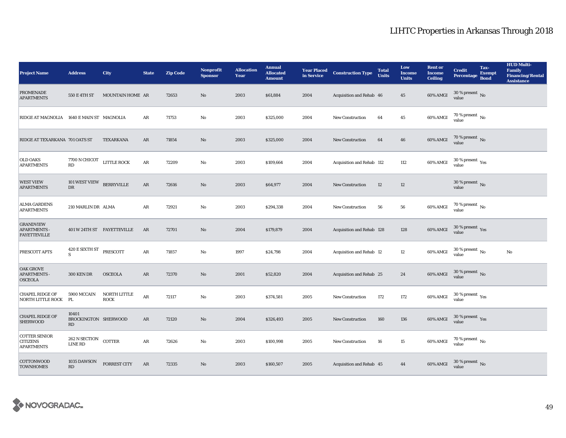| <b>Project Name</b>                                            | <b>Address</b>                      | City                        | <b>State</b>  | <b>Zip Code</b> | <b>Nonprofit</b><br><b>Sponsor</b> | <b>Allocation</b><br>Year | <b>Annual</b><br><b>Allocated</b><br><b>Amount</b> | <b>Year Placed</b><br>in Service | <b>Construction Type</b>  | <b>Total</b><br><b>Units</b> | Low<br><b>Income</b><br><b>Units</b> | <b>Rent or</b><br><b>Income</b><br><b>Ceiling</b> | <b>Credit</b><br><b>Percentage</b>              | Tax-<br><b>Exempt</b><br><b>Bond</b> | <b>HUD Multi-</b><br><b>Family</b><br><b>Financing/Rental</b><br><b>Assistance</b> |
|----------------------------------------------------------------|-------------------------------------|-----------------------------|---------------|-----------------|------------------------------------|---------------------------|----------------------------------------------------|----------------------------------|---------------------------|------------------------------|--------------------------------------|---------------------------------------------------|-------------------------------------------------|--------------------------------------|------------------------------------------------------------------------------------|
| <b>PROMENADE</b><br><b>APARTMENTS</b>                          | 550 E 4TH ST                        | MOUNTAIN HOME AR            |               | 72653           | No                                 | 2003                      | \$61,884                                           | 2004                             | Acquisition and Rehab 46  |                              | 45                                   | 60% AMGI                                          | 30 % present $\,$ No $\,$<br>value              |                                      |                                                                                    |
| RIDGE AT MAGNOLIA 1640 E MAIN ST MAGNOLIA                      |                                     |                             | AR            | 71753           | $\mathbf{No}$                      | 2003                      | \$325,000                                          | 2004                             | <b>New Construction</b>   | 64                           | 45                                   | 60% AMGI                                          | $70$ % present $\,$ No $\,$<br>value            |                                      |                                                                                    |
| RIDGE AT TEXARKANA 701 OATS ST                                 |                                     | TEXARKANA                   | $\mathbf{AR}$ | 71854           | $\rm No$                           | 2003                      | \$325,000                                          | 2004                             | <b>New Construction</b>   | 64                           | ${\bf 46}$                           | 60% AMGI                                          | $70\,\%$ present $\,$ No value                  |                                      |                                                                                    |
| <b>OLD OAKS</b><br><b>APARTMENTS</b>                           | 7700 N CHICOT LITTLE ROCK<br>RD     |                             | $\rm{AR}$     | 72209           | $\mathbf{N}\mathbf{o}$             | 2003                      | \$109,664                                          | 2004                             | Acquisition and Rehab 112 |                              | 112                                  | 60% AMGI                                          | $30$ % present $\,$ $\rm Yes$<br>value          |                                      |                                                                                    |
| <b>WEST VIEW</b><br><b>APARTMENTS</b>                          | 101 WEST VIEW<br>$_{\rm DR}$        | <b>BERRYVILLE</b>           | $\mathbf{AR}$ | 72616           | $\rm No$                           | 2003                      | \$64,977                                           | 2004                             | <b>New Construction</b>   | $12\,$                       | $12\,$                               |                                                   | $30\,\%$ present $\,$ No $\,$<br>value          |                                      |                                                                                    |
| <b>ALMA GARDENS</b><br><b>APARTMENTS</b>                       | 210 MARLIN DR ALMA                  |                             | ${\bf AR}$    | 72921           | $\mathbf{N}\mathbf{o}$             | 2003                      | \$294,338                                          | 2004                             | <b>New Construction</b>   | 56                           | 56                                   | 60% AMGI                                          | $70$ % present $\,$ No $\,$ value $\,$          |                                      |                                                                                    |
| <b>GRANDVIEW</b><br><b>APARTMENTS -</b><br><b>FAYETTEVILLE</b> |                                     | 401 W 24TH ST FAYETTEVILLE  | AR            | 72701           | $\rm No$                           | 2004                      | \$179,879                                          | 2004                             | Acquisition and Rehab 128 |                              | 128                                  | 60% AMGI                                          | $30$ % present $\,$ $\rm Yes$<br>value          |                                      |                                                                                    |
| PRESCOTT APTS                                                  | 420 E SIXTH ST<br>S                 | PRESCOTT                    | ${\bf AR}$    | 71857           | $\mathbf{No}$                      | 1997                      | \$24,798                                           | 2004                             | Acquisition and Rehab 12  |                              | 12                                   | 60% AMGI                                          | $30$ % present $\,$ No $\,$<br>value            |                                      | $\rm No$                                                                           |
| <b>OAK GROVE</b><br><b>APARTMENTS -</b><br><b>OSCEOLA</b>      | <b>300 KEN DR</b>                   | <b>OSCEOLA</b>              | AR            | 72370           | $\rm No$                           | 2001                      | \$52,820                                           | 2004                             | Acquisition and Rehab 25  |                              | 24                                   | 60% AMGI                                          | $30\,\%$ present $\,$ No value                  |                                      |                                                                                    |
| <b>CHAPEL RIDGE OF</b><br>NORTH LITTLE ROCK                    | 5900 MCCAIN<br>PL                   | NORTH LITTLE<br><b>ROCK</b> | $\rm{AR}$     | 72117           | $\mathbf{N}\mathbf{o}$             | 2003                      | \$374,581                                          | 2005                             | <b>New Construction</b>   | 172                          | 172                                  | 60% AMGI                                          | $30\,\%$ present $\rm\thinspace_{Yes}$<br>value |                                      |                                                                                    |
| <b>CHAPEL RIDGE OF</b><br>SHERWOOD                             | 10401<br>BROCKINGTON SHERWOOD<br>RD |                             | AR            | 72120           | No                                 | 2004                      | \$326,493                                          | 2005                             | <b>New Construction</b>   | 160                          | 136                                  | 60% AMGI                                          | $30\,\%$ present $\,\mathrm{Yes}$ value         |                                      |                                                                                    |
| <b>COTTER SENIOR</b><br><b>CITIZENS</b><br><b>APARTMENTS</b>   | 262 N SECTION<br><b>LINE RD</b>     | COTTER                      | ${\bf AR}$    | 72626           | $\mathbf{No}$                      | 2003                      | \$100,998                                          | 2005                             | <b>New Construction</b>   | 16                           | 15                                   | 60% AMGI                                          | $70$ % present $\,$ No $\,$<br>value            |                                      |                                                                                    |
| COTTONWOOD<br><b>TOWNHOMES</b>                                 | 1035 DAWSON<br>RD                   | <b>FORREST CITY</b>         | AR            | 72335           | $\rm No$                           | 2003                      | \$160,507                                          | 2005                             | Acquisition and Rehab 45  |                              | 44                                   | 60% AMGI                                          | $30$ % present $\,$ No $\,$<br>value            |                                      |                                                                                    |

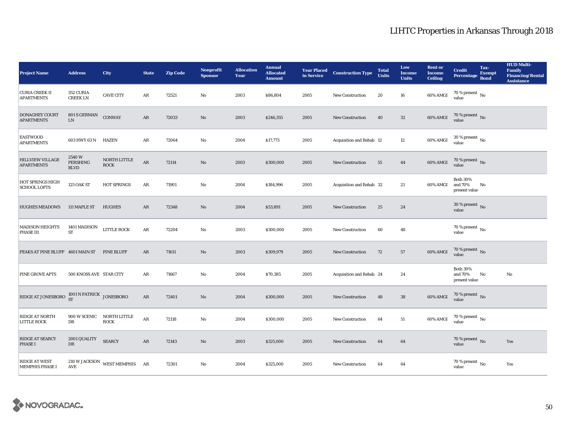| <b>Project Name</b>                            | <b>Address</b>                         | <b>City</b>                                       | <b>State</b>           | <b>Zip Code</b> | <b>Nonprofit</b><br><b>Sponsor</b> | <b>Allocation</b><br>Year | <b>Annual</b><br><b>Allocated</b><br><b>Amount</b> |      | <b>Year Placed Construction Type</b><br>in Service <b>Construction</b> Type | <b>Total</b><br><b>Units</b> | Low<br><b>Income</b><br><b>Units</b> | <b>Rent or</b><br><b>Income</b><br><b>Ceiling</b> | <b>Credit</b><br><b>Percentage</b>          | Tax-<br><b>Exempt</b><br><b>Bond</b> | <b>HUD Multi-</b><br><b>Family</b><br><b>Financing/Rental</b><br><b>Assistance</b> |
|------------------------------------------------|----------------------------------------|---------------------------------------------------|------------------------|-----------------|------------------------------------|---------------------------|----------------------------------------------------|------|-----------------------------------------------------------------------------|------------------------------|--------------------------------------|---------------------------------------------------|---------------------------------------------|--------------------------------------|------------------------------------------------------------------------------------|
| <b>CURIA CREEK II</b><br><b>APARTMENTS</b>     | 352 CURIA<br><b>CREEK LN</b>           | <b>CAVE CITY</b>                                  | AR                     | 72521           | No                                 | 2003                      | \$86,804                                           | 2005 | <b>New Construction</b>                                                     | 20                           | 16                                   | 60% AMGI                                          | 70 % present $\,$ No $\,$<br>value          |                                      |                                                                                    |
| <b>DONAGHEY COURT</b><br><b>APARTMENTS</b>     | 801 S GERMAN<br>${\rm LN}$             | <b>CONWAY</b>                                     | AR                     | 72033           | No                                 | 2003                      | \$246,355                                          | 2005 | <b>New Construction</b>                                                     | 40                           | $32\,$                               | 60% AMGI                                          | $70$ % present $\,$ No value                |                                      |                                                                                    |
| <b>EASTWOOD</b><br><b>APARTMENTS</b>           | 603 HWY 63 N HAZEN                     |                                                   | $\rm{AR}$              | 72064           | $\rm No$                           | 2004                      | \$17,773                                           | 2005 | Acquisition and Rehab 12                                                    |                              | 12                                   | 60% AMGI                                          | $30$ % present $\,$ No value                |                                      |                                                                                    |
| <b>HILLVIEW VILLAGE</b><br><b>APARTMENTS</b>   | 2540W<br>PERSHING<br><b>BLVD</b>       | NORTH LITTLE<br><b>ROCK</b>                       | $\rm{AR}$              | 72114           | $\mathbf{No}$                      | 2003                      | \$300,000                                          | 2005 | New Construction                                                            | 55                           | 44                                   | 60% AMGI                                          | $70$ % present $\,$ No value                |                                      |                                                                                    |
| HOT SPRINGS HIGH<br><b>SCHOOL LOFTS</b>        | <b>125 OAK ST</b>                      | HOT SPRINGS                                       | $\rm{AR}$              | 71901           | $\mathbf{N}\mathbf{o}$             | 2004                      | \$184,996                                          | 2005 | Acquisition and Rehab 32                                                    |                              | 21                                   | 60% AMGI                                          | <b>Both 30%</b><br>and 70%<br>present value | No                                   |                                                                                    |
| <b>HUGHES MEADOWS</b>                          | 111 MAPLE ST                           | <b>HUGHES</b>                                     | AR                     | 72348           | $\mathbf{No}$                      | 2004                      | \$53,891                                           | 2005 | <b>New Construction</b>                                                     | 25                           | 24                                   |                                                   | $30\,\%$ present $\,$ No value              |                                      |                                                                                    |
| <b>MADISON HEIGHTS</b><br>PHASE III            | 1401 MADISON<br>ST                     | LITTLE ROCK                                       | $\rm{AR}$              | 72204           | $\mathbf{N}\mathbf{o}$             | 2003                      | \$300,000                                          | 2005 | New Construction                                                            | 60                           | 48                                   |                                                   | 70 % present $\,$ No $\,$<br>value          |                                      |                                                                                    |
| PEAKS AT PINE BLUFF 4601 MAIN ST PINE BLUFF    |                                        |                                                   | AR                     | 71611           | No                                 | 2003                      | \$309,979                                          | 2005 | New Construction                                                            | 72                           | 57                                   | 60% AMGI                                          | $70$ % present $\,$ No value                |                                      |                                                                                    |
| <b>PINE GROVE APTS</b>                         | 500 KNOSS AVE STAR CITY                |                                                   | $\rm{AR}$              | 71667           | $\rm\, No$                         | 2004                      | \$70,385                                           | 2005 | Acquisition and Rehab 24                                                    |                              | 24                                   |                                                   | <b>Both 30%</b><br>and 70%<br>present value | No                                   | $\rm No$                                                                           |
| RIDGE AT JONESBORO                             | $1001$ N PATRICK $_{\rm JONESBORO}$ ST |                                                   | $\rm{AR}$              | 72401           | $\rm No$                           | 2004                      | \$300,000                                          | 2005 | New Construction                                                            | 48                           | ${\bf 38}$                           | 60% AMGI                                          | $70\,\%$ present $\,$ No value              |                                      |                                                                                    |
| RIDGE AT NORTH<br><b>LITTLE ROCK</b>           | 900 W SCENIC<br>DR                     | NORTH LITTLE<br><b>ROCK</b>                       | $\mathbf{A}\mathbf{R}$ | 72118           | $\mathbf{No}$                      | 2004                      | \$300,000                                          | 2005 | <b>New Construction</b>                                                     | 64                           | 51                                   | 60% AMGI                                          | $70\,\%$ present $\,$ No value              |                                      |                                                                                    |
| RIDGE AT SEARCY<br>PHASE I                     | 2001 QUALITY<br>DR                     | <b>SEARCY</b>                                     | AR                     | 72143           | $\mathbf{No}$                      | 2003                      | \$325,000                                          | 2005 | <b>New Construction</b>                                                     | 64                           | 64                                   |                                                   | 70 % present $\,$ No $\,$<br>value          |                                      | Yes                                                                                |
| <b>RIDGE AT WEST</b><br><b>MEMPHIS PHASE I</b> | <b>AVE</b>                             | $210\,\rm{W}\,$ JACKSON $\_$ WEST MEMPHIS $\_$ AR |                        | 72301           | No                                 | 2004                      | \$325,000                                          | 2005 | <b>New Construction</b>                                                     | 64                           | 64                                   |                                                   | $70\,\%$ present $\,$ No value              |                                      | Yes                                                                                |